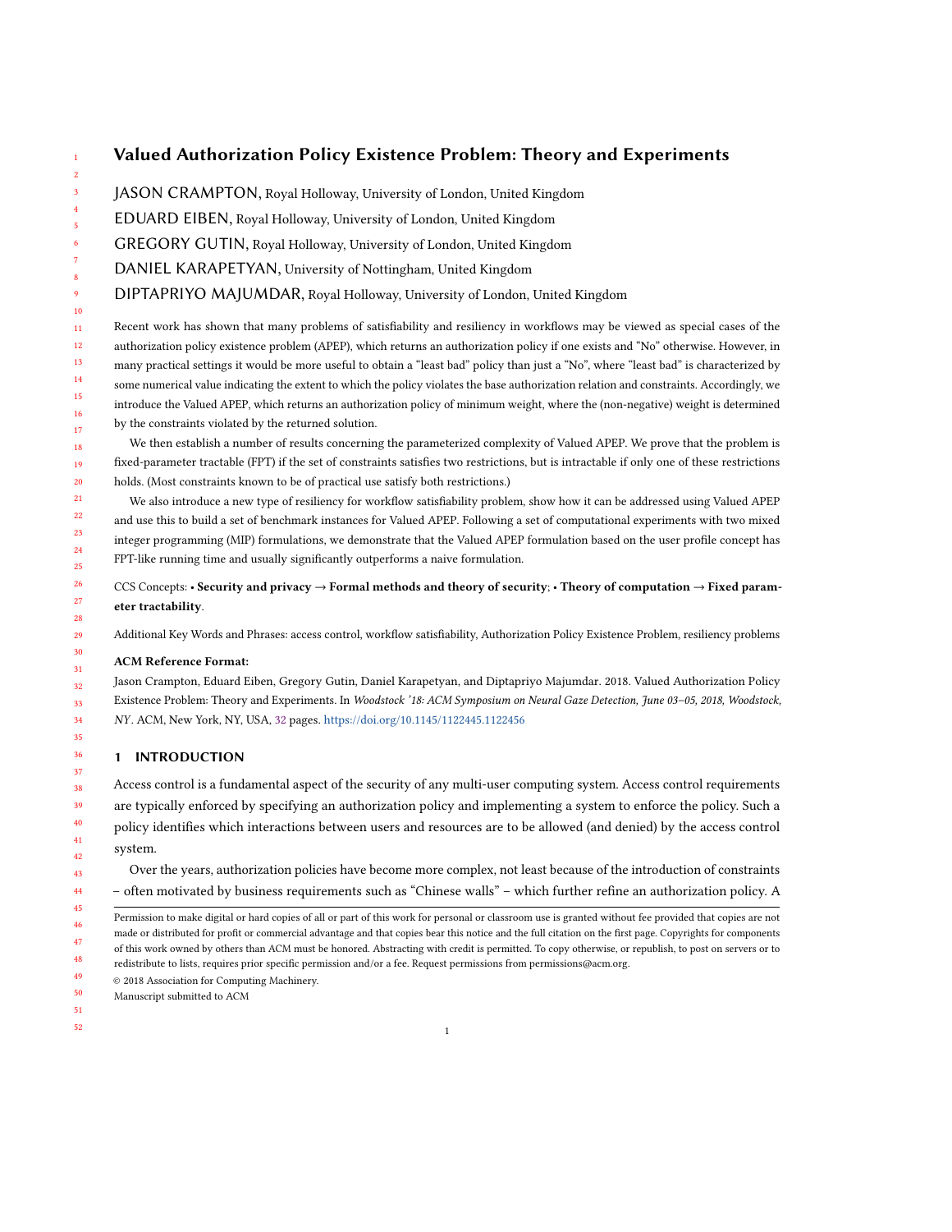# Valued Authorization Policy Existence Problem: Theory and Experiments

- JASON CRAMPTON, Royal Holloway, University of London, United Kingdom
- EDUARD EIBEN, Royal Holloway, University of London, United Kingdom
- GREGORY GUTIN, Royal Holloway, University of London, United Kingdom
- DANIEL KARAPETYAN, University of Nottingham, United Kingdom
- DIPTAPRIYO MAJUMDAR, Royal Holloway, University of London, United Kingdom

Recent work has shown that many problems of satisfiability and resiliency in workflows may be viewed as special cases of the authorization policy existence problem (APEP), which returns an authorization policy if one exists and "No" otherwise. However, in many practical settings it would be more useful to obtain a "least bad" policy than just a "No", where "least bad" is characterized by some numerical value indicating the extent to which the policy violates the base authorization relation and constraints. Accordingly, we introduce the Valued APEP, which returns an authorization policy of minimum weight, where the (non-negative) weight is determined by the constraints violated by the returned solution.

We then establish a number of results concerning the parameterized complexity of Valued APEP. We prove that the problem is fixed-parameter tractable (FPT) if the set of constraints satisfies two restrictions, but is intractable if only one of these restrictions holds. (Most constraints known to be of practical use satisfy both restrictions.)

We also introduce a new type of resiliency for workflow satisfiability problem, show how it can be addressed using Valued APEP and use this to build a set of benchmark instances for Valued APEP. Following a set of computational experiments with two mixed integer programming (MIP) formulations, we demonstrate that the Valued APEP formulation based on the user profile concept has FPT-like running time and usually significantly outperforms a naive formulation.

CCS Concepts: • Security and privacy  $\rightarrow$  Formal methods and theory of security; • Theory of computation  $\rightarrow$  Fixed parameter tractability.

Additional Key Words and Phrases: access control, workflow satisfiability, Authorization Policy Existence Problem, resiliency problems

## ACM Reference Format:

Jason Crampton, Eduard Eiben, Gregory Gutin, Daniel Karapetyan, and Diptapriyo Majumdar. 2018. Valued Authorization Policy Existence Problem: Theory and Experiments. In Woodstock '18: ACM Symposium on Neural Gaze Detection, June 03–05, 2018, Woodstock, NY . ACM, New York, NY, USA, [32](#page-31-0) pages. <https://doi.org/10.1145/1122445.1122456>

## 1 INTRODUCTION

Access control is a fundamental aspect of the security of any multi-user computing system. Access control requirements are typically enforced by specifying an authorization policy and implementing a system to enforce the policy. Such a policy identifies which interactions between users and resources are to be allowed (and denied) by the access control system.

Over the years, authorization policies have become more complex, not least because of the introduction of constraints – often motivated by business requirements such as "Chinese walls" – which further refine an authorization policy. A

- 45 46 47 48 Permission to make digital or hard copies of all or part of this work for personal or classroom use is granted without fee provided that copies are not made or distributed for profit or commercial advantage and that copies bear this notice and the full citation on the first page. Copyrights for components of this work owned by others than ACM must be honored. Abstracting with credit is permitted. To copy otherwise, or republish, to post on servers or to redistribute to lists, requires prior specific permission and/or a fee. Request permissions from permissions@acm.org.
- 49 © 2018 Association for Computing Machinery.
- 50 Manuscript submitted to ACM
- 51 52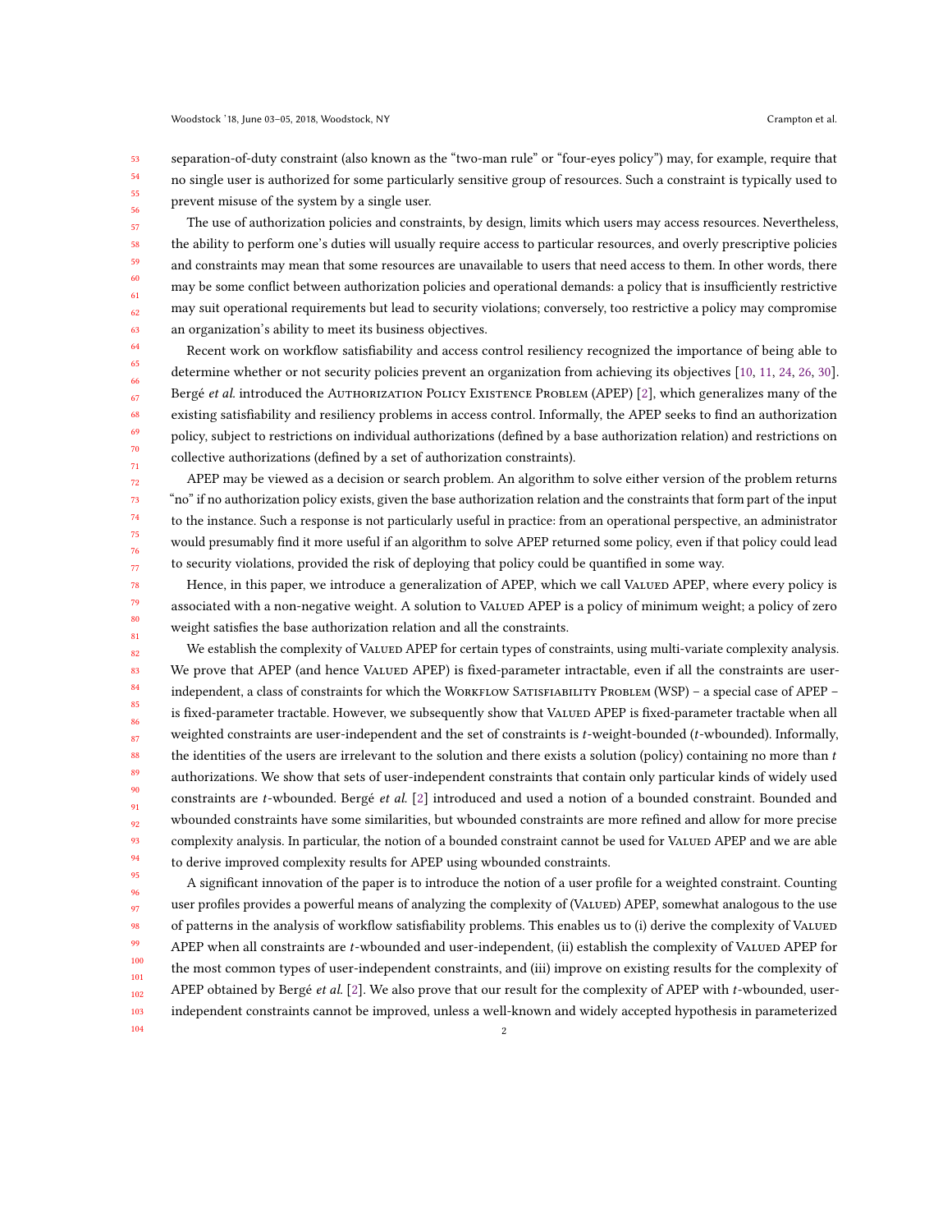53 54 55 56 separation-of-duty constraint (also known as the "two-man rule" or "four-eyes policy") may, for example, require that no single user is authorized for some particularly sensitive group of resources. Such a constraint is typically used to prevent misuse of the system by a single user.

The use of authorization policies and constraints, by design, limits which users may access resources. Nevertheless, the ability to perform one's duties will usually require access to particular resources, and overly prescriptive policies and constraints may mean that some resources are unavailable to users that need access to them. In other words, there may be some conflict between authorization policies and operational demands: a policy that is insufficiently restrictive may suit operational requirements but lead to security violations; conversely, too restrictive a policy may compromise an organization's ability to meet its business objectives.

Recent work on workflow satisfiability and access control resiliency recognized the importance of being able to determine whether or not security policies prevent an organization from achieving its objectives [\[10,](#page-31-1) [11,](#page-31-2) [24,](#page-31-3) [26,](#page-31-4) [30\]](#page-31-5). Bergé et al. introduced the AUTHORIZATION POLICY EXISTENCE PROBLEM (APEP) [\[2\]](#page-30-0), which generalizes many of the existing satisfiability and resiliency problems in access control. Informally, the APEP seeks to find an authorization policy, subject to restrictions on individual authorizations (defined by a base authorization relation) and restrictions on collective authorizations (defined by a set of authorization constraints).

APEP may be viewed as a decision or search problem. An algorithm to solve either version of the problem returns "no" if no authorization policy exists, given the base authorization relation and the constraints that form part of the input to the instance. Such a response is not particularly useful in practice: from an operational perspective, an administrator would presumably find it more useful if an algorithm to solve APEP returned some policy, even if that policy could lead to security violations, provided the risk of deploying that policy could be quantified in some way.

Hence, in this paper, we introduce a generalization of APEP, which we call VALUED APEP, where every policy is associated with a non-negative weight. A solution to VALUED APEP is a policy of minimum weight; a policy of zero weight satisfies the base authorization relation and all the constraints.

82 83 84 85 86 87 88 89 90 91 92 93 94 95 We establish the complexity of VALUED APEP for certain types of constraints, using multi-variate complexity analysis. We prove that APEP (and hence VALUED APEP) is fixed-parameter intractable, even if all the constraints are userindependent, a class of constraints for which the WORKFLOW SATISFIABILITY PROBLEM (WSP) - a special case of APEP is fixed-parameter tractable. However, we subsequently show that VALUED APEP is fixed-parameter tractable when all weighted constraints are user-independent and the set of constraints is t-weight-bounded (t-wbounded). Informally, the identities of the users are irrelevant to the solution and there exists a solution (policy) containing no more than  $t$ authorizations. We show that sets of user-independent constraints that contain only particular kinds of widely used constraints are t-wbounded. Bergé et al. [\[2\]](#page-30-0) introduced and used a notion of a bounded constraint. Bounded and wbounded constraints have some similarities, but wbounded constraints are more refined and allow for more precise complexity analysis. In particular, the notion of a bounded constraint cannot be used for VALUED APEP and we are able to derive improved complexity results for APEP using wbounded constraints.

96 97 98 99 100 101 102 103 A significant innovation of the paper is to introduce the notion of a user profile for a weighted constraint. Counting user profiles provides a powerful means of analyzing the complexity of (VALUED) APEP, somewhat analogous to the use of patterns in the analysis of workflow satisfiability problems. This enables us to (i) derive the complexity of Valued APEP when all constraints are t-wbounded and user-independent, (ii) establish the complexity of VALUED APEP for the most common types of user-independent constraints, and (iii) improve on existing results for the complexity of APEP obtained by Bergé et al.  $[2]$ . We also prove that our result for the complexity of APEP with  $t$ -wbounded, userindependent constraints cannot be improved, unless a well-known and widely accepted hypothesis in parameterized

104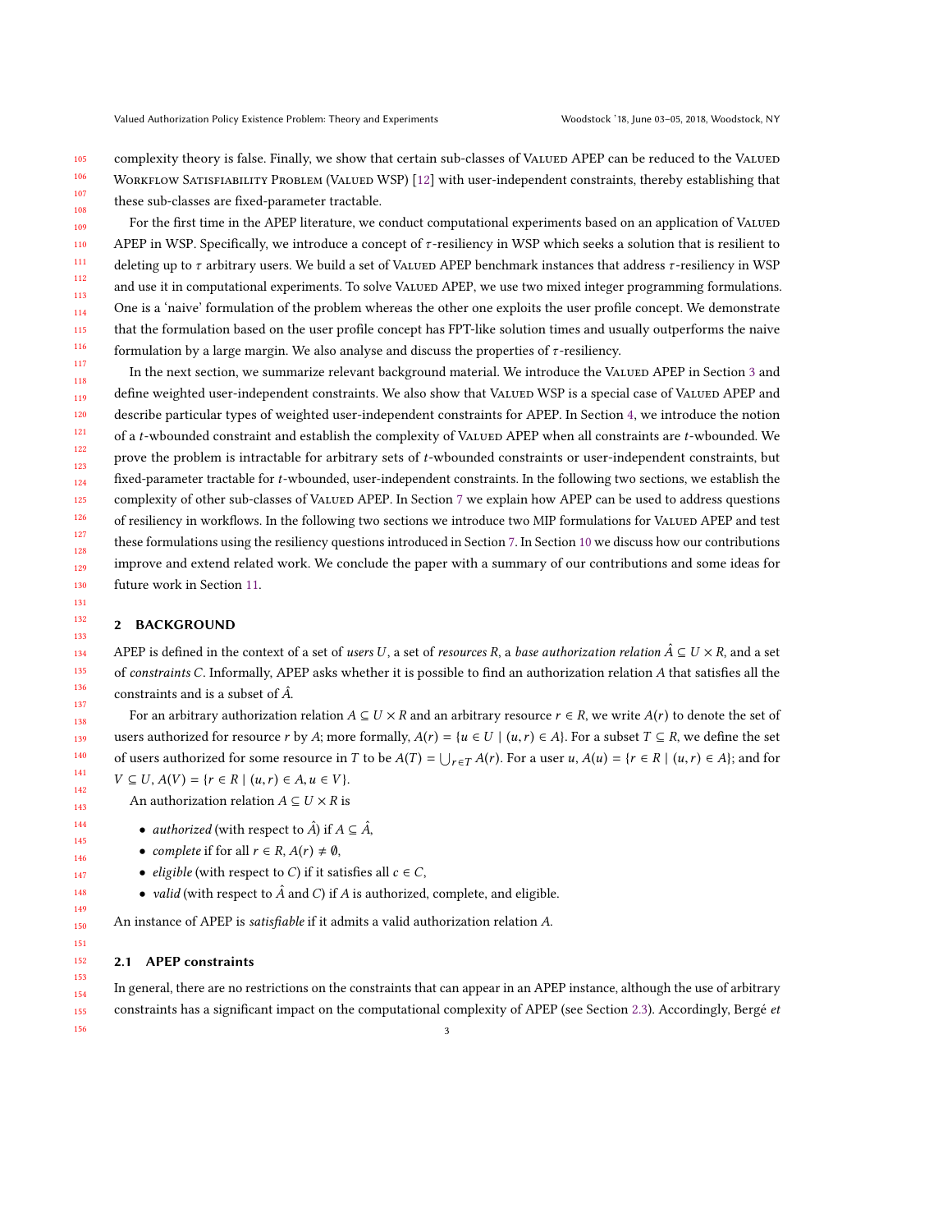105 106 107 complexity theory is false. Finally, we show that certain sub-classes of VALUED APEP can be reduced to the VALUED WORKFLOW SATISFIABILITY PROBLEM (VALUED WSP) [\[12\]](#page-31-6) with user-independent constraints, thereby establishing that these sub-classes are fixed-parameter tractable.

109 110 111 112 113 114 115 116 For the first time in the APEP literature, we conduct computational experiments based on an application of VALUED APEP in WSP. Specifically, we introduce a concept of  $\tau$ -resiliency in WSP which seeks a solution that is resilient to deleting up to  $\tau$  arbitrary users. We build a set of VALUED APEP benchmark instances that address  $\tau$ -resiliency in WSP and use it in computational experiments. To solve VALUED APEP, we use two mixed integer programming formulations. One is a 'naive' formulation of the problem whereas the other one exploits the user profile concept. We demonstrate that the formulation based on the user profile concept has FPT-like solution times and usually outperforms the naive formulation by a large margin. We also analyse and discuss the properties of  $\tau$ -resiliency.

117 118 119 120 121 122 123 124 125 126 127 128 129 130 In the next section, we summarize relevant background material. We introduce the VALUED APEP in Section [3](#page-5-0) and define weighted user-independent constraints. We also show that VALUED WSP is a special case of VALUED APEP and describe particular types of weighted user-independent constraints for APEP. In Section [4,](#page-7-0) we introduce the notion of a t-wbounded constraint and establish the complexity of Valued APEP when all constraints are t-wbounded. We prove the problem is intractable for arbitrary sets of t-wbounded constraints or user-independent constraints, but fixed-parameter tractable for t-wbounded, user-independent constraints. In the following two sections, we establish the complexity of other sub-classes of VALUED APEP. In Section [7](#page-19-0) we explain how APEP can be used to address questions of resiliency in workflows. In the following two sections we introduce two MIP formulations for VALUED APEP and test these formulations using the resiliency questions introduced in Section [7.](#page-19-0) In Section [10](#page-28-0) we discuss how our contributions improve and extend related work. We conclude the paper with a summary of our contributions and some ideas for future work in Section [11.](#page-29-0)

## <span id="page-2-1"></span>2 BACKGROUND

108

APEP is defined in the context of a set of users U, a set of resources R, a base authorization relation  $\hat{A} \subseteq U \times R$ , and a set of constraints C. Informally, APEP asks whether it is possible to find an authorization relation A that satisfies all the constraints and is a subset of  $\hat{A}$ .

For an arbitrary authorization relation  $A \subseteq U \times R$  and an arbitrary resource  $r \in R$ , we write  $A(r)$  to denote the set of users authorized for resource r by A; more formally,  $A(r) = \{u \in U \mid (u,r) \in A\}$ . For a subset  $T \subseteq R$ , we define the set of users authorized for some resource in T to be  $A(T) = \bigcup_{r \in T} A(r)$ . For a user  $u, A(u) = \{r \in R \mid (u, r) \in A\}$ ; and for  $V \subseteq U, A(V) = \{r \in R \mid (u, r) \in A, u \in V\}.$ 

An authorization relation  $A \subseteq U \times R$  is

- *authorized* (with respect to  $\hat{A}$ ) if  $A \subseteq \hat{A}$ ,
- complete if for all  $r \in R$ ,  $A(r) \neq \emptyset$ ,
- *eligible* (with respect to C) if it satisfies all  $c \in C$ ,
- valid (with respect to  $\hat{A}$  and  $C$ ) if  $A$  is authorized, complete, and eligible.

An instance of APEP is satisfiable if it admits a valid authorization relation A.

### <span id="page-2-0"></span>2.1 APEP constraints

In general, there are no restrictions on the constraints that can appear in an APEP instance, although the use of arbitrary constraints has a significant impact on the computational complexity of APEP (see Section [2.3\)](#page-3-0). Accordingly, Bergé et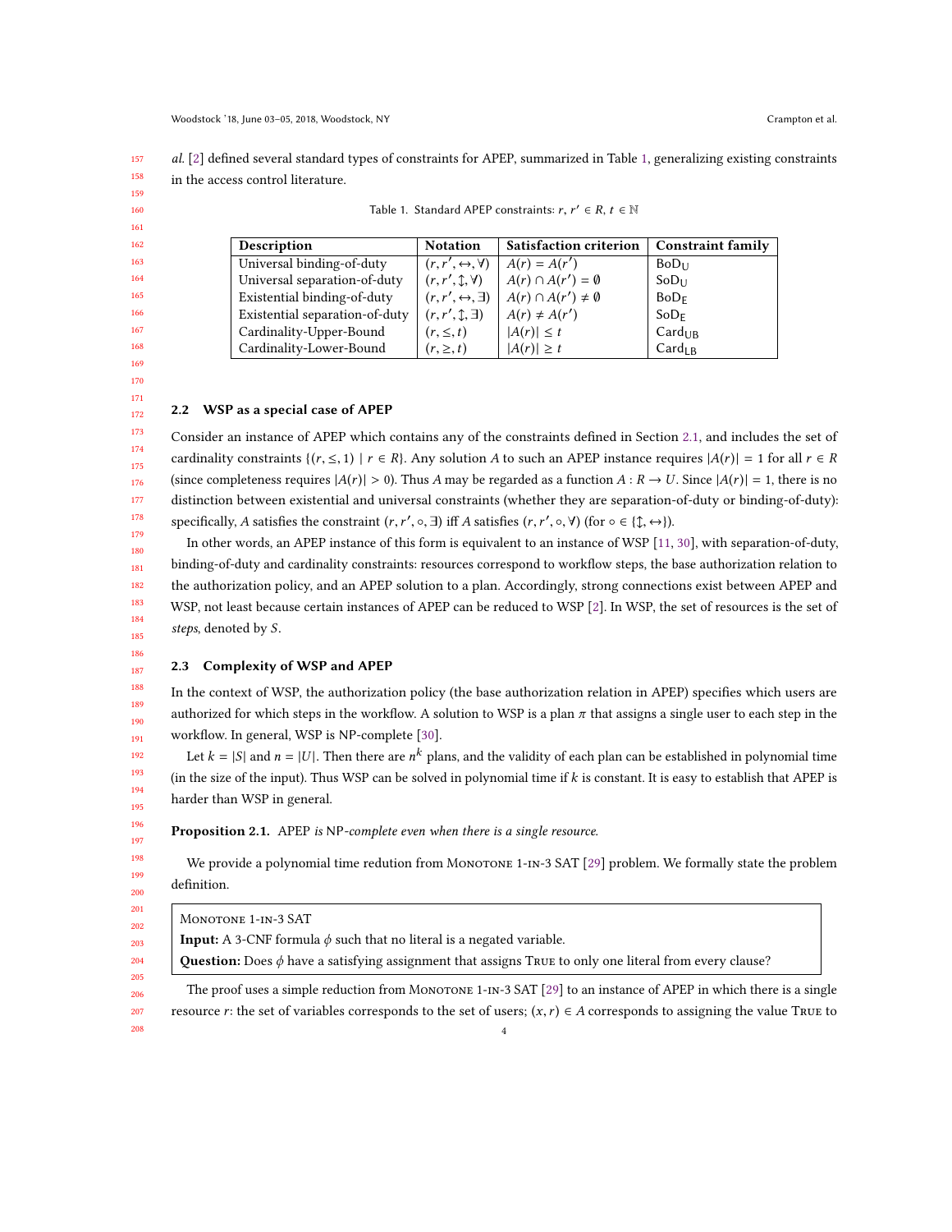<span id="page-3-1"></span>157 158 al. [\[2\]](#page-30-0) defined several standard types of constraints for APEP, summarized in Table [1,](#page-3-1) generalizing existing constraints in the access control literature.

| Description                    | <b>Notation</b>                     | <b>Satisfaction criterion</b>    | <b>Constraint family</b> |
|--------------------------------|-------------------------------------|----------------------------------|--------------------------|
| Universal binding-of-duty      | $(r, r', \leftrightarrow, \forall)$ | $A(r) = A(r')$                   | $BoD_{11}$               |
| Universal separation-of-duty   | $(r, r', \mathcal{L}, \forall)$     | $A(r) \cap A(r') = \emptyset$    | $SoD_{11}$               |
| Existential binding-of-duty    | $(r, r', \leftrightarrow, \exists)$ | $A(r) \cap A(r') \neq \emptyset$ | BoD <sub>F</sub>         |
| Existential separation-of-duty | $(r, r', \mathcal{L}, \exists)$     | $A(r) \neq A(r')$                | $SoD_F$                  |
| Cardinality-Upper-Bound        | $(r, \leq, t)$                      | $ A(r)  \leq t$                  | Card <sub>UB</sub>       |
| Cardinality-Lower-Bound        | $(r, \geq, t)$                      | $ A(r)  \geq t$                  | Card <sub>IR</sub>       |

| Table 1. Standard APEP constraints: $r, r' \in R, t \in \mathbb{N}$ |  |  |
|---------------------------------------------------------------------|--|--|
|                                                                     |  |  |

### 168 169 170 171

## <span id="page-3-2"></span>2.2 WSP as a special case of APEP

Consider an instance of APEP which contains any of the constraints defined in Section [2.1,](#page-2-0) and includes the set of cardinality constraints  $\{(r, \leq, 1) \mid r \in R\}$ . Any solution A to such an APEP instance requires  $|A(r)| = 1$  for all  $r \in R$ (since completeness requires  $|A(r)| > 0$ ). Thus A may be regarded as a function  $A: R \to U$ . Since  $|A(r)| = 1$ , there is no distinction between existential and universal constraints (whether they are separation-of-duty or binding-of-duty): specifically, A satisfies the constraint  $(r, r', \circ, \exists)$  iff A satisfies  $(r, r', \circ, \forall)$  (for  $\circ \in \{\updownarrow, \leftrightarrow\}$ ).

In other words, an APEP instance of this form is equivalent to an instance of WSP [\[11,](#page-31-2) [30\]](#page-31-5), with separation-of-duty, binding-of-duty and cardinality constraints: resources correspond to workflow steps, the base authorization relation to the authorization policy, and an APEP solution to a plan. Accordingly, strong connections exist between APEP and WSP, not least because certain instances of APEP can be reduced to WSP [\[2\]](#page-30-0). In WSP, the set of resources is the set of steps, denoted by S.

#### 187 2.3 Complexity of WSP and APEP

<span id="page-3-0"></span>In the context of WSP, the authorization policy (the base authorization relation in APEP) specifies which users are authorized for which steps in the workflow. A solution to WSP is a plan  $\pi$  that assigns a single user to each step in the workflow. In general, WSP is NP-complete [\[30\]](#page-31-5).

Let  $k = |S|$  and  $n = |U|$ . Then there are  $n^k$  plans, and the validity of each plan can be established in polynomial time (in the size of the input). Thus WSP can be solved in polynomial time if k is constant. It is easy to establish that APEP is harder than WSP in general.

Proposition 2.1. APEP is NP-complete even when there is a single resource.

We provide a polynomial time redution from MONOTONE 1-IN-3 SAT [\[29\]](#page-31-7) problem. We formally state the problem definition.

MONOTONE 1-IN-3 SAT

**Input:** A 3-CNF formula  $\phi$  such that no literal is a negated variable.

Question: Does  $\phi$  have a satisfying assignment that assigns True to only one literal from every clause?

The proof uses a simple reduction from MONOTONE 1-IN-3 SAT  $[29]$  to an instance of APEP in which there is a single resource r: the set of variables corresponds to the set of users;  $(x, r) \in A$  corresponds to assigning the value True to 4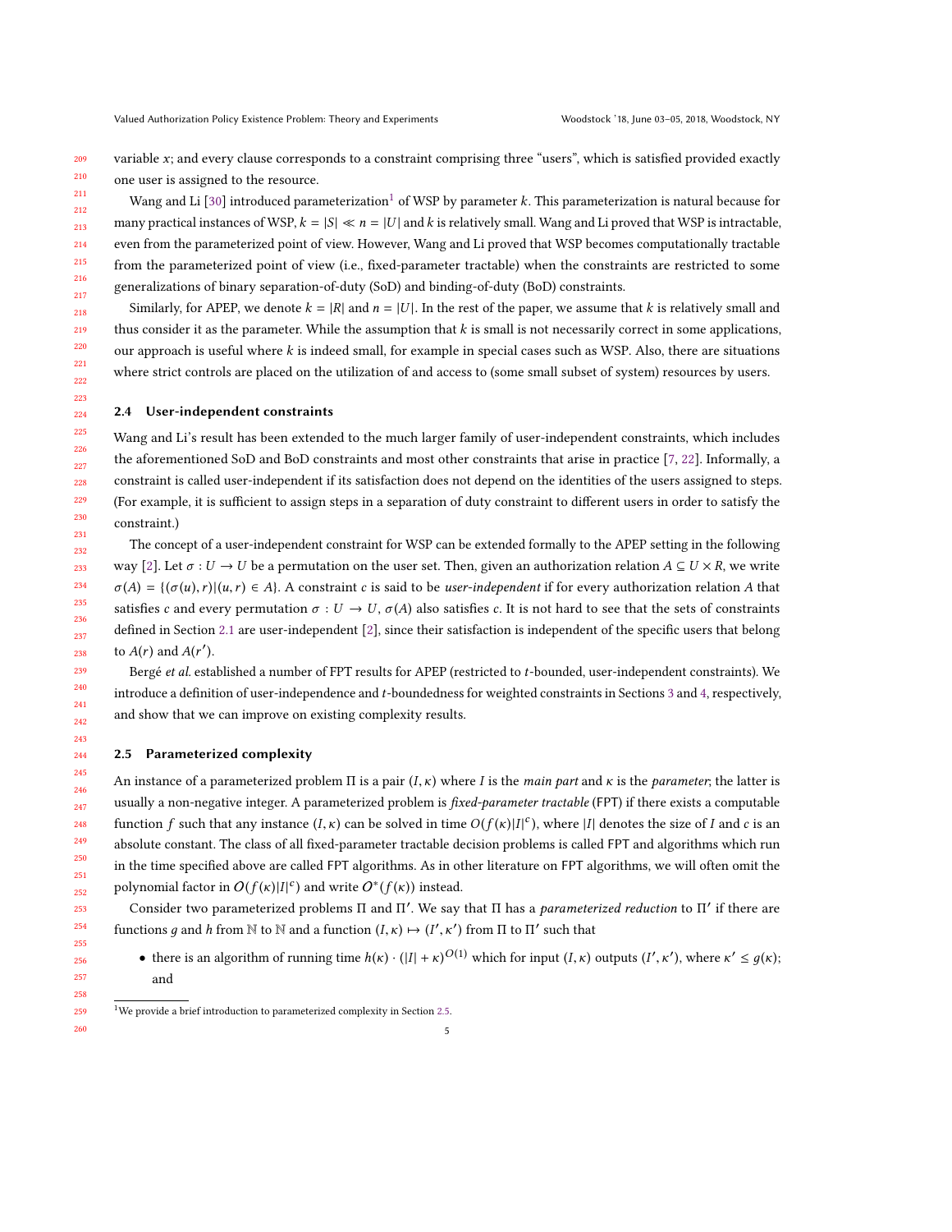209 210 variable  $x$ ; and every clause corresponds to a constraint comprising three "users", which is satisfied provided exactly one user is assigned to the resource.

211 212 213 214 215 216 217 Wang and Li [\[30\]](#page-31-5) introduced parameterization<sup>[1](#page-4-0)</sup> of WSP by parameter k. This parameterization is natural because for many practical instances of WSP,  $k = |S| \ll n = |U|$  and k is relatively small. Wang and Li proved that WSP is intractable, even from the parameterized point of view. However, Wang and Li proved that WSP becomes computationally tractable from the parameterized point of view (i.e., fixed-parameter tractable) when the constraints are restricted to some generalizations of binary separation-of-duty (SoD) and binding-of-duty (BoD) constraints.

218 219 220 221 222 Similarly, for APEP, we denote  $k = |R|$  and  $n = |U|$ . In the rest of the paper, we assume that k is relatively small and thus consider it as the parameter. While the assumption that k is small is not necessarily correct in some applications, our approach is useful where k is indeed small, for example in special cases such as WSP. Also, there are situations where strict controls are placed on the utilization of and access to (some small subset of system) resources by users.

### 2.4 User-independent constraints

Wang and Li's result has been extended to the much larger family of user-independent constraints, which includes the aforementioned SoD and BoD constraints and most other constraints that arise in practice [\[7,](#page-30-1) [22\]](#page-31-8). Informally, a constraint is called user-independent if its satisfaction does not depend on the identities of the users assigned to steps. (For example, it is sufficient to assign steps in a separation of duty constraint to different users in order to satisfy the constraint.)

234 The concept of a user-independent constraint for WSP can be extended formally to the APEP setting in the following way [\[2\]](#page-30-0). Let  $\sigma: U \to U$  be a permutation on the user set. Then, given an authorization relation  $A \subseteq U \times R$ , we write  $\sigma(A) = \{(\sigma(u), r) | (u, r) \in A\}$ . A constraint c is said to be user-independent if for every authorization relation A that satisfies c and every permutation  $\sigma: U \to U$ ,  $\sigma(A)$  also satisfies c. It is not hard to see that the sets of constraints defined in Section [2.1](#page-2-0) are user-independent [\[2\]](#page-30-0), since their satisfaction is independent of the specific users that belong to  $A(r)$  and  $A(r')$ .

Bergé et al. established a number of FPT results for APEP (restricted to t-bounded, user-independent constraints). We introduce a definition of user-independence and t-boundedness for weighted constraints in Sections [3](#page-5-0) and [4,](#page-7-0) respectively, and show that we can improve on existing complexity results.

#### <span id="page-4-1"></span>2.5 Parameterized complexity

An instance of a parameterized problem  $\Pi$  is a pair  $(I,\kappa)$  where I is the main part and  $\kappa$  is the parameter; the latter is usually a non-negative integer. A parameterized problem is fixed-parameter tractable (FPT) if there exists a computable function f such that any instance  $(I, \kappa)$  can be solved in time  $O(f(\kappa)|I|^{c})$ , where  $|I|$  denotes the size of I and c is an absolute constant. The class of all fixed-parameter tractable decision problems is called FPT and algorithms which run in the time specified above are called FPT algorithms. As in other literature on FPT algorithms, we will often omit the polynomial factor in  $O(f(\kappa)|I|^c)$  and write  $O^*(f(\kappa))$  instead.

Consider two parameterized problems Π and Π'. We say that Π has a *parameterized reduction* to Π' if there are functions g and h from N to N and a function  $(I, \kappa) \mapsto (I'$ , ...<br>Γ ′ ) from Π to Π ′ such that

• there is an algorithm of running time  $h(\kappa) \cdot (|I| + \kappa)^{O(1)}$  which for input  $(I, \kappa)$  outputs  $(I'$  $\frac{1}{\sqrt{2}}$ '), where  $\kappa' \leq g(\kappa)$ ; and

<span id="page-4-0"></span> $1$ We provide a brief introduction to parameterized complexity in Section [2.5.](#page-4-1)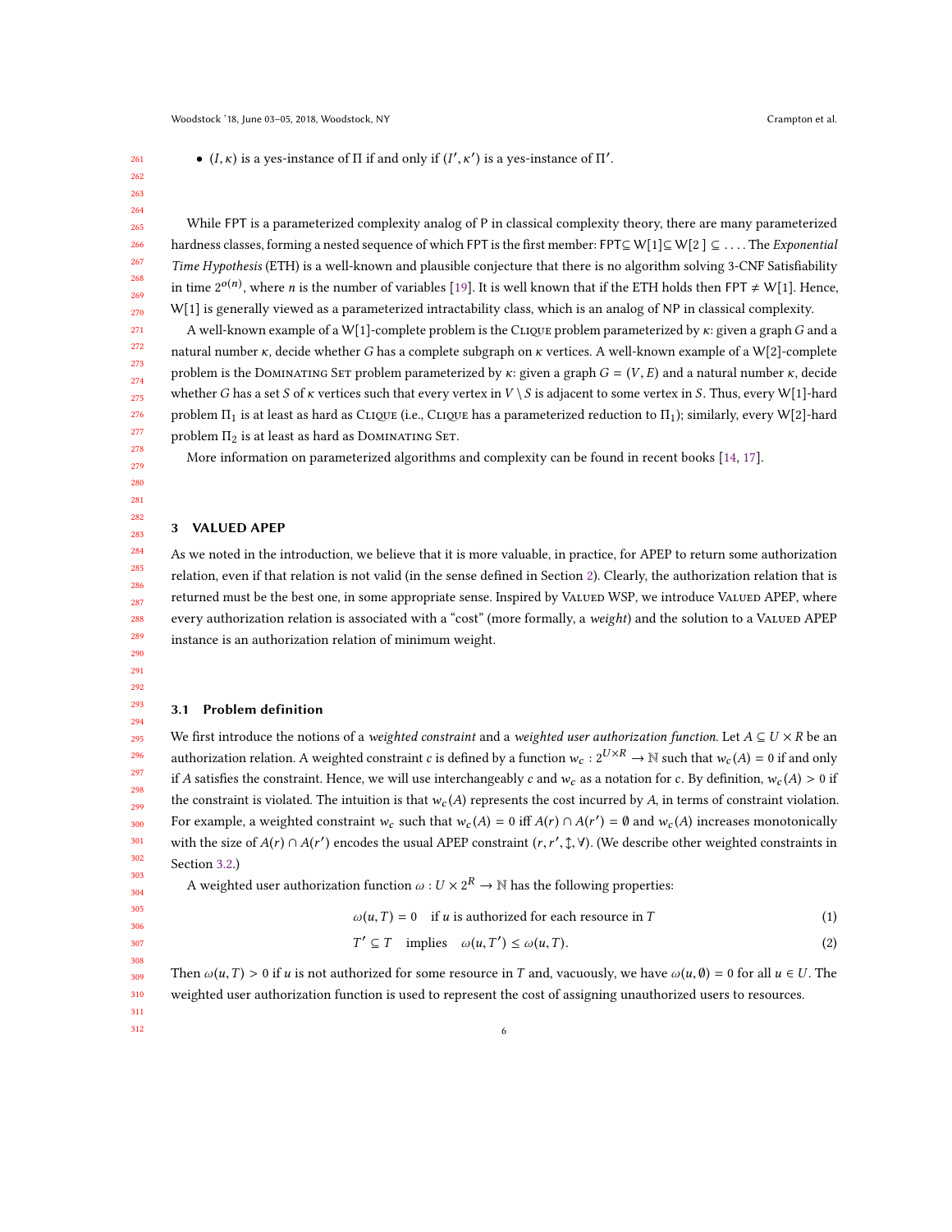•  $(I, \kappa)$  is a yes-instance of  $\Pi$  if and only if  $(I'$  $\frac{1}{\sqrt{2}}$  $^{\prime}$ ) is a yes-instance of  $\Pi^{\prime}$ .

 

 

While FPT is a parameterized complexity analog of P in classical complexity theory, there are many parameterized hardness classes, forming a nested sequence of which FPT is the first member: FPT⊆ W[1]⊆ W[2 ] ⊆ ... . The Exponential Time Hypothesis (ETH) is a well-known and plausible conjecture that there is no algorithm solving 3-CNF Satisfiability in time  $2^{o(n)}$ , where *n* is the number of variables [\[19\]](#page-31-9). It is well known that if the ETH holds then FPT  $\neq$  W[1]. Hence, W[1] is generally viewed as a parameterized intractability class, which is an analog of NP in classical complexity.

A well-known example of a W[1]-complete problem is the CLIQUE problem parameterized by  $\kappa$ : given a graph G and a natural number κ, decide whether G has a complete subgraph on κ vertices. A well-known example of a <sup>W</sup>[2]-complete problem is the DOMINATING SET problem parameterized by  $\kappa$ : given a graph  $G = (V, E)$  and a natural number  $\kappa$ , decide whether G has a set S of  $\kappa$  vertices such that every vertex in  $V \setminus S$  is adjacent to some vertex in S. Thus, every W[1]-hard problem  $\Pi_1$  is at least as hard as Clique (i.e., Clique has a parameterized reduction to  $\Pi_1$ ); similarly, every W[2]-hard problem  $\Pi_2$  is at least as hard as DOMINATING SET.

More information on parameterized algorithms and complexity can be found in recent books [\[14,](#page-31-10) [17\]](#page-31-11).

 

### <span id="page-5-0"></span>3 VALUED APEP

As we noted in the introduction, we believe that it is more valuable, in practice, for APEP to return some authorization relation, even if that relation is not valid (in the sense defined in Section [2\)](#page-2-1). Clearly, the authorization relation that is returned must be the best one, in some appropriate sense. Inspired by VALUED WSP, we introduce VALUED APEP, where every authorization relation is associated with a "cost" (more formally, a weight) and the solution to a VALUED APEP instance is an authorization relation of minimum weight.

 

 

## 3.1 Problem definition

 We first introduce the notions of a *weighted constraint* and a *weighted user authorization function*. Let  $A \subseteq U \times R$  be an authorization relation. A weighted constraint c is defined by a function  $w_c : 2^{U \times R} \to \mathbb{N}$  such that  $w_c(A) = 0$  if and only if A satisfies the constraint. Hence, we will use interchangeably c and  $w_c$  as a notation for c. By definition,  $w_c(A) > 0$  if the constraint is violated. The intuition is that  $w_c(A)$  represents the cost incurred by A, in terms of constraint violation. For example, a weighted constraint  $w_c$  such that  $w_c(A) = 0$  iff  $A(r) \cap A(r') = \emptyset$  and  $w_c(A)$  increases monotonically with the size of  $A(r) \cap A(r')$  encodes the usual APEP constraint  $(r, r', \hat{\tau}, \hat{\tau})$ . (We describe other weighted constraints in Section [3.2.](#page-6-0))

A weighted user authorization function  $\omega: U \times 2^R \to \mathbb{N}$  has the following properties:

- 
- 

 

Then  $\omega(u, T) > 0$  if u is not authorized for some resource in T and, vacuously, we have  $\omega(u, \emptyset) = 0$  for all  $u \in U$ . The weighted user authorization function is used to represent the cost of assigning unauthorized users to resources.

 $\omega(u,T) = 0$  if u is authorized for each resource in T (1)

<span id="page-5-1"></span> $T' \subseteq T$  implies  $\omega(u, T') \leq \omega(u, T)$ . (2)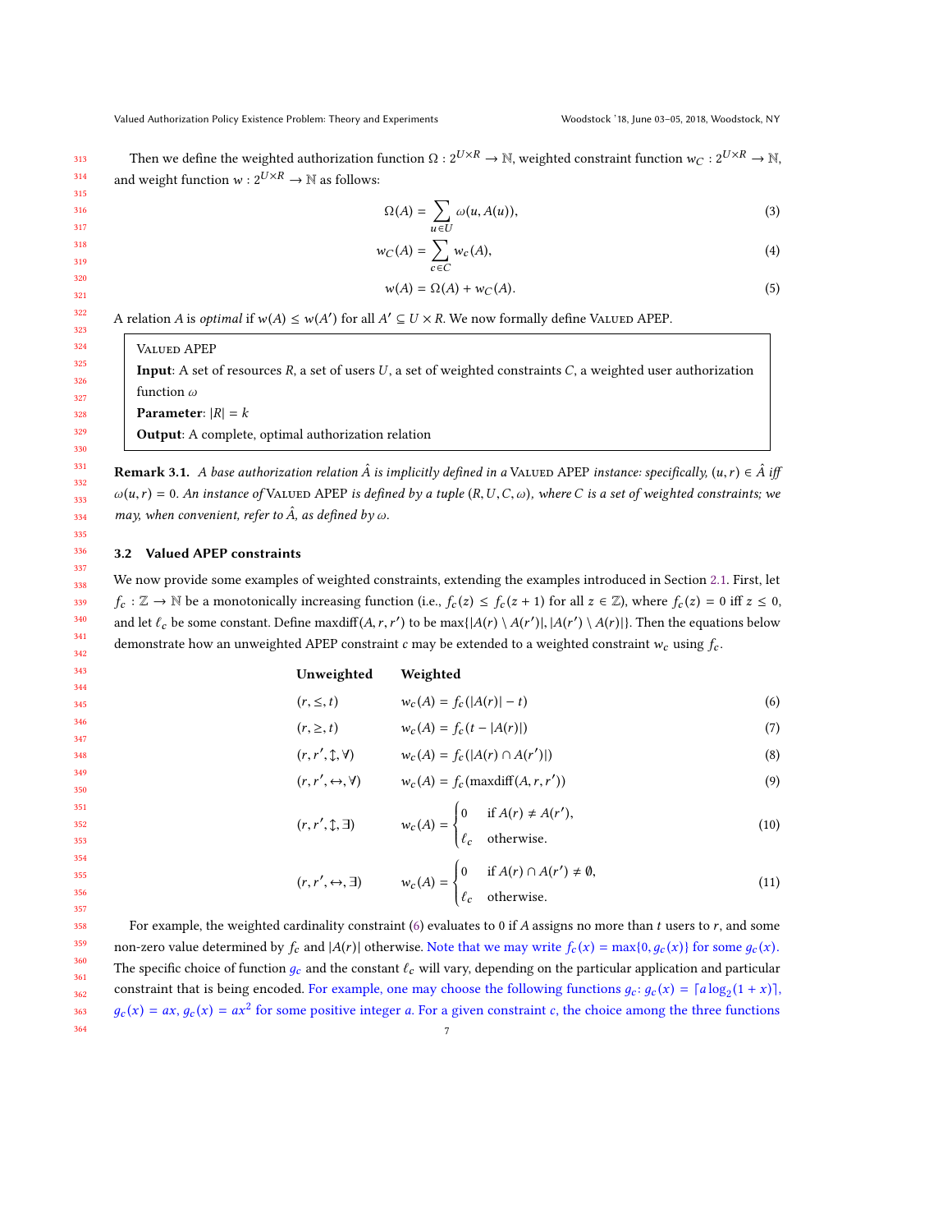Then we define the weighted authorization function  $\Omega: 2^{U \times R} \to \mathbb{N}$ , weighted constraint function  $w_C: 2^{U \times R} \to \mathbb{N}$ , and weight function  $w: 2^{U \times R} \rightarrow \mathbb{N}$  as follows:

<span id="page-6-7"></span>
$$
\Omega(A) = \sum_{u \in U} \omega(u, A(u)),\tag{3}
$$

$$
w_C(A) = \sum_{c \in C} w_c(A), \tag{4}
$$

$$
w(A) = \Omega(A) + w_C(A). \tag{5}
$$

A relation A is *optimal* if  $w(A) \le w(A')$  for all  $A' \subseteq U \times R$ . We now formally define VALUED APEP.

Valued APEP

Input: A set of resources  $R$ , a set of users  $U$ , a set of weighted constraints  $C$ , a weighted user authorization function ω

Parameter:  $|R| = k$ 

Output: A complete, optimal authorization relation

**Remark 3.1.** A base authorization relation  $\hat{A}$  is implicitly defined in a VALUED APEP instance: specifically,  $(u, r) \in \hat{A}$  iff  $\omega(u,r) = 0$ . An instance of VALUED APEP is defined by a tuple  $(R, U, C, \omega)$ , where C is a set of weighted constraints; we may, when convenient, refer to  $\hat{A}$ , as defined by  $\omega$ .

### <span id="page-6-0"></span>3.2 Valued APEP constraints

We now provide some examples of weighted constraints, extending the examples introduced in Section [2.1.](#page-2-0) First, let  $f_c : \mathbb{Z} \to \mathbb{N}$  be a monotonically increasing function (i.e.,  $f_c(z) \leq f_c(z+1)$  for all  $z \in \mathbb{Z}$ ), where  $f_c(z) = 0$  iff  $z \leq 0$ , and let  $\ell_c$  be some constant. Define maxdiff $(A, r, r')$  to be max $\{|A(r) \setminus A(r')|, |A(r') \setminus A(r)|\}$ . Then the equations below demonstrate how an unweighted APEP constraint c may be extended to a weighted constraint  $w_c$  using  $f_c$ .

Unweighted Weighted

(r,r

(r,r

| $(r, \leq, t)$ | $w_c(A) = f_c( A(r)  - t)$ | (6) |  |
|----------------|----------------------------|-----|--|
|                |                            |     |  |

| $(r, \geq, t)$ | $w_c(A) = f_c(t -  A(r) )$ | (7) |  |
|----------------|----------------------------|-----|--|
|                |                            |     |  |

<span id="page-6-6"></span><span id="page-6-5"></span><span id="page-6-4"></span><span id="page-6-3"></span><span id="page-6-2"></span><span id="page-6-1"></span>
$$
v_c(A) = f_c(|A(r) \cap A(r')|)
$$
\n(8)

$$
(r, r', \leftrightarrow, \forall) \qquad w_c(A) = f_c(\max\text{diff}(A, r, r')) \tag{9}
$$

$$
(r, r', \updownarrow, \exists) \qquad w_c(A) = \begin{cases} 0 & \text{if } A(r) \neq A(r'), \\ \ell_c & \text{otherwise.} \end{cases} \tag{10}
$$

$$
(r, r', \leftrightarrow, \exists)
$$
  $w_c(A) = \begin{cases} 0 & \text{if } A(r) \cap A(r') \neq \emptyset, \\ \ell_c & \text{otherwise.} \end{cases}$  (11)

358 359 360 361 362 363 364 For example, the weighted cardinality constraint [\(6\)](#page-6-1) evaluates to 0 if A assigns no more than t users to  $r$ , and some non-zero value determined by  $f_c$  and  $|A(r)|$  otherwise. Note that we may write  $f_c(x) = \max\{0, g_c(x)\}$  for some  $g_c(x)$ . The specific choice of function  $g_c$  and the constant  $\ell_c$  will vary, depending on the particular application and particular constraint that is being encoded. For example, one may choose the following functions  $g_c$ :  $g_c(x) = \lceil a \log_2(1 + x) \rceil$ ,  $g_c(x) = ax$ ,  $g_c(x) = ax^2$  for some positive integer a. For a given constraint c, the choice among the three functions 7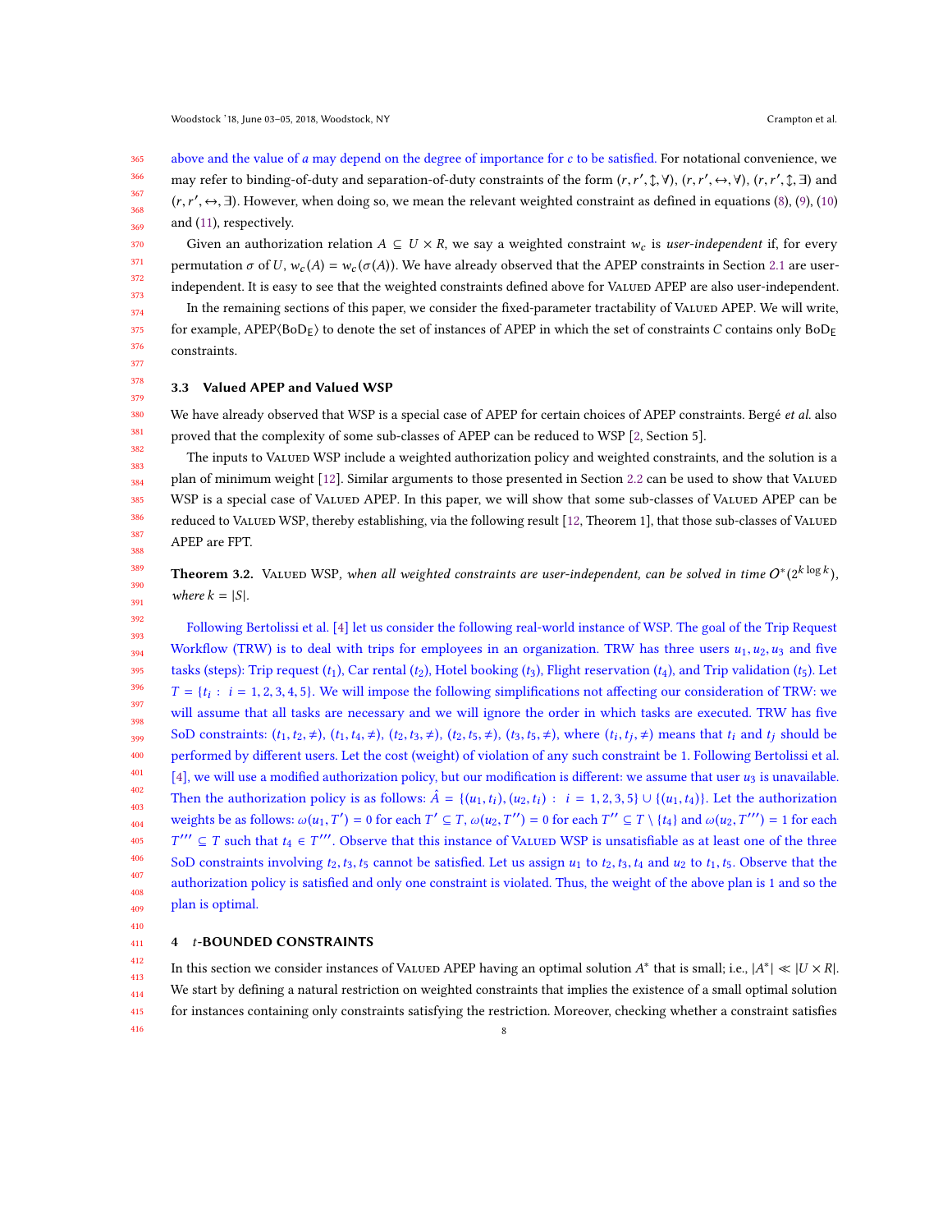365 366 367 368 369 above and the value of a may depend on the degree of importance for  $c$  to be satisfied. For notational convenience, we may refer to binding-of-duty and separation-of-duty constraints of the form  $(r, r', \mathcal{I}, \forall)$ ,  $(r, r', \leftrightarrow, \forall)$ ,  $(r, r', \mathcal{I}, \exists)$  and and  $(11)$ , respectively. ′ , <sup>↔</sup>, <sup>∃</sup>). However, when doing so, we mean the relevant weighted constraint as defined in equations [\(8\)](#page-6-2), [\(9\)](#page-6-3), [\(10\)](#page-6-4)

370 Given an authorization relation  $A \subseteq U \times R$ , we say a weighted constraint  $w_c$  is user-independent if, for every permutation  $\sigma$  of U,  $w_c(A) = w_c(\sigma(A))$ . We have already observed that the APEP constraints in Section [2.1](#page-2-0) are userindependent. It is easy to see that the weighted constraints defined above for VALUED APEP are also user-independent.

374 375 376 In the remaining sections of this paper, we consider the fixed-parameter tractability of VALUED APEP. We will write, for example,  $APEP(BoD<sub>F</sub>)$  to denote the set of instances of APEP in which the set of constraints C contains only BoD<sub>F</sub> constraints.

377 378

379

410

416

371 372 373

### 3.3 Valued APEP and Valued WSP

380 381 382 We have already observed that WSP is a special case of APEP for certain choices of APEP constraints. Bergé et al. also proved that the complexity of some sub-classes of APEP can be reduced to WSP [\[2,](#page-30-0) Section 5].

383 384 385 386 387 388 The inputs to VALUED WSP include a weighted authorization policy and weighted constraints, and the solution is a plan of minimum weight [\[12\]](#page-31-6). Similar arguments to those presented in Section [2.2](#page-3-2) can be used to show that VALUED WSP is a special case of VALUED APEP. In this paper, we will show that some sub-classes of VALUED APEP can be reduced to VALUED WSP, thereby establishing, via the following result [\[12,](#page-31-6) Theorem 1], that those sub-classes of VALUED APEP are FPT.

<span id="page-7-1"></span>389 390 391 **Theorem 3.2.** VALUED WSP, when all weighted constraints are user-independent, can be solved in time  $O^*(2^{k \log k})$ , where  $k = |S|$ .

392 393 394 395 396 397 398 399 400 401 402 403 404 405 406 407 408 409 Following Bertolissi et al. [\[4\]](#page-30-2) let us consider the following real-world instance of WSP. The goal of the Trip Request Workflow (TRW) is to deal with trips for employees in an organization. TRW has three users  $u_1, u_2, u_3$  and five tasks (steps): Trip request  $(t_1)$ , Car rental  $(t_2)$ , Hotel booking  $(t_3)$ , Flight reservation  $(t_4)$ , and Trip validation  $(t_5)$ . Let  $T = \{t_i : i = 1, 2, 3, 4, 5\}$ . We will impose the following simplifications not affecting our consideration of TRW: we will assume that all tasks are necessary and we will ignore the order in which tasks are executed. TRW has five SoD constraints:  $(t_1, t_2, \neq)$ ,  $(t_1, t_4, \neq)$ ,  $(t_2, t_3, \neq)$ ,  $(t_2, t_5, \neq)$ ,  $(t_3, t_5, \neq)$ , where  $(t_i, t_j, \neq)$  means that  $t_i$  and  $t_j$  should be performed by different users. Let the cost (weight) of violation of any such constraint be 1. Following Bertolissi et al. [\[4\]](#page-30-2), we will use a modified authorization policy, but our modification is different: we assume that user  $u_3$  is unavailable. Then the authorization policy is as follows:  $\hat{A} = \{(u_1, t_i), (u_2, t_i) : i = 1, 2, 3, 5\} \cup \{(u_1, t_4)\}\)$ . Let the authorization weights be as follows:  $\omega(u_1, T') = 0$  for each  $T' \subseteq T$ ,  $\omega(u_2, T'') = 0$  for each  $T'' \subseteq T \setminus \{t_4\}$  and  $\omega(u_2, T''') = 1$  for each SoD constraints involving  $t_2, t_3, t_5$  cannot be satisfied. Let us assign  $u_1$  to  $t_2, t_3, t_4$  and  $u_2$  to  $t_1, t_5$ . Observe that the  $'$ ′′ ⊆ T such that  $t_4 \in T'''$ . Observe that this instance of VALUED WSP is unsatisfiable as at least one of the three authorization policy is satisfied and only one constraint is violated. Thus, the weight of the above plan is 1 and so the plan is optimal.

#### <span id="page-7-0"></span>411 4 t-BOUNDED CONSTRAINTS

412 413 414 415 In this section we consider instances of VALUED APEP having an optimal solution  $A^*$  that is small; i.e.,  $|A^*| \ll |U \times R|$ . We start by defining a natural restriction on weighted constraints that implies the existence of a small optimal solution for instances containing only constraints satisfying the restriction. Moreover, checking whether a constraint satisfies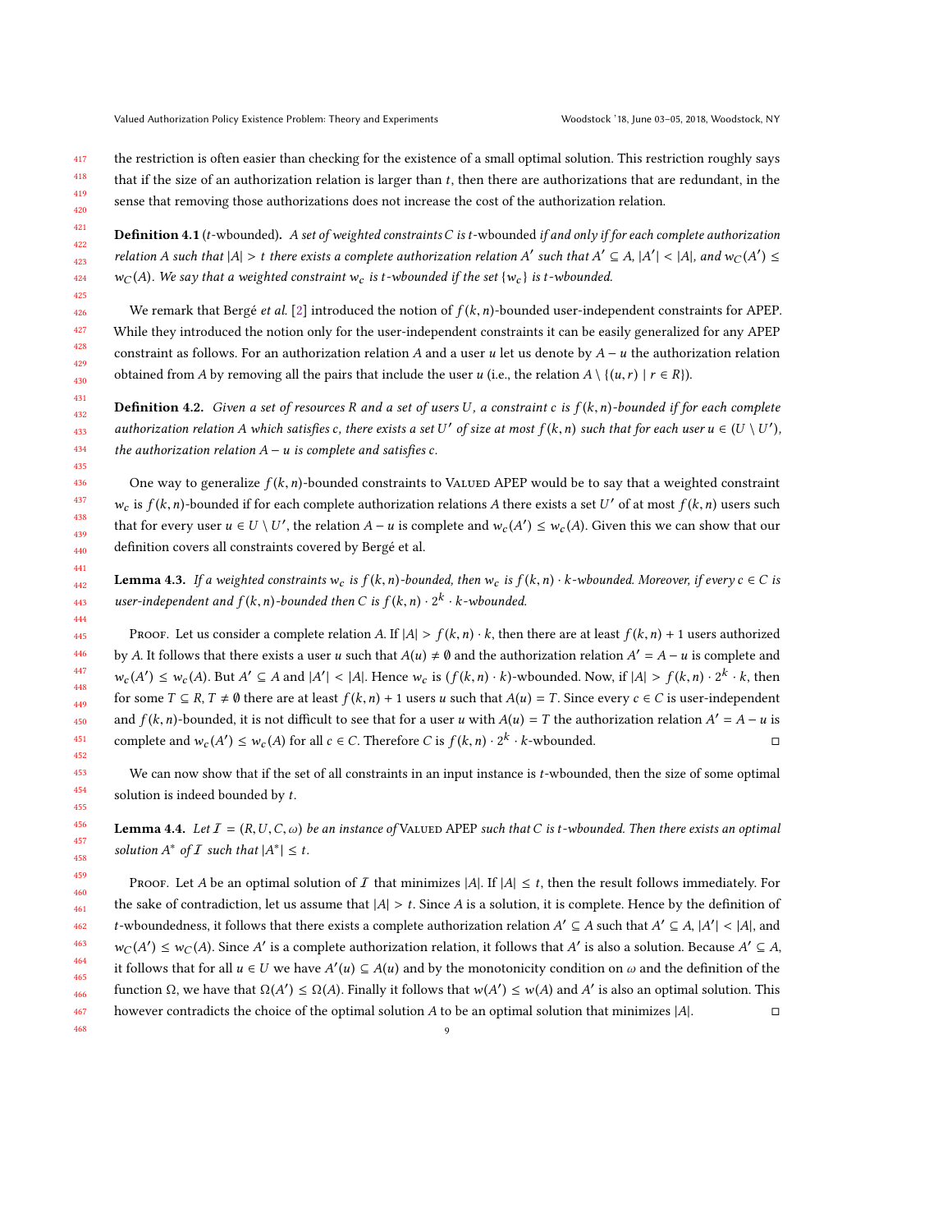468

417 the restriction is often easier than checking for the existence of a small optimal solution. This restriction roughly says

418 419 that if the size of an authorization relation is larger than t, then there are authorizations that are redundant, in the sense that removing those authorizations does not increase the cost of the authorization relation.

**Definition 4.1** (t-wbounded). A set of weighted constraints C is t-wbounded if and only if for each complete authorization relation A such that  $|A| > t$  there exists a complete authorization relation A' such that  $A' \subseteq A$ ,  $|A'| < |A|$ , and  $w_C(A') \le$  $w_C(A)$ . We say that a weighted constraint  $w_C$  is t-wbounded if the set  $\{w_C\}$  is t-wbounded.

We remark that Bergé et al. [\[2\]](#page-30-0) introduced the notion of  $f(k, n)$ -bounded user-independent constraints for APEP. While they introduced the notion only for the user-independent constraints it can be easily generalized for any APEP constraint as follows. For an authorization relation A and a user u let us denote by  $A - u$  the authorization relation obtained from A by removing all the pairs that include the user u (i.e., the relation  $A \setminus \{(u,r) | r \in R\}$ ).

**Definition 4.2.** Given a set of resources R and a set of users U, a constraint c is  $f(k, n)$ -bounded if for each complete authorization relation A which satisfies c, there exists a set U' of size at most  $f(k, n)$  such that for each user  $u \in (U \setminus U')$ , the authorization relation  $A - u$  is complete and satisfies c.

One way to generalize  $f(k, n)$ -bounded constraints to VALUED APEP would be to say that a weighted constraint  $w_c$  is  $f(k,n)$ -bounded if for each complete authorization relations A there exists a set U' of at most  $f(k,n)$  users such that for every user  $u \in U \setminus U'$ , the relation  $A - u$  is complete and  $w_c(A') \leq w_c(A)$ . Given this we can show that our definition covers all constraints covered by Bergé et al.

**Lemma 4.3.** If a weighted constraints w<sub>c</sub> is  $f(k, n)$ -bounded, then w<sub>c</sub> is  $f(k, n) \cdot k$ -wbounded. Moreover, if every  $c \in C$  is user-independent and  $f(k, n)$ -bounded then C is  $f(k, n) \cdot 2^k \cdot k$ -wbounded.

PROOF. Let us consider a complete relation A. If  $|A| > f(k,n) \cdot k$ , then there are at least  $f(k,n) + 1$  users authorized by A. It follows that there exists a user u such that  $A(u) \neq \emptyset$  and the authorization relation  $A' = A - u$  is complete and for some  $T \subseteq R$ ,  $T \neq \emptyset$  there are at least  $f(k, n) + 1$  users u such that  $A(u) = T$ . Since every  $c \in C$  is user-independent  $\mathcal{L}'$ ) ≤ w<sub>c</sub>(A). But A' ⊆ A and |A'| < |A|. Hence w<sub>c</sub> is ( $f(k,n) \cdot k$ )-wbounded. Now, if  $|A| > f(k,n) \cdot 2^k \cdot k$ , then and  $f(k, n)$ -bounded, it is not difficult to see that for a user u with  $A(u) = T$  the authorization relation  $A' = A - u$  is complete and  $w_c(A') \leq w_c(A)$  for all  $c \in C$ . Therefore C is  $f(k,n) \cdot 2^k \cdot k$ -wbounded.  $\square$ 

We can now show that if the set of all constraints in an input instance is t-wbounded, then the size of some optimal solution is indeed bounded by  $t$ .

<span id="page-8-0"></span>**Lemma 4.4.** Let  $I = (R, U, C, \omega)$  be an instance of VALUED APEP such that C is t-wbounded. Then there exists an optimal solution  $A^*$  of  $I$  such that  $|A^*| \leq t$ .

459 460 461 462 463 464 465 466 467 PROOF. Let A be an optimal solution of I that minimizes |A|. If  $|A| \le t$ , then the result follows immediately. For the sake of contradiction, let us assume that  $|A| > t$ . Since A is a solution, it is complete. Hence by the definition of t-wboundedness, it follows that there exists a complete authorization relation  $A' \subseteq A$  such that  $A' \subseteq A$ ,  $|A'| < |A|$ , and  $|A'| \subseteq A$ it follows that for all  $u \in U$  we have  $A'(u) \subseteq A(u)$  and by the monotonicity condition on  $\omega$  and the definition of the  $\mathcal{L}'$  ≤ w<sub>C</sub>(A). Since A' is a complete authorization relation, it follows that A' is also a solution. Because A' ⊆ A, function Ω, we have that  $\Omega(A') \leq \Omega(A)$ . Finally it follows that  $w(A') \leq w(A)$  and A' is also an optimal solution. This however contradicts the choice of the optimal solution A to be an optimal solution that minimizes  $|A|$ .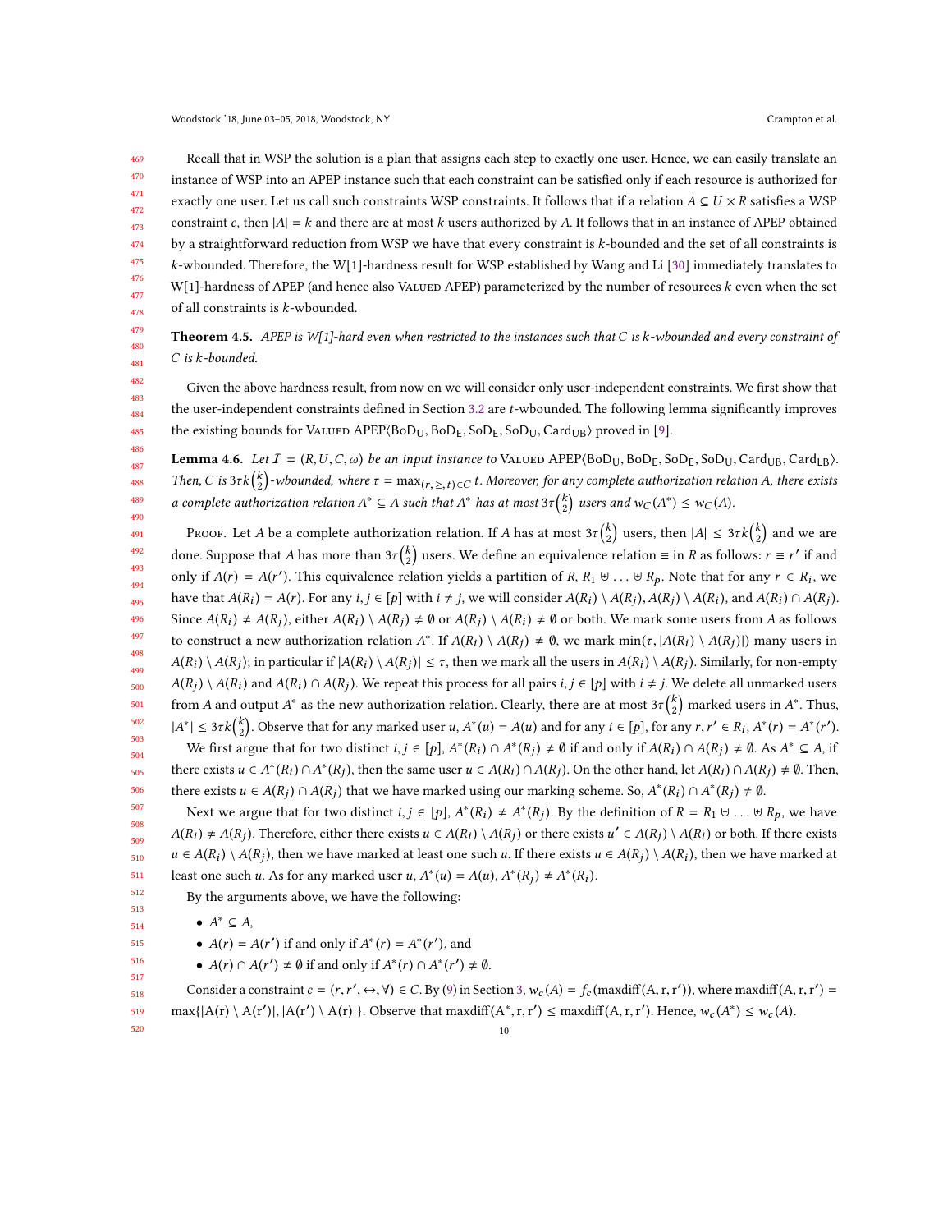469 470 471 472 473 474 475 476 477 478 Recall that in WSP the solution is a plan that assigns each step to exactly one user. Hence, we can easily translate an instance of WSP into an APEP instance such that each constraint can be satisfied only if each resource is authorized for exactly one user. Let us call such constraints WSP constraints. It follows that if a relation  $A \subseteq U \times R$  satisfies a WSP constraint c, then  $|A| = k$  and there are at most k users authorized by A. It follows that in an instance of APEP obtained by a straightforward reduction from WSP we have that every constraint is k-bounded and the set of all constraints is k-wbounded. Therefore, the W[1]-hardness result for WSP established by Wang and Li [\[30\]](#page-31-5) immediately translates to  $W[1]$ -hardness of APEP (and hence also VALUED APEP) parameterized by the number of resources  $k$  even when the set of all constraints is k-wbounded.

479 480 481 **Theorem 4.5.** APEP is W[1]-hard even when restricted to the instances such that C is  $k$ -wbounded and every constraint of C is k-bounded.

Given the above hardness result, from now on we will consider only user-independent constraints. We first show that the user-independent constraints defined in Section [3.2](#page-6-0) are t-wbounded. The following lemma significantly improves the existing bounds for VALUED APEP $(BoD<sub>U</sub>, BoD<sub>F</sub>, SoD<sub>F</sub>, SoD<sub>U</sub>, Card<sub>UB</sub>$  proved in [\[9\]](#page-31-12).

<span id="page-9-0"></span>**Lemma 4.6.** Let  $I = (R, U, C, \omega)$  be an input instance to VALUED APEP $(BoD_U, BoD_E, SoD_U, Card_{UB}, Card_{LB})$ . Then, C is  $3\tau k\binom{k}{2}$ -wbounded, where  $\tau = \max_{(r,\geq,t)\in C} t$ . Moreover, for any complete authorization relation A, there exists a complete authorization relation  $A^* \subseteq A$  such that  $A^*$  has at most  $3\tau {k \choose 2}$  users and  $w_C(A^*) \leq w_C(A)$ .

491 492 493 494 495 496 497 498 499 500 501 502 PROOF. Let A be a complete authorization relation. If A has at most  $3\tau {k \choose 2}$  users, then  $|A| \leq 3\tau {k \choose 2}$  and we are done. Suppose that A has more than  $3\tau {k \choose 2}$  users. We define an equivalence relation  $\equiv$  in R as follows:  $r \equiv r'$  if and only if  $A(r) = A(r')$ . This equivalence relation yields a partition of R, R<sub>1</sub> ⊎ ... ⊎ R<sub>p</sub>. Note that for any  $r \in R_i$ , we have that  $A(R_i) = A(r)$ . For any  $i, j \in [p]$  with  $i \neq j$ , we will consider  $A(R_i) \setminus A(R_j)$ ,  $A(R_j) \setminus A(R_i)$ , and  $A(R_i) \cap A(R_j)$ . Since  $A(R_i) \neq A(R_j)$ , either  $A(R_i) \setminus A(R_j) \neq \emptyset$  or  $A(R_j) \setminus A(R_i) \neq \emptyset$  or both. We mark some users from A as follows to construct a new authorization relation  $A^*$ . If  $A(R_i) \setminus A(R_j) \neq \emptyset$ , we mark  $\min(\tau, |A(R_i) \setminus A(R_j)|)$  many users in  $A(R_j) \setminus A(R_i)$  and  $A(R_i) \cap A(R_j)$ . We repeat this process for all pairs  $i, j \in [p]$  with  $i \neq j$ . We delete all unmarked users  $\lambda \setminus A(R_j)$ ; in particular if  $|A(R_i) \setminus A(R_j)| \leq \tau$ , then we mark all the users in  $A(R_i) \setminus A(R_j)$ . Similarly, for non-empty  $A^*$  as the new authorization relation. Clearly, there are at most  $3\tau\binom{k}{2}$  marked users in  $A^*$ . Thus,  $|A^*| \leq 3\tau k {k \choose 2}$ . Observe that for any marked user u,  $A^*(u) = A(u)$  and for any  $i \in [p]$ , for any  $r, r' \in R_i, A^*(r) = A^*(r')$ .

503 504 505 506 We first argue that for two distinct  $i, j \in [p]$ ,  $A^*(R_i) \cap A^*(R_j) \neq \emptyset$  if and only if  $A(R_i) \cap A(R_j) \neq \emptyset$ . As  $A^* \subseteq A$ , if there exists  $u \in A^*(R_i) \cap A^*(R_j)$ , then the same user  $u \in A(R_i) \cap A(R_j)$ . On the other hand, let  $A(R_i) \cap A(R_j) \neq \emptyset$ . Then, there exists  $u \in A(R_j) \cap A(R_j)$  that we have marked using our marking scheme. So,  $A^*(R_i) \cap A^*(R_j) \neq \emptyset$ .

Next we argue that for two distinct  $i, j \in [p]$ ,  $A^*(R_i) \neq A^*(R_j)$ . By the definition of  $R = R_1 \oplus ... \oplus R_p$ , we have (R) ). Therefore, either there exists  $u \in A(R_i) \setminus A(R_j)$  or there exists  $u' \in A(R_j) \setminus A(R_i)$  or both. If there exists  $u \in A(R_i) \setminus A(R_i)$  or  $h$  and  $h$  and  $h$  and  $h$  and  $h$  and  $h$  and  $h$  and  $h$  and  $h$  and  $h$  and  $h$  and  $u \in A(R_i) \setminus A(R_j)$ , then we have marked at least one such u. If there exists  $u \in A(R_j) \setminus A(R_i)$ , then we have marked at least one such u. As for any marked user  $u$ ,  $A^*(u) = A(u)$ ,  $A^*$  $(R_j) \neq A^*$  $(R_i)$ .

By the arguments above, we have the following:

•  $A^* \subseteq A$ ,

•  $A(r) = A(r')$  if and only if  $A^*(r) = A^*(r')$ , and

•  $A(r) \cap A(r') \neq \emptyset$  if and only if  $A^*(r) \cap A^*$ (r  $^{\prime}) \neq \emptyset.$ 

518 519 520 Consider a constraint  $c = (r, r', \leftrightarrow, \forall) \in C$ . By [\(9\)](#page-6-3) in Section [3,](#page-5-0)  $w_c(A) = f_c(\max\{d|f(A, r, r'))\}$ , where  $\max\{d|f(A, r, r') = (d, \forall) |f(A, r, r')| \}$  $\max\{|A(r) \setminus A(r')|, |A(r') \setminus A(r)|\}.$  Observe that maxdiff $(A^*, r, r') \leq \max\{f(A, r, r')\}.$  Hence,  $w_c(A^*) \leq w_c(A)$ .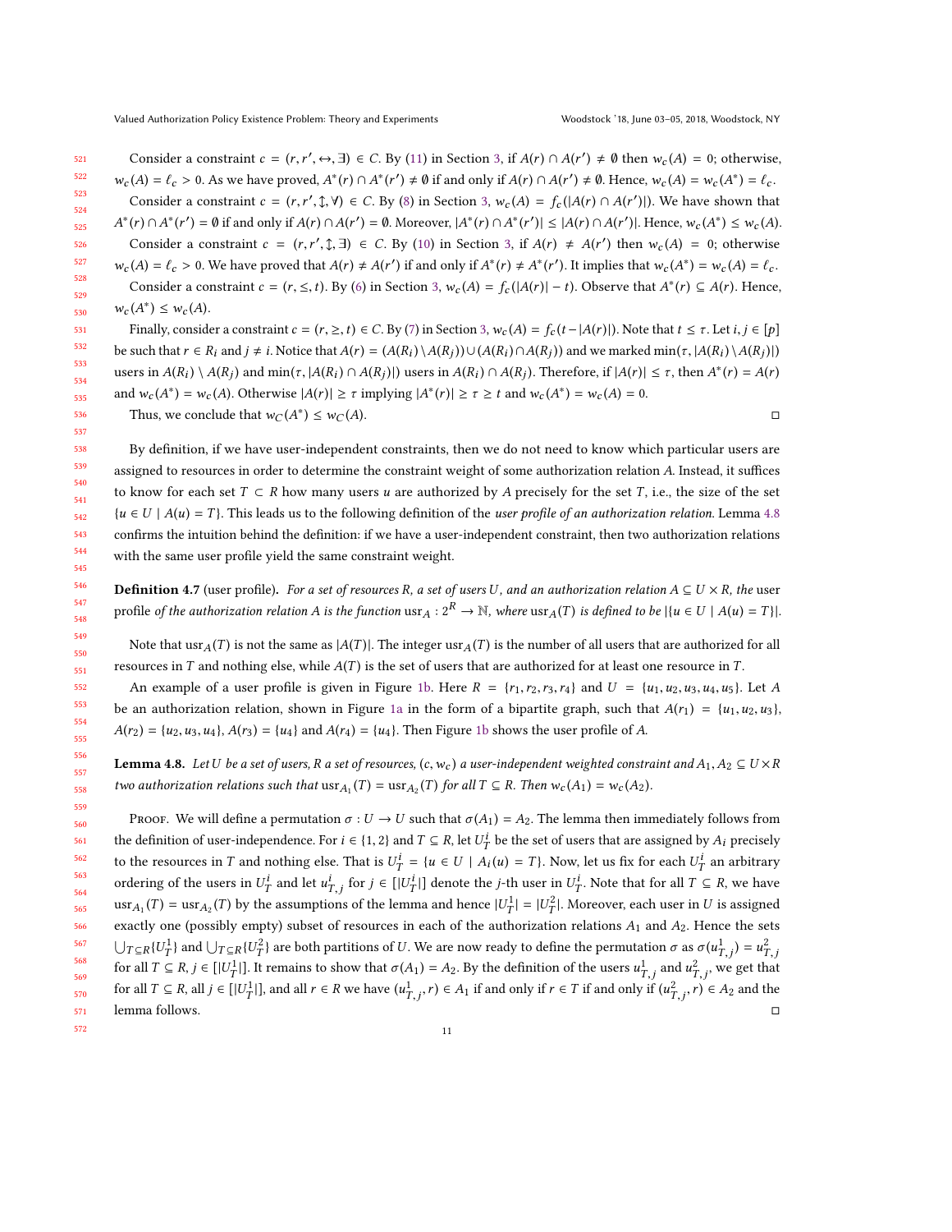Consider a constraint  $c = (r, r', \leftrightarrow, \exists) \in C$ . By [\(11\)](#page-6-5) in Section [3,](#page-5-0) if  $A(r) \cap A(r') \neq \emptyset$  then  $w_c(A) = 0$ ; otherwise,  $w_c(A) = \ell_c > 0$ . As we have proved,  $A^*(r) \cap A^*(r') \neq \emptyset$  if and only if  $A(r) \cap A(r') \neq \emptyset$ . Hence,  $w_c(A) = w_c(A^*) = \ell_c$ . Consider a constraint  $c = (r, r', \mathcal{X}, \mathcal{Y}) \in C$ . By [\(8\)](#page-6-2) in Section [3,](#page-5-0)  $w_c(A) = f_c(|A(r) \cap A(r')|)$ . We have shown that \* $(r) \cap A^*(r') = \emptyset$  if and only if  $A(r) \cap A(r') = \emptyset$ . Moreover,  $|A^*(r) \cap A^*(r')| \leq |A(r) \cap A(r')|$ . Hence,  $w_c(A^*) \leq w_c(A)$ . (r)  $\ell$  is then they are (r)  $\ell$  is there are,  $\ell$ ,  $\ell$  ,  $\ell$  is the consider a constraint  $c = (r, r', \ell, \exists) \in C$ . By [\(10\)](#page-6-4) in Section [3,](#page-5-0) if  $A(r) \neq A(r')$  then  $w_c(A) = 0$ ; otherwise  $w_c(A) = \ell_c > 0$ . We have proved that  $A(r) \neq A(r')$  if and only if  $A^*(r) \neq A^*(r')$ . It implies that  $w_c(A^*) = w_c(A) = \ell_c$ . Consider a constraint  $c = (r, \leq, t)$ . By [\(6\)](#page-6-1) in Section [3,](#page-5-0)  $w_c(A) = f_c(|A(r)| - t)$ . Observe that  $A^*(r) \subseteq A(r)$ . Hence, Finally, consider a constraint  $c = (r, \ge, t) \in C$ . By [\(7\)](#page-6-6) in Section [3,](#page-5-0)  $w_c(A) = f_c(t - |A(r)|)$ . Note that  $t \leq \tau$ . Let  $i, j \in [p]$ \*) ≤  $w_c(A)$ . be such that  $r \in R_i$  and  $j \neq i$ . Notice that  $A(r) = (A(R_i) \setminus A(R_j)) \cup (A(R_i) \cap A(R_j))$  and we marked  $\min(\tau, |A(R_i) \setminus A(R_j)|)$ users in  $A(R_i) \setminus A(R_j)$  and  $\min(\tau, |A(R_i) \cap A(R_j)|)$  users in  $A(R_i) \cap A(R_j)$ . Therefore, if  $|A(r)| \leq \tau$ , then  $A^*(r) = A(r)$ 

and  $w_c(A^*) = w_c(A)$ . Otherwise  $|A(r)| \ge \tau$  implying  $|A^*(r)| \ge \tau \ge t$  and  $w_c(A^*) = w_c(A) = 0$ . Thus, we conclude that  $w_C(A^*)$  $) \leq w_C(A).$ 

By definition, if we have user-independent constraints, then we do not need to know which particular users are assigned to resources in order to determine the constraint weight of some authorization relation A. Instead, it suffices to know for each set  $T \subset R$  how many users u are authorized by A precisely for the set T, i.e., the size of the set  ${u \in U \mid A(u) = T}$ . This leads us to the following definition of the *user profile of an authorization relation*. Lemma [4.8](#page-10-0) confirms the intuition behind the definition: if we have a user-independent constraint, then two authorization relations with the same user profile yield the same constraint weight.

**Definition 4.7** (user profile). For a set of resources R, a set of users U, and an authorization relation  $A \subseteq U \times R$ , the user profile of the authorization relation A is the function usr<sub>A</sub> :  $2^R \rightarrow \mathbb{N}$ , where usr<sub>A</sub>(T) is defined to be  $|\{u \in U \mid A(u) = T\}|$ .

Note that usr<sub>A</sub>(T) is not the same as  $|A(T)|$ . The integer usr<sub>A</sub>(T) is the number of all users that are authorized for all resources in T and nothing else, while  $A(T)$  is the set of users that are authorized for at least one resource in T.

An example of a user profile is given in Figure [1b.](#page-11-0) Here  $R = \{r_1, r_2, r_3, r_4\}$  and  $U = \{u_1, u_2, u_3, u_4, u_5\}$ . Let A be an authorization relation, shown in Figure [1a](#page-11-0) in the form of a bipartite graph, such that  $A(r_1) = \{u_1, u_2, u_3\}$ ,  $A(r_2) = \{u_2, u_3, u_4\}, A(r_3) = \{u_4\}$  and  $A(r_4) = \{u_4\}.$  Then Figure [1b](#page-11-0) shows the user profile of A.

<span id="page-10-0"></span>**Lemma 4.8.** Let U be a set of users, R a set of resources, (c, w<sub>c</sub>) a user-independent weighted constraint and  $A_1, A_2 \subseteq U \times R$ two authorization relations such that  $\text{usr}_{A_1}(T) = \text{usr}_{A_2}(T)$  for all  $T \subseteq R$ . Then  $w_c(A_1) = w_c(A_2)$ .

569 570 571 Proof. We will define a permutation  $\sigma: U \to U$  such that  $\sigma(A_1) = A_2$ . The lemma then immediately follows from the definition of user-independence. For  $i \in \{1, 2\}$  and  $T \subseteq R$ , let  $U_T^i$  be the set of users that are assigned by  $A_i$  precisely to the resources in T and nothing else. That is  $U_I^i = \{u \in U \mid A_i(u) = T\}$ . Now, let us fix for each  $U_I^i$  an arbitrary ordering of the users in  $U_T^i$  and let  $u_{T,j}^i$  for  $j \in [|U_T^i|]$  denote the *j*-th user in  $U_T^i$ . Note that for all  $T \subseteq R$ , we have  $\text{usr}_{A_1}(T) = \text{usr}_{A_2}(T)$  by the assumptions of the lemma and hence  $|U_T^1| = |U_T^2|$ . Moreover, each user in U is assigned exactly one (possibly empty) subset of resources in each of the authorization relations  $A_1$  and  $A_2$ . Hence the sets  $\bigcup_{T \subseteq R} \{U_T^1\}$  and  $\bigcup_{T \subseteq R} \{U_T^2\}$  are both partitions of U. We are now ready to define the permutation  $\sigma$  as  $\sigma(u_{T,j}^1) = u_T^2$ for all  $T \subseteq R$ ,  $j \in [|U^1|]$ . It remains to show that  $\sigma(A_1) = A_2$ . By the definition of the users  $u^1_{T,j}$  and  $u^2_{T,j}$ , we get that for all  $T \subseteq R$ , all  $j \in [|U^1_T|]$ , and all  $r \in R$  we have  $(u^1_{T,j}, r) \in A_1$  if and only if  $r \in T$  if and only if  $(u^2_{T,j}, r) \in A_2$  and the  $\ddot{\phantom{1}}$ T,j lemma follows. □

11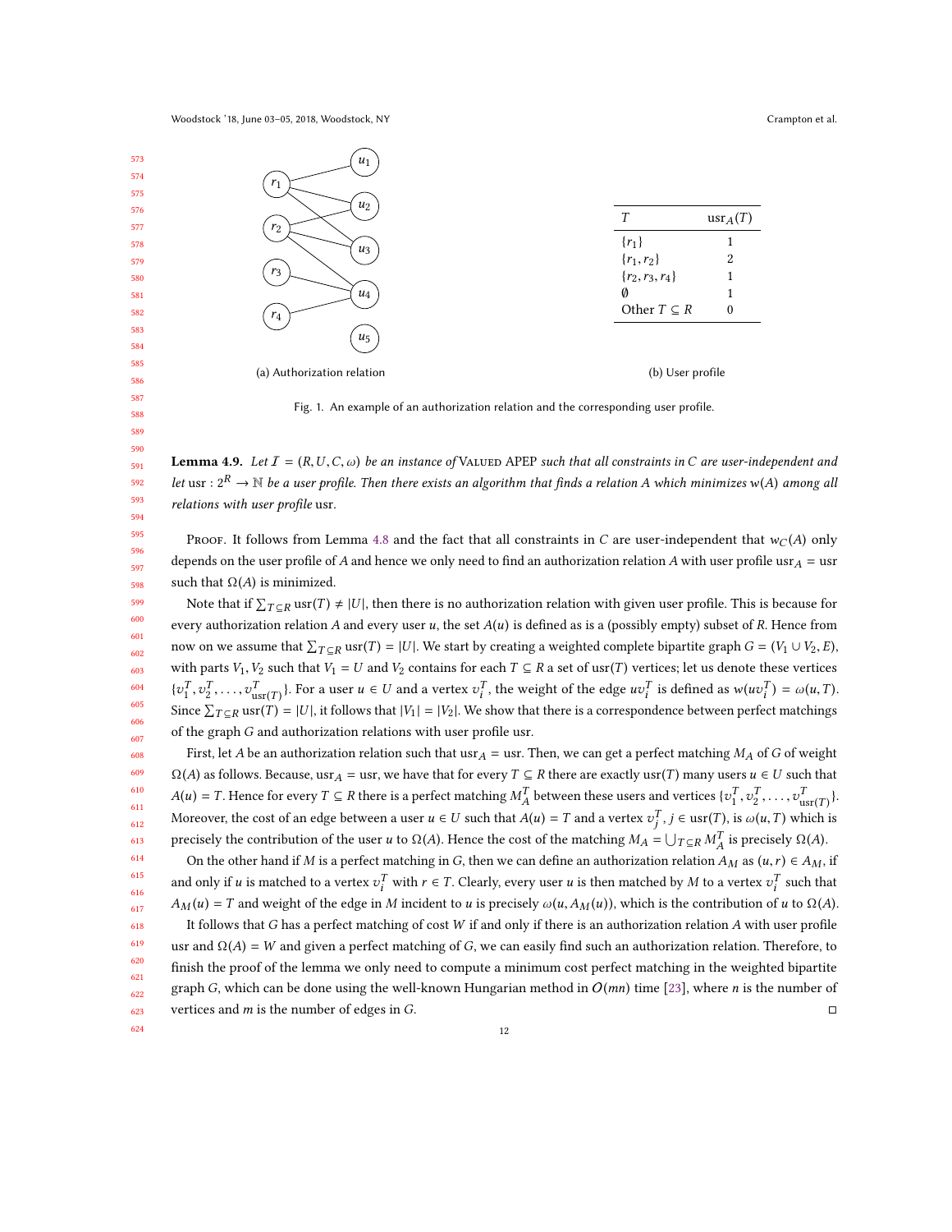<span id="page-11-0"></span>

Fig. 1. An example of an authorization relation and the corresponding user profile.

<span id="page-11-1"></span>**Lemma 4.9.** Let  $I = (R, U, C, \omega)$  be an instance of VALUED APEP such that all constraints in C are user-independent and let usr :  $2^R \to \mathbb{N}$  be a user profile. Then there exists an algorithm that finds a relation A which minimizes w(A) among all relations with user profile usr.

Proof. It follows from Lemma [4.8](#page-10-0) and the fact that all constraints in C are user-independent that  $w_C(A)$  only depends on the user profile of A and hence we only need to find an authorization relation A with user profile usr $_A =$ usr such that  $\Omega(A)$  is minimized.

Note that if  $\sum_{T \subseteq R}$  usr(T)  $\neq |U|$ , then there is no authorization relation with given user profile. This is because for every authorization relation A and every user  $u$ , the set  $A(u)$  is defined as is a (possibly empty) subset of R. Hence from now on we assume that  $\sum_{T \subseteq R}$  usr(T) = |U|. We start by creating a weighted complete bipartite graph  $G = (V_1 \cup V_2, E)$ , with parts  $V_1, V_2$  such that  $V_1 = U$  and  $V_2$  contains for each  $T \subseteq R$  a set of usr(T) vertices; let us denote these vertices  $\{v_1^T, v_2^T, \ldots, v_{\text{user}(T)}^T\}$ . For a user  $u \in U$  and a vertex  $v_i^T$ , the weight of the edge  $uv_i^T$  is defined as  $w(uv_i^T) = \omega(u, T)$ .  $\sum_{i=1}^{\infty} \sum_{i=1}^{\infty} \sum_{i=1}^{\infty} \text{usr}(T) = |U|$ , it follows that  $|V_1| = |V_2|$ . We show that there is a correspondence between perfect matchings of the graph G and authorization relations with user profile usr.

610 First, let A be an authorization relation such that usr $_A$  = usr. Then, we can get a perfect matching  $M_A$  of G of weight  $\Omega(A)$  as follows. Because, usr<sub>A</sub> = usr, we have that for every  $T \subseteq R$  there are exactly usr(T) many users  $u \in U$  such that  $A(u) = T$ . Hence for every  $T \subseteq R$  there is a perfect matching  $M_A^T$  between these users and vertices  $\{v_1^T, v_2^T, \ldots, v_{\text{usr}(T)}^T\}$ . A between these users and vertices  $\{v_1, v_2, \dots, v_{\text{usr}}(T)\}$ Moreover, the cost of an edge between a user  $u \in U$  such that  $A(u) = T$  and a vertex  $v_j^T$ ,  $j \in \text{usr}(T)$ , is  $\omega(u, T)$  which is precisely the contribution of the user u to  $\Omega(A)$ . Hence the cost of the matching  $M_A = \bigcup_{T \subseteq R} M_A^T$  is precisely  $\Omega(A)$ .

On the other hand if M is a perfect matching in G, then we can define an authorization relation  $A_M$  as  $(u, r) \in A_M$ , if and only if u is matched to a vertex  $v_i^T$  with  $r \in T$ . Clearly, every user u is then matched by M to a vertex  $v_i^T$  such that  $A_r(v) = T$  and unitable fitted along Mineribality is used using  $A_r(v)$ . This is the contributi  $A_M(u) = T$  and weight of the edge in M incident to u is precisely  $\omega(u, A_M(u))$ , which is the contribution of u to  $\Omega(A)$ .

618 619 620 621 622 623 It follows that G has a perfect matching of cost W if and only if there is an authorization relation A with user profile usr and  $\Omega(A) = W$  and given a perfect matching of G, we can easily find such an authorization relation. Therefore, to finish the proof of the lemma we only need to compute a minimum cost perfect matching in the weighted bipartite graph G, which can be done using the well-known Hungarian method in  $O(mn)$  time [\[23\]](#page-31-13), where *n* is the number of edges in G. vertices and  $m$  is the number of edges in  $G$ .

624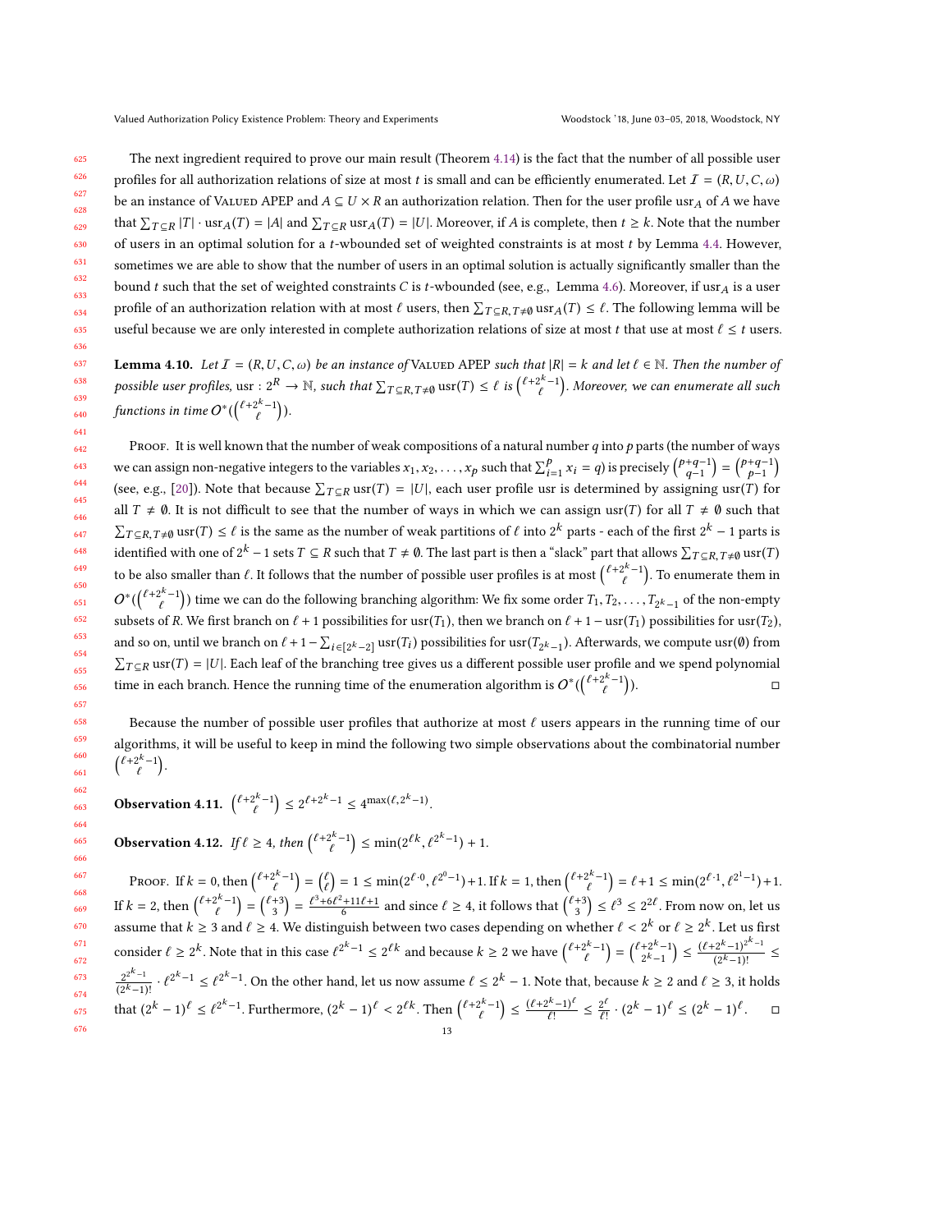639

625 626 627 628 629 630 631 632 633 634 635 The next ingredient required to prove our main result (Theorem [4.14\)](#page-13-0) is the fact that the number of all possible user profiles for all authorization relations of size at most t is small and can be efficiently enumerated. Let  $\mathcal{I} = (R, U, C, \omega)$ be an instance of VALUED APEP and  $A \subseteq U \times R$  an authorization relation. Then for the user profile usr<sub>A</sub> of A we have that  $\sum_{T \subseteq R} |T| \cdot \text{usr}_A(T) = |A|$  and  $\sum_{T \subseteq R} \text{usr}_A(T) = |U|$ . Moreover, if A is complete, then  $t \ge k$ . Note that the number of users in an optimal solution for a  $t$ -wbounded set of weighted constraints is at most  $t$  by Lemma [4.4.](#page-8-0) However, sometimes we are able to show that the number of users in an optimal solution is actually significantly smaller than the bound t such that the set of weighted constraints C is t-wbounded (see, e.g., Lemma [4.6\)](#page-9-0). Moreover, if usr<sub>A</sub> is a user profile of an authorization relation with at most  $\ell$  users, then  $\sum_{T \subseteq R, T \neq \emptyset}$  usr $A(T) \leq \ell$ . The following lemma will be useful because we are only interested in complete authorization relations of size at most t that use at most  $\ell \leq t$  users.

<span id="page-12-0"></span>637 638 640 **Lemma 4.10.** Let  $I = (R, U, C, \omega)$  be an instance of VALUED APEP such that  $|R| = k$  and let  $\ell \in \mathbb{N}$ . Then the number of possible user profiles, usr :  $2^R \to \mathbb{N}$ , such that  $\sum_{T \subseteq R, T \neq \emptyset} \text{usr}(T) \leq \ell$  is  $\binom{\ell+2^k-1}{\ell}$  . Moreover, we can enumerate all such functions in time  $O^*$  $\overline{\phantom{0}}$  $\binom{\ell+2^k-1}{\ell}$ ).

PROOF. It is well known that the number of weak compositions of a natural number  $q$  into  $p$  parts (the number of ways we can assign non-negative integers to the variables  $x_1, x_2, ..., x_p$  such that  $\sum_{i=1}^p x_i = q$ ) is precisely  $\binom{p+q-1}{q-1} = \binom{p+q-1}{p-1}$ <br>(see a.g., [201]. Note that because  $\sum_{i=1}^p x_i = q$  is a discussion is determined (see, e.g., [\[20\]](#page-31-14)). Note that because  $\sum_{T \subseteq R}$  usr(T) = |U|, each user profile usr is determined by assigning usr(T) for all  $T \neq \emptyset$ . It is not difficult to see that the number of ways in which we can assign usr(T) for all  $T \neq \emptyset$  such that  $\sum_{T \subseteq R, T \neq \emptyset} \text{usr}(T) \leq \ell$  is the same as the number of weak partitions of  $\ell$  into  $2^k$  parts - each of the first  $2^k - 1$  parts is identified with one of  $2^k - 1$  sets  $T \subseteq R$  such that  $T \neq \emptyset$ . The last part is then a "slack" part that allows  $\sum_{T \subseteq R, T \neq \emptyset} \text{usr}(T)$ to be also smaller than  $\ell$ . It follows that the number of possible user profiles is at most  $\binom{\ell+2^k-1}{\ell}$ . To enumerate them in  $O^*(\binom{\ell+2^k-1}{\ell})$  time we can do the following branching algorithm: We fix some order  $T_1, T_2, ...$  $\overline{\phantom{a}}$  $\binom{\ell+2^k-1}{\ell}$  time we can do the following branching algorithm: We fix some order  $T_1, T_2, \ldots, T_{2^k-1}$  of the non-empty subsets of R. We first branch on  $\ell + 1$  possibilities for usr(T<sub>1</sub>), then we branch on  $\ell + 1 - \text{usr}(T_1)$  possibilities for usr(T<sub>2</sub>), and so on, until we branch on  $\ell + 1 - \sum_{i \in [2^k-2]} \text{usr}(T_i)$  possibilities for usr( $T_{2^k-1}$ ). Afterwards, we compute usr(Ø) from  $\sum_{T \subseteq R} \text{usr}(T) = |U|$ . Each leaf of the branching tree gives us a different possible user profile and we spend polynomial time in each branch. Hence the running time of the enumeration algorithm is  $O^*$  $\overline{\phantom{a}}$  $\binom{\ell+2^k-1}{\ell}$ Í  $\Box$ 

Because the number of possible user profiles that authorize at most  $\ell$  users appears in the running time of our algorithms, it will be useful to keep in mind the following two simple observations about the combinatorial number  $\binom{\ell+2^k-1}{\ell}$ .

Observation 4.11.  ${\ell+2^{k}-1 \choose \ell} \leq 2^{\ell+2^{k}-1} \leq 4^{\max(\ell, 2^{k}-1)}$ .

<span id="page-12-1"></span>**Observation 4.12.** *If*  $\ell \geq 4$ , *then*  $\binom{\ell + 2^k - 1}{\ell} \leq \min(2^{\ell k}, \ell^{2^k - 1}) + 1$ .

PROOF. If  $k = 0$ , then  ${\ell+2^{k-1} \choose \ell} = {\ell \choose 2} = 1 \le \min(2^{\ell \cdot 0}, \ell^{2^0-1}) + 1$ . If  $k = 1$ , then  ${\ell+2^{k-1} \choose \ell} = \ell + 1 \le \min(2^{\ell \cdot 1}, \ell^{2^1-1}) + 1$ . If  $k = 2$ , then  $\binom{\ell+2^k-1}{\ell} = \binom{\ell+3}{3} = \frac{\ell^3+6\ell^2+11\ell+1}{6}$  and since  $\ell \ge 4$ , it follows that  $\binom{\ell+3}{3} \le \ell^3 \le 2^{2\ell}$ . From now on, let us assume that  $k \ge 3$  and  $\ell \ge 4$ . We distinguish between two cases depending on whether  $\ell < 2^k$  or  $\ell \ge 2^k$ . Let us first consider  $\ell \geq 2^k$ . Note that in this case  $\ell^{2^k-1} \leq 2^{\ell k}$  and because  $k \geq 2$  we have  $\binom{\ell+2^k-1}{\ell} = \binom{\ell+2^k-1}{2^k-1} \leq \frac{(\ell+2^k-1)^{2^k-1}}{(2^k-1)!}$  $\frac{2^{2^{k}-1}}{2^{k}-1!}$   $\cdot \ell^{2^{k}-1} \leq \ell^{2^{k}-1}$ . On the other hand, let us now assume  $\ell \leq 2^{k}-1$ . Note that, because  $k \geq 2$  and  $\ell \geq 3$ , it holds  $\frac{(2^k-1)^{k-1}}{(2^k-1)!} \leq$  $(2<sup>k</sup>-1)!$ that  $(2^k - 1)^\ell \le \ell^{2^k - 1}$ . Furthermore,  $(2^k - 1)^\ell < 2^{\ell k}$ . Then  $\binom{\ell + 2^k - 1}{\ell}$  $\left(\frac{(\ell+2^k-1)^{\ell}}{\ell!} \leq \frac{2^{\ell}}{\ell!} \cdot (2^k-1)^{\ell} \leq (2^k-1)^{\ell}.$ 13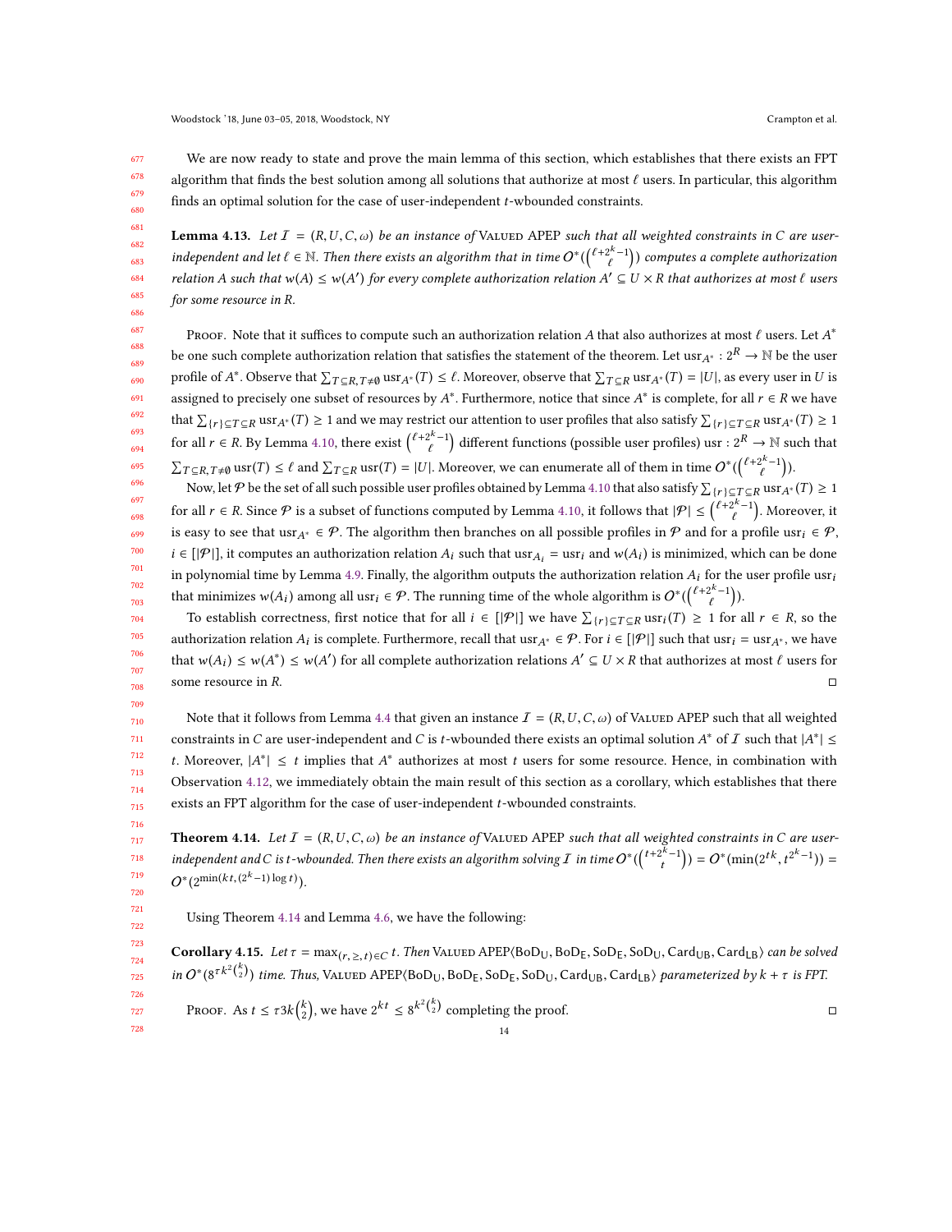711 712 713

We are now ready to state and prove the main lemma of this section, which establishes that there exists an FPT algorithm that finds the best solution among all solutions that authorize at most  $\ell$  users. In particular, this algorithm finds an optimal solution for the case of user-independent t-wbounded constraints.

**Lemma 4.13.** Let  $I = (R, U, C, \omega)$  be an instance of VALUED APEP such that all weighted constraints in C are userindependent and let  $\ell \in \mathbb{N}$ . Then there exists an algorithm that in time  $O^*$  $\mathbf{r}$  $\binom{\ell+2^k-1}{\ell}$  computes a complete authorization relation A such that  $w(A) \le w(A')$  for every complete authorization relation  $A' \subseteq U \times R$  that authorizes at most  $\ell$  users for some resource in R.

Proof. Note that it suffices to compute such an authorization relation A that also authorizes at most  $\ell$  users. Let  $A^*$ be one such complete authorization relation that satisfies the statement of the theorem. Let usr $_{A^*}:2^R\to\mathbb N$  be the user profile of  $A^*$ . Observe that  $\sum_{T \subseteq R, T \neq \emptyset} \text{usr}_{A^*}(T) \leq \ell$ . Moreover, observe that  $\sum_{T \subseteq R} \text{usr}_{A^*}(T) = |U|$ , as every user in U is assigned to precisely one subset of resources by  $A^*$ . Furthermore, notice that since  $A^*$  is complete, for all  $r \in R$  we have that  $\sum_{r}$   $\{r\} \subseteq T \subseteq R$  usr $A^*(T) \ge 1$  and we may restrict our attention to user profiles that also satisfy  $\sum_{r}$   $\sum_{r}$   $\subseteq T \subseteq R$  usr $A^*(T) \ge 1$ for all  $r \in R$ . By Lemma [4.10,](#page-12-0) there exist  $\binom{\ell+2^k-1}{\ell}$  different functions (possible user profiles) usr :  $2^R \to \mathbb{N}$  such that  $\sum_{T \subseteq R, T \neq \emptyset} \text{usr}(T) \leq \ell$  and  $\sum_{T \subseteq R} \text{usr}(T) = |U|$ . Moreover, we can enumerate all of them in time  $O^*(\binom{\ell+2^k-1}{\ell})$ .

Now, let P be the set of all such possible user profiles obtained by Lemma [4.10](#page-12-0) that also satisfy  $\sum_{\{r\} \subseteq T \subseteq R} \text{us}r_A*(T) \ge 1$ for all  $r \in R$ . Since  $P$  is a subset of functions computed by Lemma [4.10,](#page-12-0) it follows that  $|P| \leq {(\ell+2^k-1) \choose \ell}$ . Moreover, it is easy to see that usr<sub>A\*</sub> ∈  $\mathcal{P}$ . The algorithm then branches on all possible profiles in  $\mathcal{P}$  and for a profile usr<sub>i</sub> ∈  $\mathcal{P}$ ,  $i \in [P|\mathcal{P}|]$ , it computes an authorization relation  $A_i$  such that  $\text{usr}_{A_i} = \text{usr}_i$  and  $w(A_i)$  is minimized, which can be done in polynomial time by Lemma [4.9.](#page-11-1) Finally, the algorithm outputs the authorization relation  $A_i$  for the user profile usr<sub>i</sub> that minimizes  $w(A_i)$  among all usr<sub>i</sub> ∈  $P$ . The running time of the whole algorithm is  $O^*((\ell^{t+2^k-1}))$ .

To establish correctness, first notice that for all  $i \in [|\mathcal{P}|]$  we have  $\sum_{\{r\} \subseteq T \subseteq R}$  usr $i(T) \ge 1$  for all  $r \in R$ , so the authorization relation  $A_i$  is complete. Furthermore, recall that usr $_{A^*} \in \mathcal{P}$ . For  $i \in [|\mathcal{P}|]$  such that usr<sub> $i = \text{usr}_{A^*}$ , we have</sub> that  $w(A_i) \le w(A^*) \le w(A')$  for all complete authorization relations  $A' \subseteq U \times R$  that authorizes at most  $\ell$  users for some resource in R.  $\Box$ 

710 714 715 Note that it follows from Lemma [4.4](#page-8-0) that given an instance  $I = (R, U, C, \omega)$  of Valued APEP such that all weighted constraints in C are user-independent and C is t-wbounded there exists an optimal solution  $A^*$  of I such that  $|A^*| \le$ t. Moreover,  $|A^*| \leq t$  implies that  $A^*$  authorizes at most t users for some resource. Hence, in combination with Observation [4.12,](#page-12-1) we immediately obtain the main result of this section as a corollary, which establishes that there exists an FPT algorithm for the case of user-independent t-wbounded constraints.

<span id="page-13-0"></span>**Theorem 4.14.** Let  $I = (R, U, C, \omega)$  be an instance of VALUED APEP such that all weighted constraints in C are userindependent and C is t-wbounded. Then there exists an algorithm solving  $\overline{I}$  in time  $O^*$ <br>•  $\overline{I}$  in time  $O^*$  $\overline{\phantom{a}}$  $\binom{t+2^k-1}{t}$ ) =  $O^*(\min(2^{tk}, t))$  $2^{k}-1)$ ) =  $O^*(2^{\min(kt, (2^k-1)\log t)}).$ 

Using Theorem [4.14](#page-13-0) and Lemma [4.6,](#page-9-0) we have the following:

<span id="page-13-1"></span>Corollary 4.15. Let  $\tau = \max_{(r, > t) \in C} t$ . Then Valued APEP $(BoD_U, BoD_E, SoD_E, SoD_U, Card_{UB}, Card_{LB})$  can be solved  $in O^*(8^{\tau k^2 {k \choose 2}})$  time. Thus, VALUED APEP $\langle \text{BoD}_U, \text{BoD}_E, \text{SoD}_U, \text{Card}_{\text{UB}}, \text{Card}_{\text{LB}} \rangle$  parameterized by  $k + \tau$  is FPT.

PROOF. As  $t \leq \tau 3k\binom{k}{2}$ , we have  $2^{kt} \leq 8^{k^2\binom{k}{2}}$  completing the proof.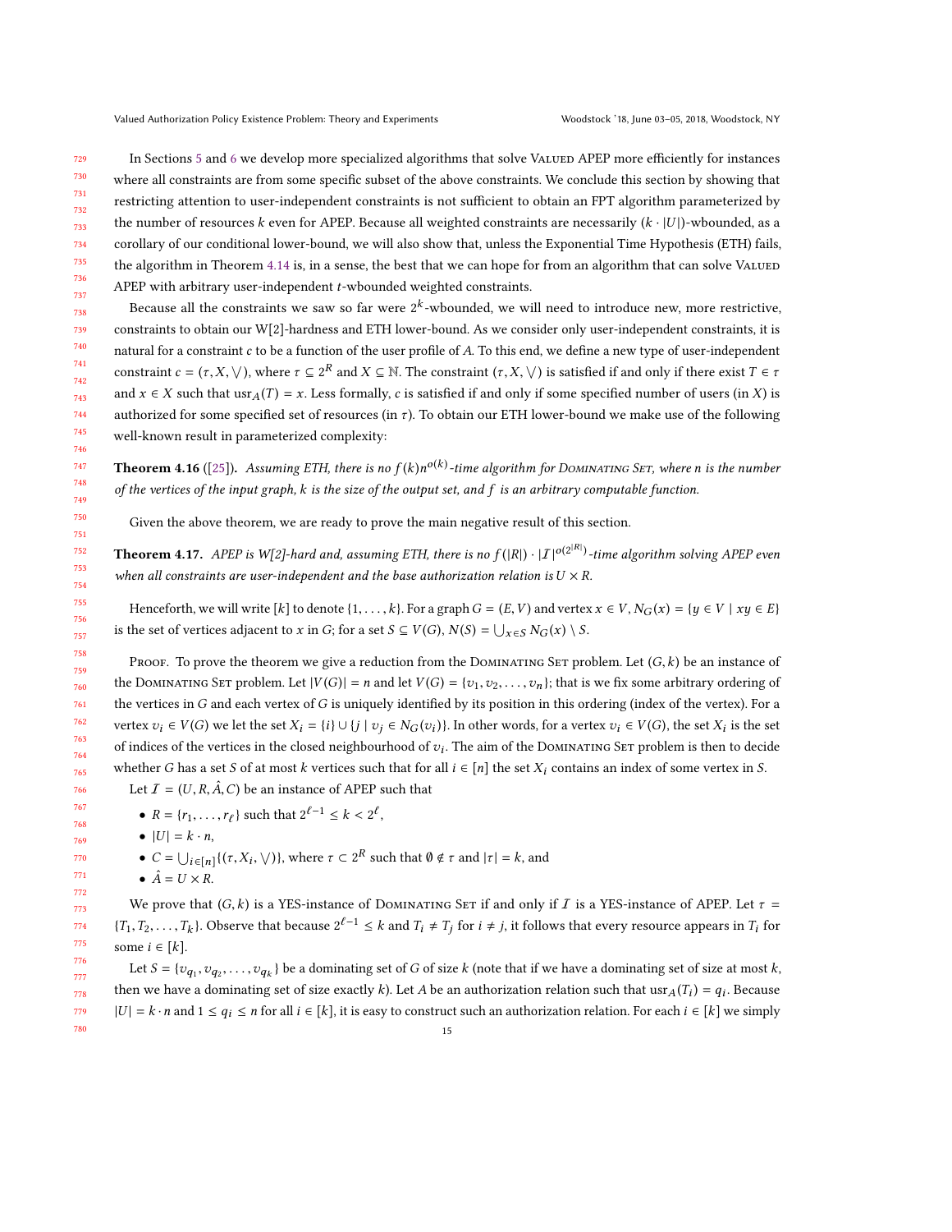729 734 In Sections [5](#page-15-0) and [6](#page-16-0) we develop more specialized algorithms that solve VALUED APEP more efficiently for instances where all constraints are from some specific subset of the above constraints. We conclude this section by showing that restricting attention to user-independent constraints is not sufficient to obtain an FPT algorithm parameterized by the number of resources k even for APEP. Because all weighted constraints are necessarily  $(k \cdot |U|)$ -wbounded, as a corollary of our conditional lower-bound, we will also show that, unless the Exponential Time Hypothesis (ETH) fails, the algorithm in Theorem [4.14](#page-13-0) is, in a sense, the best that we can hope for from an algorithm that can solve VaLUED APEP with arbitrary user-independent  $t$ -wbounded weighted constraints.

Because all the constraints we saw so far were  $2^k$ -wbounded, we will need to introduce new, more restrictive, constraints to obtain our W[2]-hardness and ETH lower-bound. As we consider only user-independent constraints, it is natural for a constraint  $c$  to be a function of the user profile of  $A$ . To this end, we define a new type of user-independent constraint  $c = (\tau, X, \vee)$ , where  $\tau \subseteq 2^R$  and  $X \subseteq \mathbb{N}$ . The constraint  $(\tau, X, \vee)$  is satisfied if and only if there exist  $T \in \tau$ and  $x \in X$  such that  $\text{usr}_A(T) = x$ . Less formally, c is satisfied if and only if some specified number of users (in X) is authorized for some specified set of resources (in  $\tau$ ). To obtain our ETH lower-bound we make use of the following well-known result in parameterized complexity:

<span id="page-14-0"></span>**Theorem 4.16** ([\[25\]](#page-31-15)). Assuming ETH, there is no  $f(k)n^{o(k)}$ -time algorithm for DOMINATING SET, where n is the number of the vertices of the input graph, k is the size of the output set, and f is an arbitrary computable function.

Given the above theorem, we are ready to prove the main negative result of this section.

**Theorem 4.17.** APEP is W[2]-hard and, assuming ETH, there is no  $f(|R|) \cdot |I|^{o(2|R)}$ -time algorithm solving APEP even when all constraints are user-independent and the base authorization relation is  $U \times R$ .

Henceforth, we will write  $[k]$  to denote  $\{1,\ldots,k\}$ . For a graph  $G = (E, V)$  and vertex  $x \in V$ ,  $N_G(x) = \{y \in V \mid xy \in E\}$ is the set of vertices adjacent to x in G; for a set  $S \subseteq V(G)$ ,  $N(S) = \bigcup_{x \in S} N_G(x) \setminus S$ .

Proof. To prove the theorem we give a reduction from the DOMINATING SET problem. Let  $(G, k)$  be an instance of the DOMINATING SET problem. Let  $|V(G)| = n$  and let  $V(G) = \{v_1, v_2, \ldots, v_n\}$ ; that is we fix some arbitrary ordering of the vertices in  $G$  and each vertex of  $G$  is uniquely identified by its position in this ordering (index of the vertex). For a vertex  $v_i \in V(G)$  we let the set  $X_i = \{i\} \cup \{j \mid v_j \in N_G(v_i)\}\)$ . In other words, for a vertex  $v_i \in V(G)$ , the set  $X_i$  is the set of indices of the vertices in the closed neighbourhood of  $v_i$ . The aim of the Dominating Set problem is then to decide whether G has a set S of at most k vertices such that for all  $i \in [n]$  the set  $X_i$  contains an index of some vertex in S. Let  $\mathcal{I} = (U, R, \hat{A}, C)$  be an instance of APEP such that

- $R = \{r_1, ..., r_\ell\}$  such that  $2^{\ell-1} \le k < 2^\ell$ ,
- $\bullet$   $|U| = k \cdot n$ ,
- $C = \bigcup_{i \in [n]} \{(\tau, X_i, \vee)\}\$ , where  $\tau \subset 2^R$  such that  $\emptyset \notin \tau$  and  $|\tau| = k$ , and
- $\hat{A} = U \times R$ .

We prove that  $(G, k)$  is a YES-instance of DOMINATING SET if and only if I is a YES-instance of APEP. Let  $\tau =$  $\{T_1, T_2, \ldots, T_k\}$ . Observe that because  $2^{\ell-1} \le k$  and  $T_i \ne T_j$  for  $i \ne j$ , it follows that every resource appears in  $T_i$  for some  $i \in [k]$ .

Let  $S = \{v_{q_1}, v_{q_2}, \ldots, v_{q_k}\}$  be a dominating set of G of size k (note that if we have a dominating set of size at most k, then we have a dominating set of size exactly k). Let A be an authorization relation such that usr $_A(T_i) = q_i$ . Because  $|U| = k \cdot n$  and  $1 \le q_i \le n$  for all  $i \in [k]$ , it is easy to construct such an authorization relation. For each  $i \in [k]$  we simply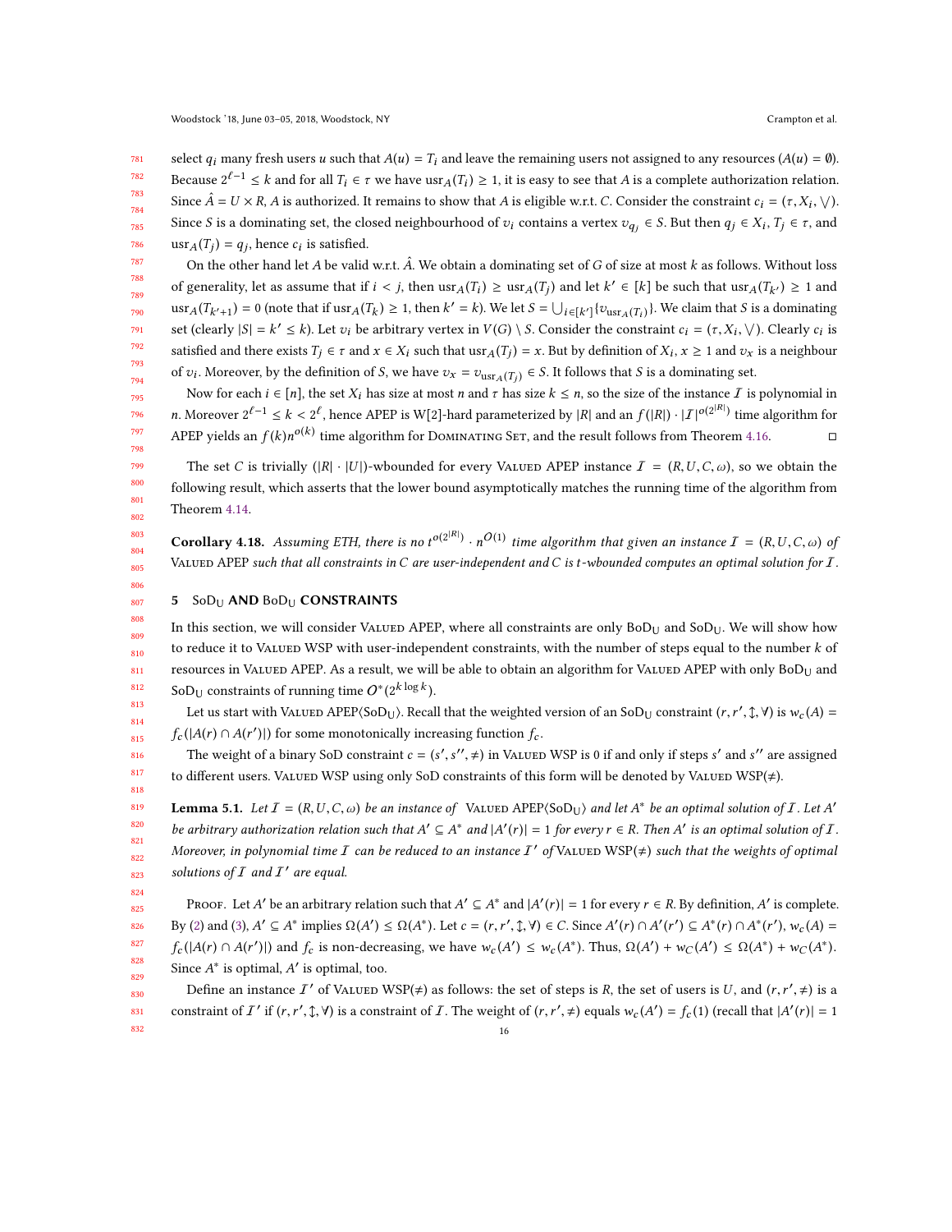781 782 783 784 785 786 select  $q_i$  many fresh users u such that  $A(u) = T_i$  and leave the remaining users not assigned to any resources  $(A(u) = \emptyset)$ . Because  $2^{\ell-1} \le k$  and for all  $T_i \in \tau$  we have  $\text{usr}_A(T_i) \ge 1$ , it is easy to see that A is a complete authorization relation. Since  $\hat{A} = U \times R$ , A is authorized. It remains to show that A is eligible w.r.t. C. Consider the constraint  $c_i = (\tau, X_i, \vee)$ . Since S is a dominating set, the closed neighbourhood of  $v_i$  contains a vertex  $v_{q_j} \in S$ . But then  $q_j \in X_i$ ,  $T_j \in \tau$ , and  $\text{usr}_A(T_j) = q_j$ , hence  $c_i$  is satisfied.

787 788 789 790 791 792 793 794 On the other hand let A be valid w.r.t.  $\hat{A}$ . We obtain a dominating set of G of size at most k as follows. Without loss of generality, let as assume that if  $i < j$ , then  $\text{usr}_A(T_i) \geq \text{usr}_A(T_j)$  and let  $k' \in [k]$  be such that  $\text{usr}_A(T_{k'}) \geq 1$  and  $\text{u}$ sr<sub>A</sub>(T<sub>k'+1</sub>) = 0 (note that if usr<sub>A</sub>(T<sub>k</sub>) ≥ 1, then k' = k). We let  $S = \bigcup_{i \in [k']} \{v_{\text{usr}_A(T_i)}\}$ . We claim that S is a dominating set (clearly  $|S| = k' \le k$ ). Let  $v_i$  be arbitrary vertex in  $V(G) \setminus S$ . Consider the constraint  $c_i = (\tau, X_i, \setminus)$ . Clearly  $c_i$  is satisfied and there exists  $T_j \in \tau$  and  $x \in X_i$  such that  $\text{usr}_A(T_j) = x$ . But by definition of  $X_i$ ,  $x \ge 1$  and  $v_x$  is a neighbour of  $v_i$ . Moreover, by the definition of *S*, we have  $v_x = v_{\text{usr}_A(T_j)} \in S$ . It follows that *S* is a dominating set.

Now for each  $i \in [n]$ , the set  $X_i$  has size at most n and  $\tau$  has size  $k \leq n$ , so the size of the instance  $\tau$  is polynomial in *n*. Moreover  $2^{\ell-1} \le k < 2^{\ell}$ , hence APEP is W[2]-hard parameterized by |R| and an  $f(|R|) \cdot |I|^{o(2^{|R|})}$  time algorithm for APEP yields an  $f(k)n^{o(k)}$  time algorithm for Dominating Set, and the result follows from Theorem [4.16.](#page-14-0) □

The set C is trivially  $(|R| \cdot |U|)$ -wbounded for every VALUED APEP instance  $\mathcal{I} = (R, U, C, \omega)$ , so we obtain the following result, which asserts that the lower bound asymptotically matches the running time of the algorithm from Theorem [4.14.](#page-13-0)

**Corollary 4.18.** Assuming ETH, there is no  $t^{o(2^{|R|})} \cdot n^{O(1)}$  time algorithm that given an instance  $I = (R, U, C, \omega)$  of VALUED APEP such that all constraints in C are user-independent and C is t-wbounded computes an optimal solution for  $I$ .

#### <span id="page-15-0"></span>807 5 SoD<sub>U</sub> AND BoD<sub>U</sub> CONSTRAINTS

808

816 817 818

824

809 810 811 812 In this section, we will consider Valued APEP, where all constraints are only  $B_0D_{U}$  and  $S_0D_{U}$ . We will show how to reduce it to VALUED WSP with user-independent constraints, with the number of steps equal to the number  $k$  of resources in Valued APEP. As a result, we will be able to obtain an algorithm for Valued APEP with only  $BoD<sub>U</sub>$  and  $\text{SoD}_U$  constraints of running time  $O^*(2^k \log k)$ .

813 814 815 Let us start with VALUED APEP⟨SoD<sub>U</sub>⟩. Recall that the weighted version of an SoD<sub>U</sub> constraint  $(r, r', \mathcal{I}, \forall)$  is  $w_c(A) =$  $f_c(|A(r) \cap A(r')|)$  for some monotonically increasing function  $f_c$ .

The weight of a binary SoD constraint  $c = (s', s'', \neq)$  in Valued WSP is 0 if and only if steps s' and s'' are assigned to different users. Valued WSP using only SoD constraints of this form will be denoted by Valued WSP( $\neq$ ).

<span id="page-15-1"></span>819 820 821 822 823 **Lemma 5.1.** Let  $I = (R, U, C, \omega)$  be an instance of VALUED APEP $(\text{SolU})$  and let  $A^*$  be an optimal solution of I. Let  $A'$ be arbitrary authorization relation such that  $A' \subseteq A^*$  and  $|A'(r)| = 1$  for every  $r \in R$ . Then  $A'$  is an optimal solution of  $I$ . Moreover, in polynomial time  $I$  can be reduced to an instance  $I'$  of VALUED WSP( $\neq$ ) such that the weights of optimal solutions of  $I$  and  $I'$  are equal.

825 826 827 828 829 PROOF. Let A' be an arbitrary relation such that  $A' \subseteq A^*$  and  $|A'(r)| = 1$  for every  $r \in R$ . By definition, A' is complete. By [\(2\)](#page-5-1) and [\(3\)](#page-6-7),  $A' \subseteq A^*$  implies  $\Omega(A') \leq \Omega(A^*)$ . Let  $c = (r, r', \hat{\lambda}, \forall) \in C$ . Since  $A'(r) \cap A'(r') \subseteq A^*(r) \cap A^*(r'), w_c(A) =$  $f_c(|A(r) \cap A(r')|)$  and  $f_c$  is non-decreasing, we have  $w_c(A') \leq w_c(A^*)$ . Thus,  $\Omega(A') + w_c(A') \leq \Omega(A^*) + w_c(A^*)$ ). Since  $A^*$  is optimal,  $A'$  is optimal, too.

830 831 832 Define an instance  $I'$  of VALUED WSP( $\neq$ ) as follows: the set of steps is R, the set of users is U, and  $(r, r', \neq)$  is a constraint of  $I'$  if  $(r, r', \mathcal{L}, \mathcal{V})$  is a constraint of  $I$ . The weight of  $(r, r', \neq)$  equals  $w_c(A') = f_c(1)$  (recall that  $|A'(r)| = 1$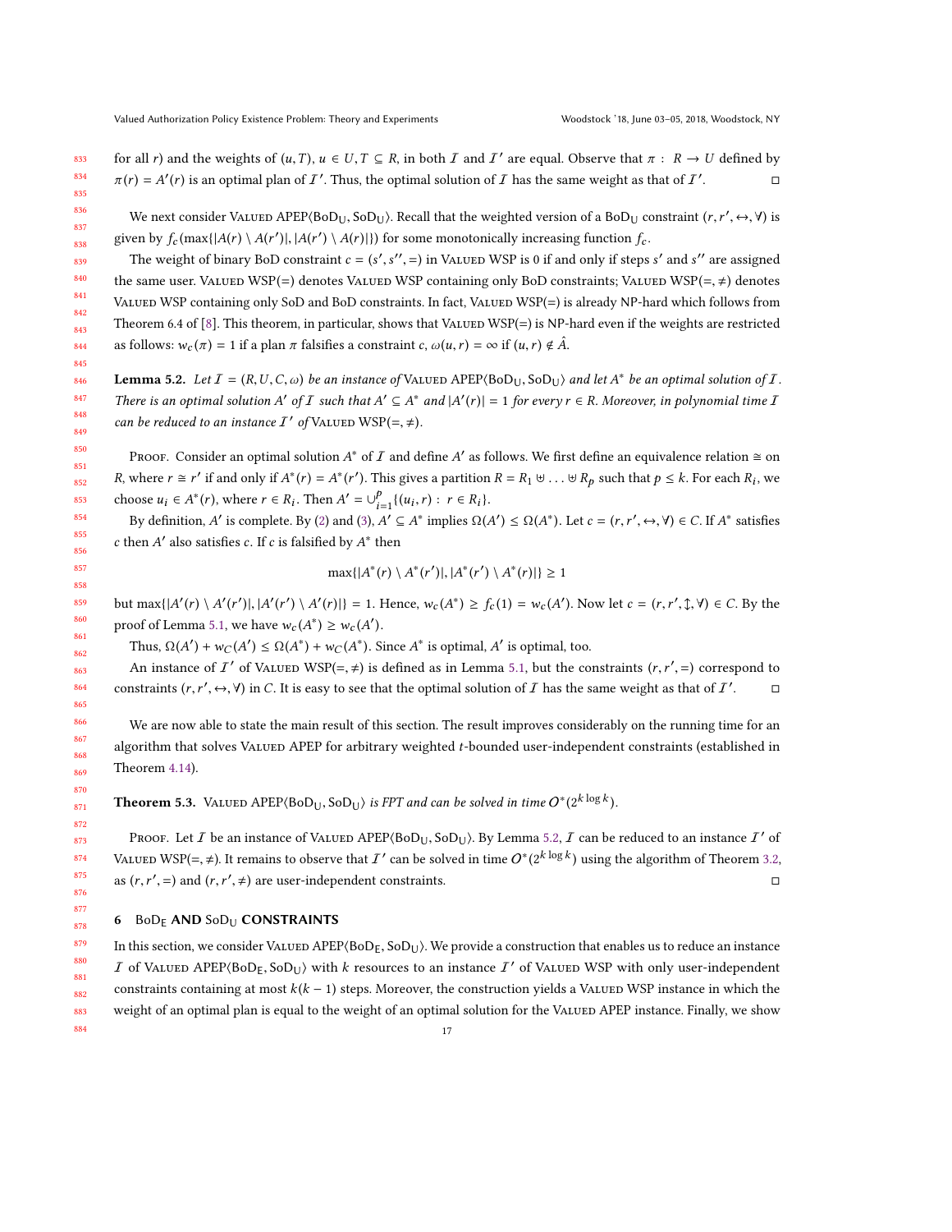for all r) and the weights of  $(u, T)$ ,  $u \in U, T \subseteq R$ , in both  $T$  and  $T'$  are equal. Observe that  $\pi : R \to U$  defined by  $\pi(r) = A'(r)$  is an optimal plan of  $I'$ . Thus, the optimal solution of  $I$  has the same weight as that of  $I'$ . □

We next consider Valued APEP⟨BoD<sub>U</sub>, SoD<sub>U</sub>). Recall that the weighted version of a BoD<sub>U</sub> constraint  $(r, r', \leftrightarrow, \forall)$  is given by  $f_c$  (max{ $|A(r) \setminus A(r')|$ ,  $|A(r') \setminus A(r)|$ ) for some monotonically increasing function  $f_c$ .

The weight of binary BoD constraint  $c = (s', s'', =)$  in VALUED WSP is 0 if and only if steps s' and s'' are assigned the same user. Valued WSP(=) denotes Valued WSP containing only BoD constraints; Valued WSP(=,  $\neq$ ) denotes VALUED WSP containing only SoD and BoD constraints. In fact, VALUED WSP(=) is already NP-hard which follows from Theorem 6.4 of [\[8\]](#page-31-16). This theorem, in particular, shows that VALUED WSP( $=$ ) is NP-hard even if the weights are restricted as follows:  $w_c(\pi) = 1$  if a plan  $\pi$  falsifies a constraint c,  $\omega(u, r) = \infty$  if  $(u, r) \notin \hat{A}$ .

<span id="page-16-1"></span>**Lemma 5.2.** Let  $I = (R, U, C, \omega)$  be an instance of VALUED APEP $(BOD_U, SoD_U)$  and let  $A^*$  be an optimal solution of  $I$ . There is an optimal solution A' of I such that  $A' \subseteq A^*$  and  $|A'(r)| = 1$  for every  $r \in R$ . Moreover, in polynomial time I can be reduced to an instance  $I'$  of VALUED WSP(=,  $\neq$ ).

PROOF. Consider an optimal solution  $A^*$  of  $I$  and define  $A'$  as follows. We first define an equivalence relation  $\cong$  on R, where  $r \cong r'$  if and only if  $A^*(r) = A^*(r')$ . This gives a partition  $R = R_1 \uplus ... \uplus R_p$  such that  $p \le k$ . For each  $R_i$ , we choose  $u_i \in A^*(r)$ , where  $r \in R_i$ . Then  $A' = \bigcup_{i=1}^p \{(u_i, r) : r \in R_i\}$ .  $i=1$ 

By definition, A' is complete. By [\(2\)](#page-5-1) and [\(3\)](#page-6-7), A'  $\subseteq$  A\* implies  $\Omega(A') \leq \Omega(A^*)$ . Let  $c = (r, r', \leftrightarrow, \forall) \in C$ . If A\* satisfies c then  $A'$  also satisfies c. If c is falsified by  $A^*$  then

$$
\max\{|A^*(r) \setminus A^*(r')|, |A^*(r') \setminus A^*(r)|\} \ge 1
$$

but  $\max\{|A'(r) \setminus A'(r')|, |A'(r') \setminus A'(r)|\} = 1$ . Hence,  $w_c(A^*) \ge f_c(1) = w_c(A')$ . Now let  $c = (r, r', \mathcal{I}, \forall) \in C$ . By the proof of Lemma [5.1,](#page-15-1) we have  $w_c(A^*) \geq w_c(A')$ 

Thus,  $\Omega(A') + w_C(A') \leq \Omega(A^*) + w_C(A^*)$ . Since  $A^*$  is optimal,  $A'$  is optimal, too.

An instance of  $I'$  of Valued WSP(=,  $\neq$ ) is defined as in Lemma [5.1,](#page-15-1) but the constraints  $(r, r', =)$  correspond to constraints  $(r, r', \leftrightarrow, \forall)$  in C. It is easy to see that the optimal solution of  $I$  has the same weight as that of  $I'$  $\Box$ 

We are now able to state the main result of this section. The result improves considerably on the running time for an algorithm that solves VALUED APEP for arbitrary weighted t-bounded user-independent constraints (established in Theorem [4.14\)](#page-13-0).

**Theorem 5.3.** VALUED  $\text{APEP}(\text{BoD}_U, \text{SoD}_U)$  is FPT and can be solved in time  $O^*(2^{k \log k})$ .

PROOF. Let I be an instance of VALUED APEP⟨BoD<sub>U</sub>, SoD<sub>U</sub>⟩. By Lemma [5.2,](#page-16-1) I can be reduced to an instance I' of VALUED WSP(=,  $\neq$ ). It remains to observe that  $I'$  can be solved in time  $O^*(2^{k \log k})$  using the algorithm of Theorem [3.2,](#page-7-1) as  $(r, r', =)$  and  $(r, r', \neq)$  are user-independent constraints.  $\Box$ 

### <span id="page-16-0"></span>6 BoD<sub>F</sub> AND SoD<sub>U</sub> CONSTRAINTS

In this section, we consider VALUED APEP $(BoD<sub>E</sub>, SoD<sub>U</sub>)$ . We provide a construction that enables us to reduce an instance  $I$  of Valued APEP $(80D_E, 50D_U)$  with k resources to an instance  $I'$  of Valued WSP with only user-independent constraints containing at most  $k(k - 1)$  steps. Moreover, the construction yields a VALUED WSP instance in which the weight of an optimal plan is equal to the weight of an optimal solution for the VALUED APEP instance. Finally, we show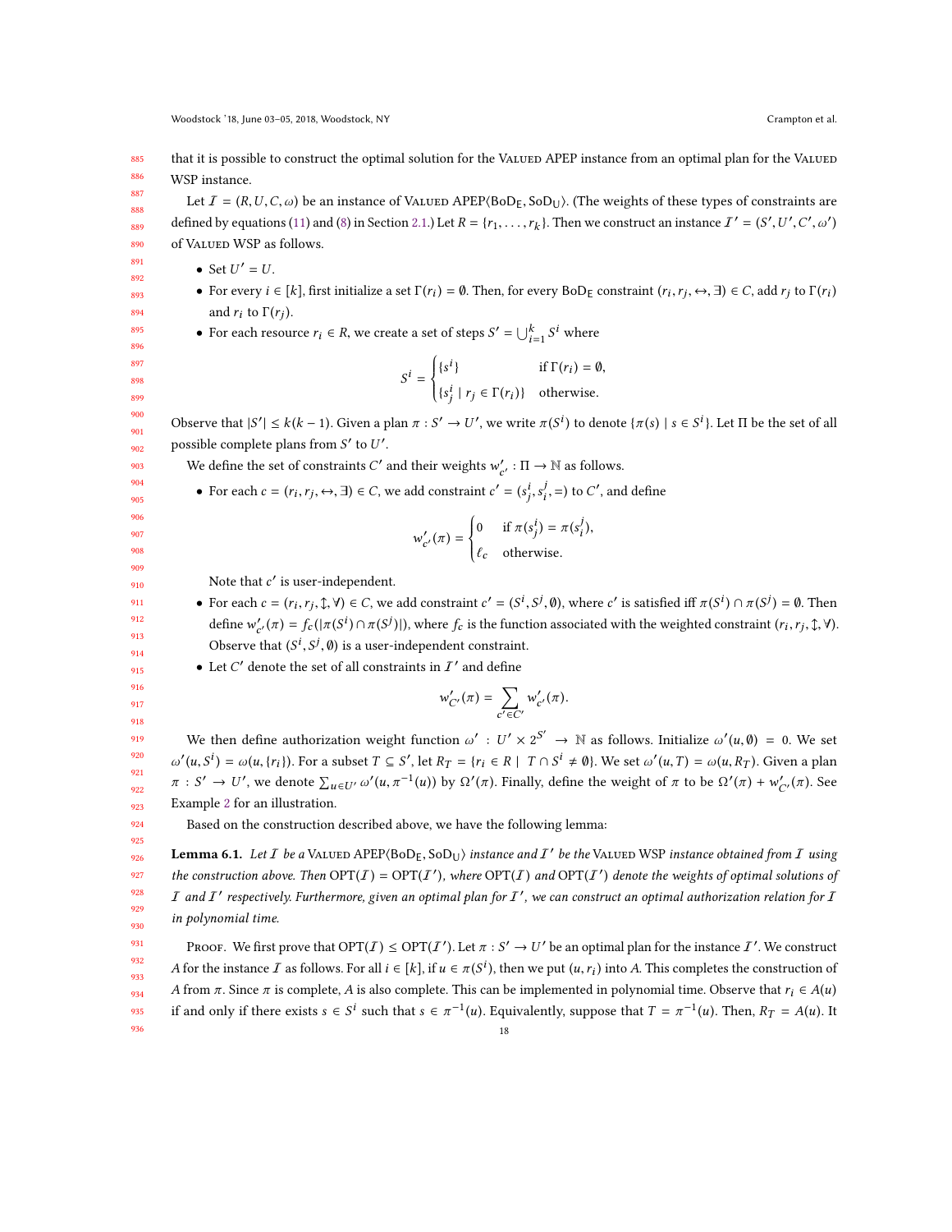885 886 that it is possible to construct the optimal solution for the VALUED APEP instance from an optimal plan for the VALUED WSP instance.

Let  $I = (R, U, C, \omega)$  be an instance of VALUED APEP $\langle$ BoD<sub>E</sub>, SoD<sub>U</sub>). (The weights of these types of constraints are defined by equations [\(11\)](#page-6-5) and [\(8\)](#page-6-2) in Section [2.1.](#page-2-0)) Let  $R = \{r_1, \ldots, r_k\}$ . Then we construct an instance  $I' = (S' \cdot S')$  $\ddot{\phantom{1}}$ ′  $\overline{\phantom{a}}$ ′ ,ω ′  $\overline{\phantom{a}}$ of VALUED WSP as follows.

• Set  $U' = U$ .

- For every  $i \in [k]$ , first initialize a set  $\Gamma(r_i) = \emptyset$ . Then, for every  $BoD_E$  constraint  $(r_i, r_j, \leftrightarrow, \exists) \in C$ , add  $r_j$  to  $\Gamma(r_i)$ and  $r_i$  to  $\Gamma(r_j)$ .
- For each resource  $r_i \in R$ , we create a set of steps  $S' = \bigcup_{i=1}^k S^i$  where

$$
S^{i} = \begin{cases} \{s^{i}\} & \text{if } \Gamma(r_{i}) = \emptyset, \\ \{s_{j}^{i} \mid r_{j} \in \Gamma(r_{i})\} & \text{otherwise.} \end{cases}
$$

Observe that  $|S'| \le k(k-1)$ . Given a plan  $\pi : S' \to U'$ , we write  $\pi(S^i)$  to denote  $\{\pi(s) \mid s \in S^i\}$ . Let  $\Pi$  be the set of all possible complete plans from  $S'$  to  $U'$ .

We define the set of constraints C' and their weights  $w'_{c'} : \Pi \to \mathbb{N}$  as follows.

• For each  $c = (r_i, r_j, \leftrightarrow, \exists) \in C$ , we add constraint  $c' = (s_j^i, s_i^j, =)$  to  $C'$ , and define

j

$$
w'_{c'}(\pi) = \begin{cases} 0 & \text{if } \pi(s_j^i) = \pi(s_i^j), \\ \ell_c & \text{otherwise.} \end{cases}
$$

j

Note that  $c'$  is user-independent.

• For each  $c = (r_i, r_j, \mathcal{X}, \mathcal{Y}) \in C$ , we add constraint  $c' = (S^i, S^j, \mathcal{Y})$ , where  $c'$  is satisfied iff  $\pi(S^i) \cap \pi(S^j) = \mathcal{Y}$ . Then define  $w'_{c'}(\pi) = f_c(|\pi(S^i) \cap \pi(S^j)|)$ , where  $f_c$  is the function associated with the weighted constraint  $(r_i, r_j, \hat{\tau}, \hat{\tau})$ . Observe that  $(S^i, S^j, \emptyset)$  is a user-independent constraint.

• Let C' denote the set of all constraints in  $I'$  and define

$$
w'_{C'}(\pi) = \sum_{c' \in C'} w'_{c'}(\pi).
$$

We then define authorization weight function  $\omega' : U' \times 2^{S'} \to \mathbb{N}$  as follows. Initialize  $\omega'(u, \emptyset) = 0$ . We set  $\pi : S' \to U'$ , we denote  $\sum_{u \in U'} \omega'$  $\mathcal{L}(u, S^i) = \omega(u, \{r_i\})$ . For a subset  $T \subseteq S'$ , let  $R_T = \{r_i \in R \mid T \cap S^i \neq \emptyset\}$ . We set  $\omega'(u, T) = \omega(u, R_T)$ . Given a plan  $($  $\dots,$  $\dots$ <sup>-1</sup>(*u*)) by Ω'(*π*). Finally, define the weight of *π* to be Ω'(*π*) +  $w'_{C'}(\pi)$ . See Example [2](#page-18-0) for an illustration.

<span id="page-17-0"></span>Based on the construction described above, we have the following lemma:

926 927 928 929 930 **Lemma 6.1.** Let  $I$  be a VALUED APEP $(BoD_E, SoD_U)$  instance and  $I'$  be the VALUED WSP instance obtained from  $I$  using the construction above. Then  $\text{OPT}(I) = \text{OPT}(I')$ , where  $\text{OPT}(I)$  and  $\text{OPT}(I')$  denote the weights of optimal solutions of  $I$  and  $I'$  respectively. Furthermore, given an optimal plan for  $I'$ , we can construct an optimal authorization relation for  $I$ in polynomial time.

931 932 933 934 935 936 PROOF. We first prove that  $OPT(I) \le OPT(I')$ . Let  $\pi : S' \to U'$  be an optimal plan for the instance  $I'$ . We construct A for the instance I as follows. For all  $i \in [k]$ , if  $u \in \pi(S^i)$ , then we put  $(u, r_i)$  into A. This completes the construction of A from  $\pi$ . Since  $\pi$  is complete, A is also complete. This can be implemented in polynomial time. Observe that  $r_i \in A(u)$ if and only if there exists  $s \in S^i$  such that  $s \in \pi^{-1}(u)$ . Equivalently, suppose that  $T = \pi^{-1}(u)$ . Then,  $R_T = A(u)$ . It 18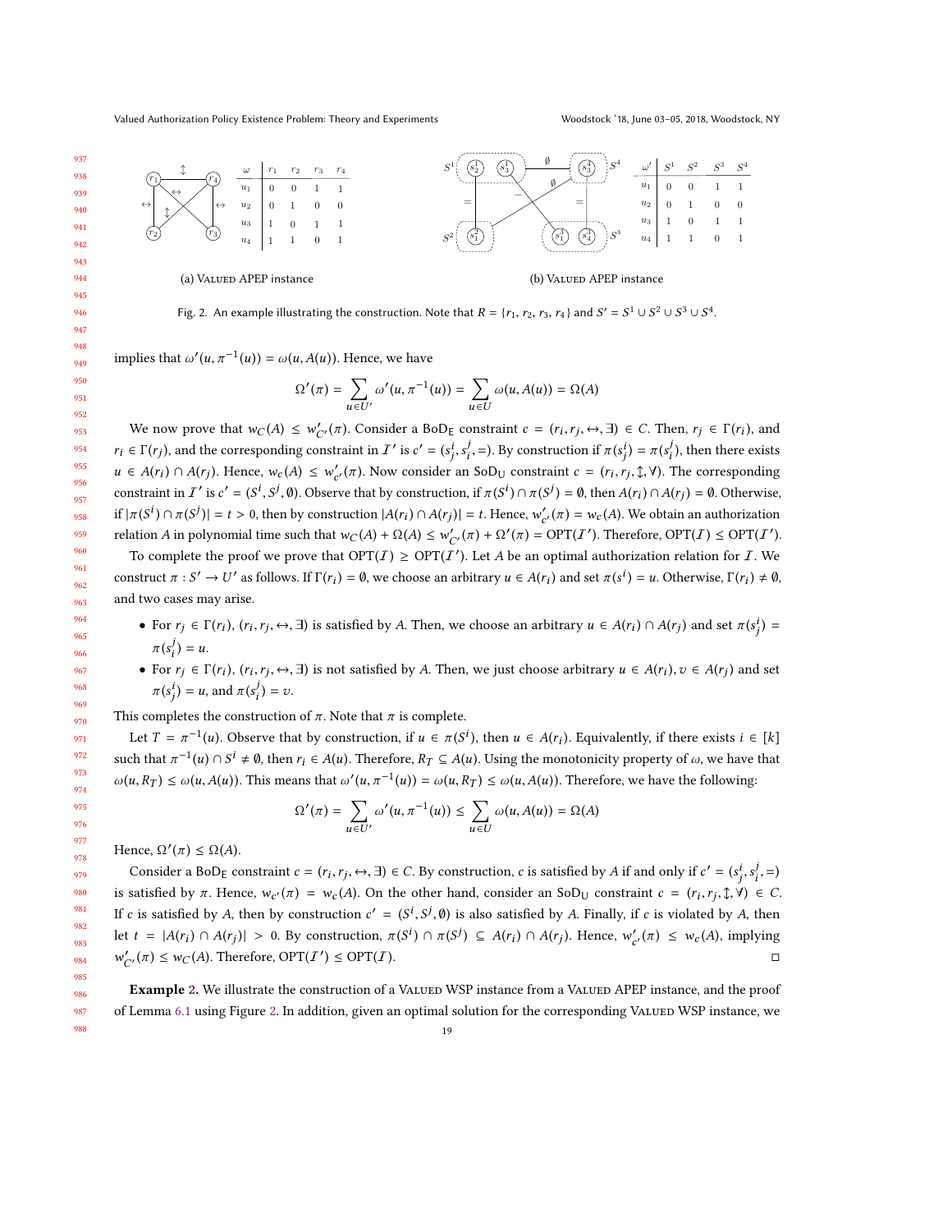#### Valued Authorization Policy Existence Problem: Theory and Experiments Woodstock '18, June 03–05, 2018, Woodstock, NY

<span id="page-18-0"></span>

Fig. 2. An example illustrating the construction. Note that  $R = \{r_1, r_2, r_3, r_4\}$  and  $S' = S^1 \cup S^2 \cup S^3 \cup S^4$ .

implies that  $\omega'$  $($  $\dots,$  $\dots$  $(1(u)) = \omega(u, A(u))$ . Hence, we have

$$
\Omega'(\pi) = \sum_{u \in U'} \omega'(u, \pi^{-1}(u)) = \sum_{u \in U} \omega(u, A(u)) = \Omega(A)
$$

We now prove that  $w_C(A) \leq w'_{C'}(\pi)$ . Consider a BoD<sub>E</sub> constraint  $c = (r_i, r_j \leftrightarrow \pi) \in C$ . Then,  $r_j \in \Gamma(r_i)$ , and We now prove that  $w_C(x) \leq w_{C'}(x)$ . Consider a BoDE constraint  $c = (r_i, r_j, \Leftrightarrow, \Delta) \in C$ . Then,  $r_j \in \Gamma(r_i)$ , and  $r_i \in \Gamma(r_j)$ , and the corresponding constraint in  $T'$  is  $c' = (s_j^i, s_i^j, \Delta)$ . By construction if  $\pi(s_j^i) = \pi(s_i$  $u \in A(r_i) \cap A(r_j)$ . Hence,  $w_c(A) \leq w'_{c'}(\pi)$ . Now consider an SoD<sub>U</sub> constraint  $c = (r_i, r_j, \hat{\psi}, \hat{\psi})$ . The corresponding constraint in I' is  $c' = (S^i, S^j, \emptyset)$ . Observe that by construction, if  $\pi(S^i) \cap \pi(S^j) = \emptyset$ , then  $A(r_i) \cap A(r_j) = \emptyset$ . Otherwise,  $\text{if } |\pi(S^i) \cap \pi(S^j)| = t > 0, \text{ then by construction } |A(r_i) \cap A(r_j)| = t. \text{ Hence, } w'_{c'}(\pi) = w_c(A). \text{ We obtain an authorization.}$ relation A in polynomial time such that  $w_C(A) + \Omega(A) \leq w'_{C'}(\pi) + \Omega'(\pi) = \text{OPT}(I')$ . Therefore,  $\text{OPT}(I) \leq \text{OPT}(I')$ .<br>To complete the groof we group that  $\text{OPT}(I) \geq \text{OPT}(I')$ . Let A he an optimal outhorization polytic for L. We

To complete the proof we prove that  $OPT(I) \ge OPT(I')$ . Let A be an optimal authorization relation for I. We construct  $\pi : S' \to U'$  as follows. If  $\Gamma(r_i) = \emptyset$ , we choose an arbitrary  $u \in A(r_i)$  and set  $\pi(s^i) = u$ . Otherwise,  $\Gamma(r_i) \neq \emptyset$ , and two cases may arise.

- For  $r_j \in \Gamma(r_i)$ ,  $(r_i, r_j, \leftrightarrow, \exists)$  is satisfied by A. Then, we choose an arbitrary  $u \in A(r_i) \cap A(r_j)$  and set  $\pi(s_j^i) =$ j  $\binom{y}{i} = u.$
- For  $r_j \in \Gamma(r_i)$ ,  $(r_i, r_j, \leftrightarrow, \exists)$  is not satisfied by A. Then, we just choose arbitrary  $u \in A(r_i)$ ,  $v \in A(r_j)$  and set  $\frac{7}{i}$  $\pi(s_j^l) = u$ , and  $\pi(s_i^l) = v$ .

This completes the construction of  $\pi$ . Note that  $\pi$  is complete.

Let  $T = \pi^{-1}(u)$ . Observe that by construction, if  $u \in \pi(S^i)$ , then  $u \in A(r_i)$ . Equivalently, if there exists  $i \in [k]$ such that  $\pi^{-1}(u) \cap S^i \neq \emptyset$ , then  $r_i \in A(u)$ . Therefore,  $R_T \subseteq A(u)$ . Using the monotonicity property of  $\omega$ , we have that  $\omega(u, R_T) \leq \omega(u, A(u))$ . This means that  $\omega'$  $\sum_{i=1}^{n}$  $(1(u)) = \omega(u, R_T) \leq \omega(u, A(u))$ . Therefore, we have the following:

$$
\Omega'(\pi) = \sum_{u \in U'} \omega'(u, \pi^{-1}(u)) \le \sum_{u \in U} \omega(u, A(u)) = \Omega(A)
$$

Hence,  $\Omega'(\pi) \leq \Omega(A)$ .

Consider a BoD<sub>E</sub> constraint  $c = (r_i, r_j, \leftrightarrow, \exists) \in C$ . By construction, c is satisfied by A if and only if  $c' = (s_i^i, s_i^j, \Rightarrow, \forall i \in C \cup C \cup C$ is satisfied by π. Hence,  $w_{c'}(\pi) = w_c(A)$ . On the other hand, consider an SoD<sub>U</sub> constraint  $c = (r_i, r_j, \hat{\jmath}, \forall) \in C$ . If c is satisfied by A, then by construction  $c' = (S^i, S^j, \emptyset)$  is also satisfied by A. Finally, if c is violated by A, then let  $t = |A(r_i) \cap A(r_j)| > 0$ . By construction,  $\pi(S^i) \cap \pi(S^j) \subseteq A(r_i) \cap A(r_j)$ . Hence,  $w'_{c'}(\pi) \leq w_c(A)$ , implying  $C_{C'}(\pi) \leq w_C(A)$ . Therefore, OPT $(I')$ ) <sup>≤</sup> OPT(I). □

Example [2.](#page-18-0) We illustrate the construction of a VALUED WSP instance from a VALUED APEP instance, and the proof of Lemma [6.1](#page-17-0) using Figure [2.](#page-18-0) In addition, given an optimal solution for the corresponding VALUED WSP instance, we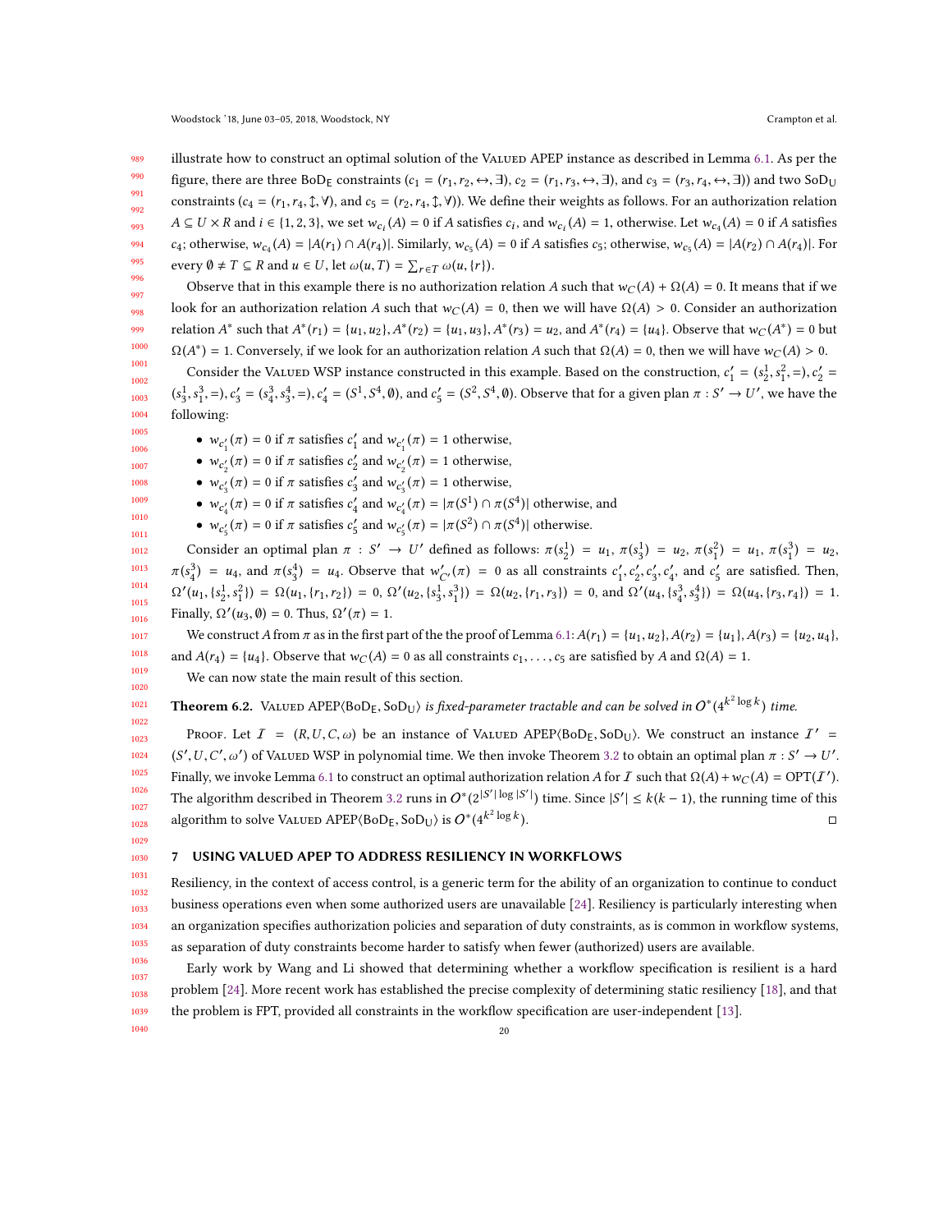989 990 991 992 993 994 995 illustrate how to construct an optimal solution of the VALUED APEP instance as described in Lemma [6.1.](#page-17-0) As per the figure, there are three BoD<sub>E</sub> constraints  $(c_1 = (r_1, r_2, \leftrightarrow, \exists), c_2 = (r_1, r_3, \leftrightarrow, \exists)$ , and  $c_3 = (r_3, r_4, \leftrightarrow, \exists)$  and two SoD<sub>U</sub> constraints ( $c_4 = (r_1, r_4, \text{ }), \text{ }$ ), and  $c_5 = (r_2, r_4, \text{ }), \text{ }$  (V)). We define their weights as follows. For an authorization relation  $A \subseteq U \times R$  and  $i \in \{1, 2, 3\}$ , we set  $w_{c_i}(A) = 0$  if A satisfies  $c_i$ , and  $w_{c_i}(A) = 1$ , otherwise. Let  $w_{c_4}(A) = 0$  if A satisfies c<sub>4</sub>; otherwise,  $w_{c_4}(A) = |A(r_1) \cap A(r_4)|$ . Similarly,  $w_{c_5}(A) = 0$  if A satisfies c<sub>5</sub>; otherwise,  $w_{c_5}(A) = |A(r_2) \cap A(r_4)|$ . For every  $\emptyset \neq T \subseteq R$  and  $u \in U$ , let  $\omega(u, T) = \sum_{r \in T} \omega(u, \{r\}).$ 

996 997 998 999 1000 Observe that in this example there is no authorization relation A such that  $w_C(A) + \Omega(A) = 0$ . It means that if we look for an authorization relation A such that  $w_C(A) = 0$ , then we will have  $\Omega(A) > 0$ . Consider an authorization relation  $A^*$  such that  $A^*(r_1) = \{u_1, u_2\}, A^*(r_2) = \{u_1, u_3\}, A^*(r_3) = u_2$ , and  $A^*(r_4) = \{u_4\}.$  Observe that  $w_C(A^*) = 0$  but \*) = 1. Conversely, if we look for an authorization relation A such that  $\Omega(A) = 0$ , then we will have  $w_C(A) > 0$ .

1001 1002 1003 1004  $\frac{1}{2}$ Consider the VALUED WSP instance constructed in this example. Based on the construction,  $c'_1 = (s_2^1, s_1^2, =), c'_2 =$  $S_3^1$ ,  $S_1^3$ ,  $=$ ),  $c_3' = (s_4^3, s_3^4, =)$ ,  $c_4' = (S^1, S^4, \emptyset)$ , and  $c_5' = (S^2, S^4, \emptyset)$ . Observe that for a given plan  $\pi : S' \to U'$ , we (°3,°1,°);<br>following:  $x_3^4$ , =),  $c_4'$  = (S<sup>1</sup>)  $\overline{\phantom{a}}$ <sup>4</sup>,  $\emptyset$ ), and  $c'_5 = (S^2)$  $\overline{\phantom{a}}$ <sup>4</sup>,  $\emptyset$ ). Observe that for a given plan  $\pi : S' \to U'$ , we have the

•  $w_{c_1'}(\pi) = 0$  if  $\pi$  satisfies  $c_1'$  and  $w_{c_1'}(\pi) = 1$  otherwise,

- $w_{c'_2}(\pi) = 0$  if  $\pi$  satisfies  $c'_2$  and  $w_{c'_2}(\pi) = 1$  otherwise,
- $w_{c'_3}(\pi) = 0$  if  $\pi$  satisfies  $c'_3$  and  $w_{c'_3}(\pi) = 1$  otherwise,
- $w_{c'_4}(\pi) = 0$  if  $\pi$  satisfies  $c'_4$  and  $w_{c'_4}(\pi) = |\pi(S^1) \cap \pi(S^4)|$  otherwise, and
- $w_{c'_5}(\pi) = 0$  if  $\pi$  satisfies  $c'_5$  and  $w_{c'_5}(\pi) = |\pi(S^2) \cap \pi(S^4)|$  otherwise.

1012 1013 1014 1015 1016 Consider an optimal plan  $\pi$  :  $S' \to U'$  defined as follows:  $\pi(s_2^1) = u_1$ ,  $\pi(s_3^2) = u_2$ ,  $\pi(s_1^2) = u_1$ ,  $\pi(s_1^3) = u_2$ ,  $\Omega'(u_1, \{s_1^1, s_1^2\}) = \Omega(u_1, \{r_1, r_2\}) = 0, \Omega'(u_2, \{s_3^1, s_1^3\}) = \Omega(u_2, \{r_1, r_3\}) = 0, \text{ and } \Omega'(u_4,$  $\alpha_4^{(3)} = u_4$ , and  $\pi(s_3^4) = u_4$ . Observe that  $w'_{C'}(\pi) = 0$  as all constraints  $c'_1, c'_2, c'_3, c'_4$ , and  $c'_5$  are satisfied. Then, Finally,  $\Omega'(u_3, \emptyset) = 0$ . Thus,  $\Omega'(\pi) = 1$ .  $\Omega_1^3$  =  $\Omega(u_2, \{r_1, r_3\}) = 0$ , and  $\Omega'(u_4, \{s_4^3, s_5\})$  $\{\frac{4}{3}\}\right) = \Omega(u_4, \{r_3, r_4\}) = 1.$ 

We construct A from  $\pi$  as in the first part of the the proof of Lemma [6.1:](#page-17-0)  $A(r_1) = \{u_1, u_2\}$ ,  $A(r_2) = \{u_1\}$ ,  $A(r_3) = \{u_2, u_4\}$ , and  $A(r_4) = \{u_4\}$ . Observe that  $w_C(A) = 0$  as all constraints  $c_1, \ldots, c_5$  are satisfied by A and  $\Omega(A) = 1$ .

We can now state the main result of this section.

1021 **Theorem 6.2.** VALUED  $\text{APEP}(\text{BoD}_E, \text{SoD}_U)$  is fixed-parameter tractable and can be solved in  $O^*(4^{k^2 \log k})$  time.

1023 1024 1025 1026 1027 1028 Proof. Let  $I = (R, U, C, \omega)$  be an instance of Valued APEP $(BoD_E, SoD_U)$ . We construct an instance  $I' = (VI, C, \omega)$ Finally, we invoke Lemma [6.1](#page-17-0) to construct an optimal authorization relation A for I such that  $\Omega(A) + w_C(A) = \text{OPT}(I')$ .  $\prime$ ,  $U$ ,  $C'$ ,  $\omega'$ ) of Valued WSP in polynomial time. We then invoke Theorem [3.2](#page-7-1) to obtain an optimal plan  $\pi : S' \to U'$ . The algorithm described in Theorem [3.2](#page-7-1) runs in  $O^*(2^{|S'|\log |S'|})$  time. Since  $|S'| \le k(k-1)$ , the running time of this | algorithm to solve VALUED APEP⟨BoD<sub>E</sub>, SoD<sub>U</sub>⟩ is  $O^*(4^{k^2 \log k})$  $\Box$ ).

1029 1030

1022

## <span id="page-19-0"></span>7 USING VALUED APEP TO ADDRESS RESILIENCY IN WORKFLOWS

1031 1032 1033 1034 1035 Resiliency, in the context of access control, is a generic term for the ability of an organization to continue to conduct business operations even when some authorized users are unavailable [\[24\]](#page-31-3). Resiliency is particularly interesting when an organization specifies authorization policies and separation of duty constraints, as is common in workflow systems, as separation of duty constraints become harder to satisfy when fewer (authorized) users are available.

1036 1037 1038 1039 1040 Early work by Wang and Li showed that determining whether a workflow specification is resilient is a hard problem [\[24\]](#page-31-3). More recent work has established the precise complexity of determining static resiliency [\[18\]](#page-31-17), and that the problem is FPT, provided all constraints in the workflow specification are user-independent [\[13\]](#page-31-18).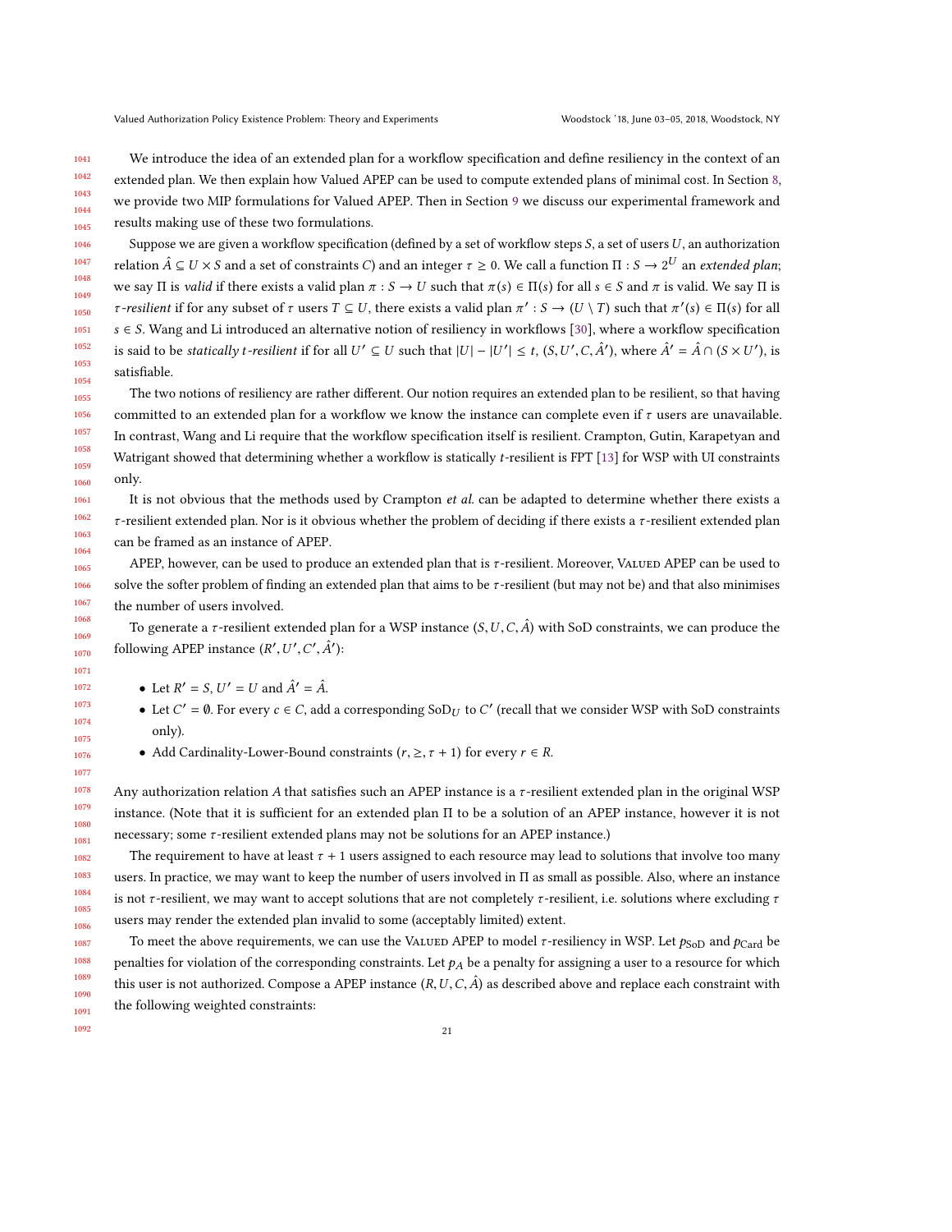We introduce the idea of an extended plan for a workflow specification and define resiliency in the context of an extended plan. We then explain how Valued APEP can be used to compute extended plans of minimal cost. In Section [8,](#page-21-0) we provide two MIP formulations for Valued APEP. Then in Section [9](#page-23-0) we discuss our experimental framework and results making use of these two formulations.

1046 1047 1048 1049 1050 1051 1052 1053 1054 Suppose we are given a workflow specification (defined by a set of workflow steps  $S$ , a set of users  $U$ , an authorization relation  $\hat{A} \subseteq U \times S$  and a set of constraints C) and an integer  $\tau \geq 0$ . We call a function  $\Pi : S \to 2^U$  an extended plan; we say Π is valid if there exists a valid plan  $\pi : S \to U$  such that  $\pi(s) \in \Pi(s)$  for all  $s \in S$  and  $\pi$  is valid. We say  $\Pi$  is *τ*-resilient if for any subset of *τ* users *T* ⊆ *U*, there exists a valid plan  $\pi' : S \to (U \setminus T)$  such that  $\pi'(s) \in \Pi(s)$  for all  $s \in S$ . Wang and Li introduced an alternative notion of resiliency in workflows [\[30\]](#page-31-5), where a workflow specification is said to be *statically t-resilient* if for all  $U' \subseteq U$  such that  $|U| - |U'| \le t$ ,  $(S, U', C, \hat{A}')$ , where  $\hat{A}' = \hat{A} \cap (S \times U')$ , is satisfiable.

1055 1059 The two notions of resiliency are rather different. Our notion requires an extended plan to be resilient, so that having committed to an extended plan for a workflow we know the instance can complete even if  $\tau$  users are unavailable. In contrast, Wang and Li require that the workflow specification itself is resilient. Crampton, Gutin, Karapetyan and Watrigant showed that determining whether a workflow is statically t-resilient is FPT [\[13\]](#page-31-18) for WSP with UI constraints only.

It is not obvious that the methods used by Crampton et al. can be adapted to determine whether there exists a  $τ$ -resilient extended plan. Nor is it obvious whether the problem of deciding if there exists a  $τ$ -resilient extended plan can be framed as an instance of APEP.

APEP, however, can be used to produce an extended plan that is τ-resilient. Moreover, VALUED APEP can be used to solve the softer problem of finding an extended plan that aims to be τ-resilient (but may not be) and that also minimises the number of users involved.

To generate a *τ*-resilient extended plan for a WSP instance  $(S, U, C, \hat{A})$  with SoD constraints, we can produce the following APEP instance  $(R', U', C', \hat{A}')$ :  $\mathcal{L}$  $\overline{\phantom{a}}$ 

- Let  $R' = S$ ,  $U' = U$  and  $\hat{A}' = \hat{A}$ .
- Let  $C' = \emptyset$ . For every  $c \in C$ , add a corresponding SoD<sub>U</sub> to C' (recall that we consider WSP with SoD constraints only).
- Add Cardinality-Lower-Bound constraints  $(r, \geq, \tau + 1)$  for every  $r \in R$ .

Any authorization relation A that satisfies such an APEP instance is a  $\tau$ -resilient extended plan in the original WSP instance. (Note that it is sufficient for an extended plan Π to be a solution of an APEP instance, however it is not necessary; some  $\tau$ -resilient extended plans may not be solutions for an APEP instance.)

The requirement to have at least  $\tau$  + 1 users assigned to each resource may lead to solutions that involve too many users. In practice, we may want to keep the number of users involved in Π as small as possible. Also, where an instance is not τ-resilient, we may want to accept solutions that are not completely τ-resilient, i.e. solutions where excluding  $\tau$ users may render the extended plan invalid to some (acceptably limited) extent.

To meet the above requirements, we can use the VALUED APEP to model  $\tau$ -resiliency in WSP. Let  $p_{\text{Sol}}$  and  $p_{\text{Card}}$  be penalties for violation of the corresponding constraints. Let  $p_A$  be a penalty for assigning a user to a resource for which this user is not authorized. Compose a APEP instance  $(R, U, C, \hat{A})$  as described above and replace each constraint with the following weighted constraints:

1091 1092

1056 1057 1058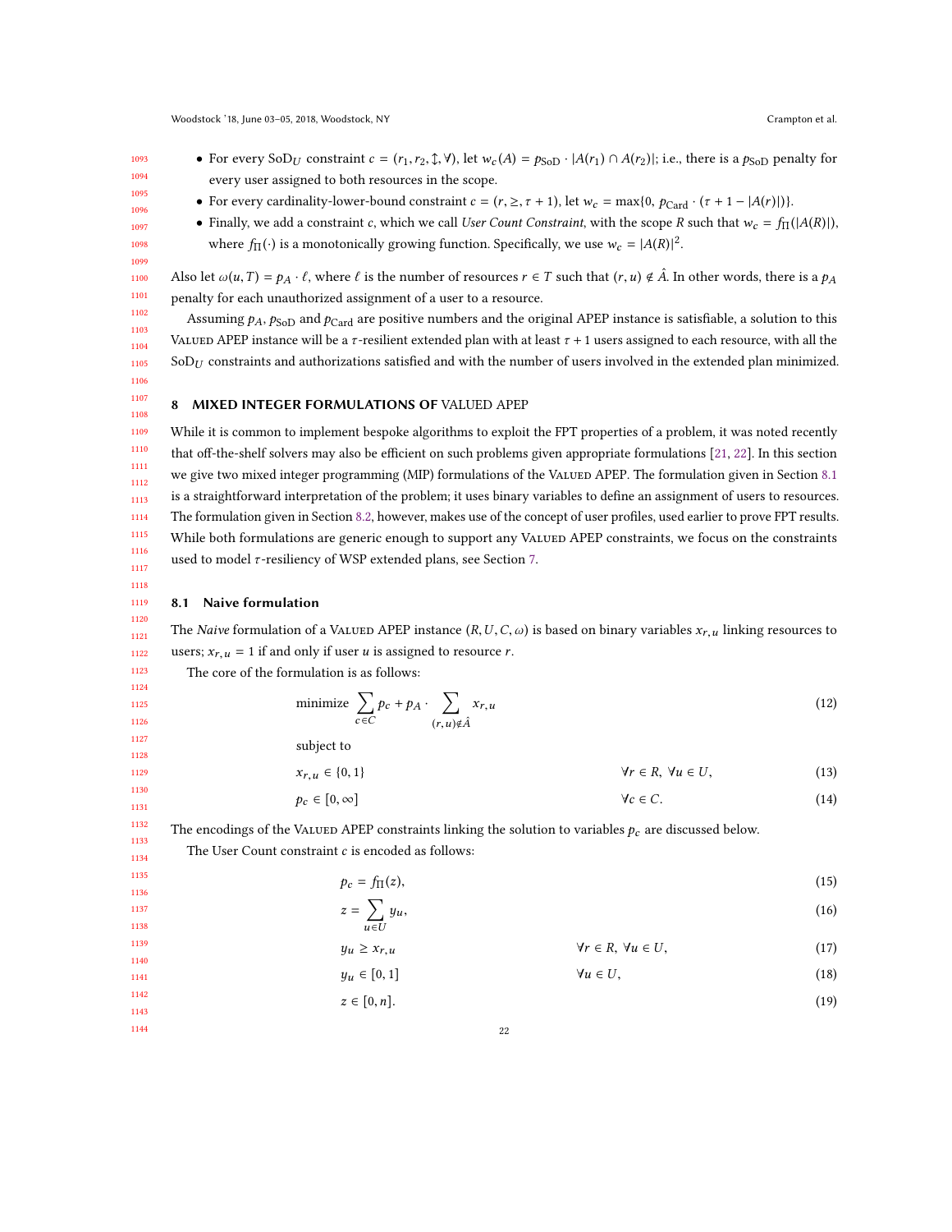- For every SoD<sub>U</sub> constraint  $c = (r_1, r_2, \mathcal{F}, \mathcal{V})$ , let  $w_c(A) = p_{\text{SoD}} \cdot |A(r_1) \cap A(r_2)|$ ; i.e., there is a  $p_{\text{SoD}}$  penalty for every user assigned to both resources in the scope.
- 1094 1095 1096 1097

<span id="page-21-1"></span>1118

1093

- For every cardinality-lower-bound constraint  $c = (r, \geq, \tau + 1)$ , let  $w_c = \max\{0, p_{\text{Card}} \cdot (\tau + 1 |A(r)|)\}\$ .
- Finally, we add a constraint c, which we call User Count Constraint, with the scope R such that  $w_c = f_{\Pi}(|A(R)|)$ , where  $f_{\Pi}(\cdot)$  is a monotonically growing function. Specifically, we use  $w_c = |A(R)|^2$ .

Also let  $\omega(u,T) = p_A \cdot \ell$ , where  $\ell$  is the number of resources  $r \in T$  such that  $(r,u) \notin \hat{A}$ . In other words, there is a  $p_A$ penalty for each unauthorized assignment of a user to a resource.

Assuming  $p_A$ ,  $p_{\text{SoD}}$  and  $p_{\text{Card}}$  are positive numbers and the original APEP instance is satisfiable, a solution to this Valued APEP instance will be a  $\tau$ -resilient extended plan with at least  $\tau$  + 1 users assigned to each resource, with all the  $SOD_U$  constraints and authorizations satisfied and with the number of users involved in the extended plan minimized.

#### <span id="page-21-0"></span>8 MIXED INTEGER FORMULATIONS OF VALUED APEP

1109 1110 1111 1112 1113 1114 1115 1116 1117 While it is common to implement bespoke algorithms to exploit the FPT properties of a problem, it was noted recently that off-the-shelf solvers may also be efficient on such problems given appropriate formulations [\[21,](#page-31-19) [22\]](#page-31-8). In this section we give two mixed integer programming (MIP) formulations of the VALUED APEP. The formulation given in Section [8.1](#page-21-1) is a straightforward interpretation of the problem; it uses binary variables to define an assignment of users to resources. The formulation given in Section [8.2,](#page-22-0) however, makes use of the concept of user profiles, used earlier to prove FPT results. While both formulations are generic enough to support any VALUED APEP constraints, we focus on the constraints used to model  $\tau$ -resiliency of WSP extended plans, see Section [7.](#page-19-0)

#### 1119 8.1 Naive formulation

1120 1121 1122 The Naive formulation of a VALUED APEP instance  $(R, U, C, \omega)$  is based on binary variables  $x_{r,u}$  linking resources to users;  $x_{r,u} = 1$  if and only if user *u* is assigned to resource *r*.

The core of the formulation is as follows:

$$
\text{minimize } \sum_{c \in C} p_c + p_A \cdot \sum_{(r,u) \notin \hat{A}} x_{r,u} \tag{12}
$$

subject to

 $\overline{z}$ 

 $x_{r,u} \in \{0, 1\}$   $\forall r \in R, \forall u \in U,$  (13)

$$
p_c \in [0, \infty] \quad \forall c \in C. \tag{14}
$$

The encodings of the VALUED APEP constraints linking the solution to variables  $p_c$  are discussed below. The User Count constraint  $c$  is encoded as follows:

$$
p_c = f_\Pi(z),\tag{15}
$$

$$
=\sum_{u\in U}y_u,\tag{16}
$$

$$
y_u \ge x_{r,u} \qquad \qquad \forall r \in R, \ \forall u \in U,\tag{17}
$$

- $y_u \in [0, 1]$   $\forall u \in U,$  (18)
- $z \in [0, n].$  (19)
- 1143 1144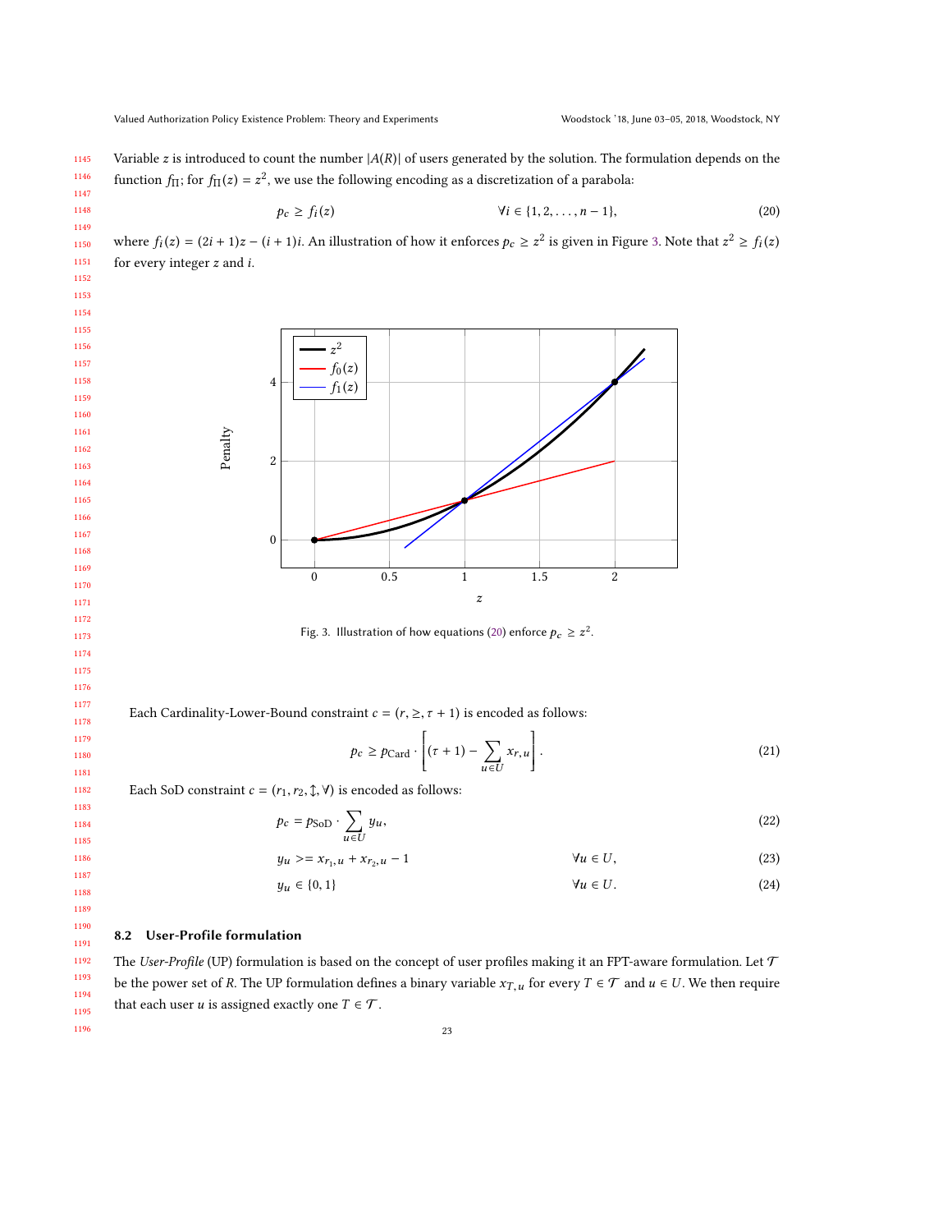1145 1146 1147 Variable z is introduced to count the number  $|A(R)|$  of users generated by the solution. The formulation depends on the function  $f_{\Pi}$ ; for  $f_{\Pi}(z) = z^2$ , we use the following encoding as a discretization of a parabola:

<span id="page-22-2"></span>
$$
p_c \ge f_i(z) \qquad \qquad \forall i \in \{1, 2, \dots, n-1\},\tag{20}
$$

<span id="page-22-1"></span>1150 1151 where  $f_i(z) = (2i + 1)z - (i + 1)i$ . An illustration of how it enforces  $p_c \ge z^2$  is given in Figure [3.](#page-22-1) Note that  $z^2 \ge f_i(z)$ for every integer z and i.



Fig. 3. Illustration of how equations [\(20\)](#page-22-2) enforce  $p_c \geq z^2$ .

Each Cardinality-Lower-Bound constraint  $c = (r, \geq, \tau + 1)$  is encoded as follows:

$$
p_c \ge p_{\text{Card}} \cdot \left[ (\tau + 1) - \sum_{u \in U} x_{r,u} \right]. \tag{21}
$$

Each SoD constraint  $c = (r_1, r_2, \mathcal{L}, \mathcal{V})$  is encoded as follows:

$$
p_c = p_{\text{SoD}} \cdot \sum_{u \in U} y_u,\tag{22}
$$

$$
y_u \geq x_{r_1, u} + x_{r_2, u} - 1 \qquad \qquad \forall u \in U,
$$
\n(23)

$$
y_u \in \{0, 1\} \qquad \qquad \forall u \in U. \tag{24}
$$

#### <span id="page-22-0"></span>8.2 User-Profile formulation

The User-Profile (UP) formulation is based on the concept of user profiles making it an FPT-aware formulation. Let  $\mathcal T$ be the power set of R. The UP formulation defines a binary variable  $x_{T,u}$  for every  $T \in \mathcal{T}$  and  $u \in U$ . We then require that each user *u* is assigned exactly one  $T \in \mathcal{T}$ .

1195 1196

1148 1149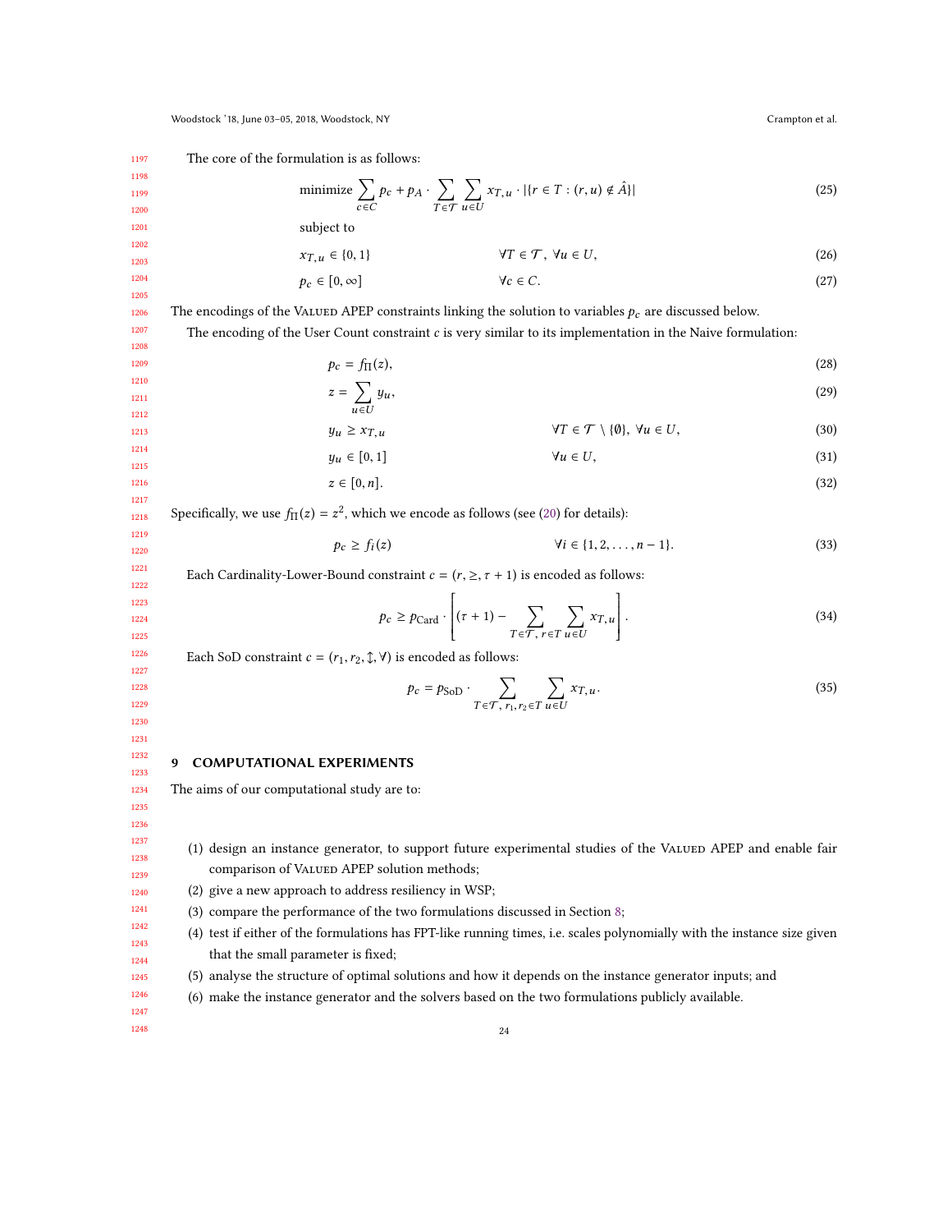1197 The core of the formulation is as follows:

subject to

minimize 
$$
\sum_{c \in C} p_c + p_A \cdot \sum_{T \in \mathcal{T}} \sum_{u \in U} x_{T,u} \cdot | \{ r \in T : (r, u) \notin \hat{A} \} |
$$
 (25)

1201

1198 1199 1200

$$
x_{T,u} \in \{0,1\} \qquad \qquad \forall T \in \mathcal{T}, \ \forall u \in U,
$$
\n
$$
(26)
$$

$$
p_c \in [0, \infty] \quad \forall c \in C. \tag{27}
$$

The encodings of the VALUED APEP constraints linking the solution to variables  $p_c$  are discussed below.

The encoding of the User Count constraint c is very similar to its implementation in the Naive formulation:

$$
p_c = f_{\Pi}(z),\tag{28}
$$

$$
z = \sum_{u \in U} y_u,
$$
  
\n
$$
y_u \ge x_{T,u}
$$
  
\n
$$
\forall T \in \mathcal{T} \setminus \{0\}, \forall u \in U,
$$
  
\n(30)

$$
\forall T \in \mathcal{T} \setminus \{\emptyset\}, \ \forall u \in U,\tag{30}
$$

$$
y_u \in [0,1] \qquad \qquad \forall u \in U,\tag{31}
$$

$$
z \in [0, n]. \tag{32}
$$

Specifically, we use  $f_{\Pi}(z) = z^2$ , which we encode as follows (see [\(20\)](#page-22-2) for details):

$$
p_c \ge f_i(z) \qquad \qquad \forall i \in \{1, 2, \dots, n-1\}. \tag{33}
$$

Each Cardinality-Lower-Bound constraint  $c = (r, \geq, \tau + 1)$  is encoded as follows:

$$
p_c \ge p_{\text{Card}} \cdot \left[ (\tau + 1) - \sum_{T \in \mathcal{T}, \, r \in T} \sum_{u \in U} x_{T,u} \right]. \tag{34}
$$

Each SoD constraint  $c = (r_1, r_2, \mathcal{L}, \forall)$  is encoded as follows:

$$
p_c = p_{\text{SoD}} \cdot \sum_{T \in \mathcal{T}, r_1, r_2 \in T} \sum_{u \in U} x_{T, u}.
$$
 (35)

#### 1232 1233 9 COMPUTATIONAL EXPERIMENTS

<span id="page-23-0"></span>The aims of our computational study are to:

(1) design an instance generator, to support future experimental studies of the VALUED APEP and enable fair comparison of VALUED APEP solution methods;

- (2) give a new approach to address resiliency in WSP;
- (3) compare the performance of the two formulations discussed in Section [8;](#page-21-0)
- (4) test if either of the formulations has FPT-like running times, i.e. scales polynomially with the instance size given that the small parameter is fixed;
- (5) analyse the structure of optimal solutions and how it depends on the instance generator inputs; and
- (6) make the instance generator and the solvers based on the two formulations publicly available.

1246 1247 1248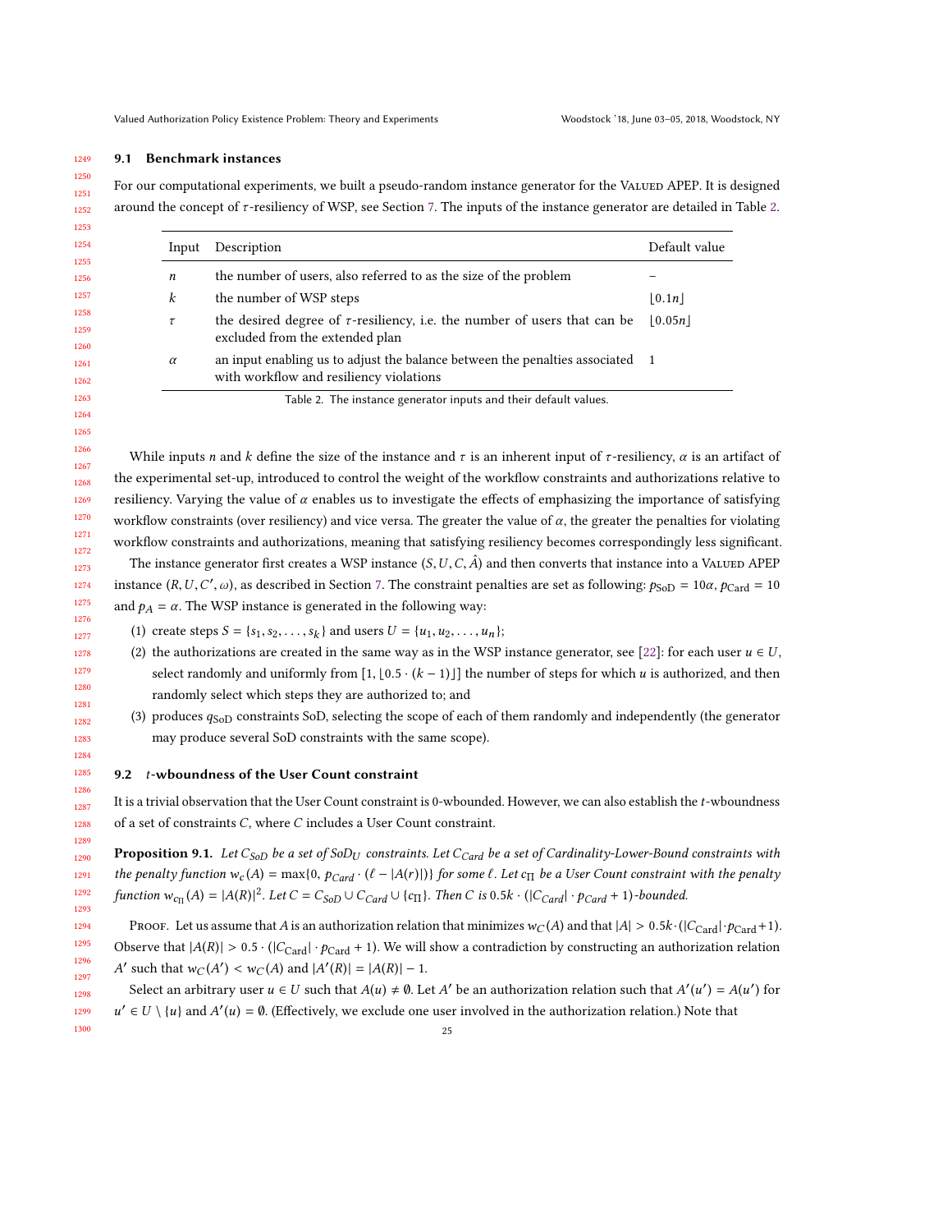#### 1249 9.1 Benchmark instances

1250

<span id="page-24-1"></span>1289

1298 1299 1300

1251 1252 For our computational experiments, we built a pseudo-random instance generator for the VALUED APEP. It is designed around the concept of τ -resiliency of WSP, see Section [7.](#page-19-0) The inputs of the instance generator are detailed in Table [2.](#page-24-0)

<span id="page-24-0"></span>

| Description                                                                                                              | Default value      |
|--------------------------------------------------------------------------------------------------------------------------|--------------------|
| the number of users, also referred to as the size of the problem                                                         |                    |
| the number of WSP steps                                                                                                  | $\vert 0.1n \vert$ |
| the desired degree of $\tau$ -resiliency, i.e. the number of users that can be<br>excluded from the extended plan        | 0.05n              |
| an input enabling us to adjust the balance between the penalties associated 1<br>with workflow and resiliency violations |                    |
|                                                                                                                          |                    |

While inputs n and k define the size of the instance and  $\tau$  is an inherent input of  $\tau$ -resiliency,  $\alpha$  is an artifact of the experimental set-up, introduced to control the weight of the workflow constraints and authorizations relative to resiliency. Varying the value of  $\alpha$  enables us to investigate the effects of emphasizing the importance of satisfying workflow constraints (over resiliency) and vice versa. The greater the value of  $\alpha$ , the greater the penalties for violating workflow constraints and authorizations, meaning that satisfying resiliency becomes correspondingly less significant.

1273 1274 1275 The instance generator first creates a WSP instance  $(S, U, C, \hat{A})$  and then converts that instance into a VALUED APEP instance  $(R, U, C', \omega)$ , as described in Section [7.](#page-19-0) The constraint penalties are set as following:  $p_{\text{SoD}} = 10\alpha$ ,  $p_{\text{Card}} = 10$ and  $p_A = \alpha$ . The WSP instance is generated in the following way:

- (1) create steps  $S = \{s_1, s_2, ..., s_k\}$  and users  $U = \{u_1, u_2, ..., u_n\}$ ;
- (2) the authorizations are created in the same way as in the WSP instance generator, see [\[22\]](#page-31-8): for each user  $u \in U$ , select randomly and uniformly from  $[1, [0.5 \cdot (k-1)]]$  the number of steps for which u is authorized, and then randomly select which steps they are authorized to; and
- (3) produces  $q_{\text{SoD}}$  constraints SoD, selecting the scope of each of them randomly and independently (the generator may produce several SoD constraints with the same scope).

#### 9.2 t-wboundness of the User Count constraint

1288 It is a trivial observation that the User Count constraint is 0-wbounded. However, we can also establish the t-wboundness of a set of constraints C, where C includes a User Count constraint.

1290 1291 1292 1293 **Proposition 9.1.** Let C<sub>SoD</sub> be a set of SoD<sub>U</sub> constraints. Let C<sub>Card</sub> be a set of Cardinality-Lower-Bound constraints with the penalty function  $w_c(A) = \max\{0, p_{Card} \cdot (\ell - |A(r)|)\}\$  for some  $\ell$ . Let  $c_{\Pi}$  be a User Count constraint with the penalty function  $w_{c}$   $(A) = |A(R)|^2$ . Let  $C = C_{So}$   $\cup$   $C_{Card}$   $\cup$   $\{c_{\Pi}\}\$ . Then  $C$  is  $0.5k \cdot (|C_{Card}| \cdot p_{Card} + 1)$ -bounded.

1294 1295 1296 1297 PROOF. Let us assume that A is an authorization relation that minimizes  $w_C(A)$  and that  $|A| > 0.5k \cdot (|C_{\text{Card}}| \cdot p_{\text{Card}}+1)$ . Observe that  $|A(R)| > 0.5 \cdot (|C_{\text{Card}}| \cdot p_{\text{Card}} + 1)$ . We will show a contradiction by constructing an authorization relation ' such that  $w_C(A') < w_C(A)$  and  $|A'(R)| = |A(R)| - 1$ .

Select an arbitrary user  $u \in U$  such that  $A(u) \neq \emptyset$ . Let A' be an authorization relation such that  $A'(u') = A(u')$  for  $\int$  $u' \in U \setminus \{u\}$  and  $A'(u) = \emptyset$ . (Effectively, we exclude one user involved in the authorization relation.) Note that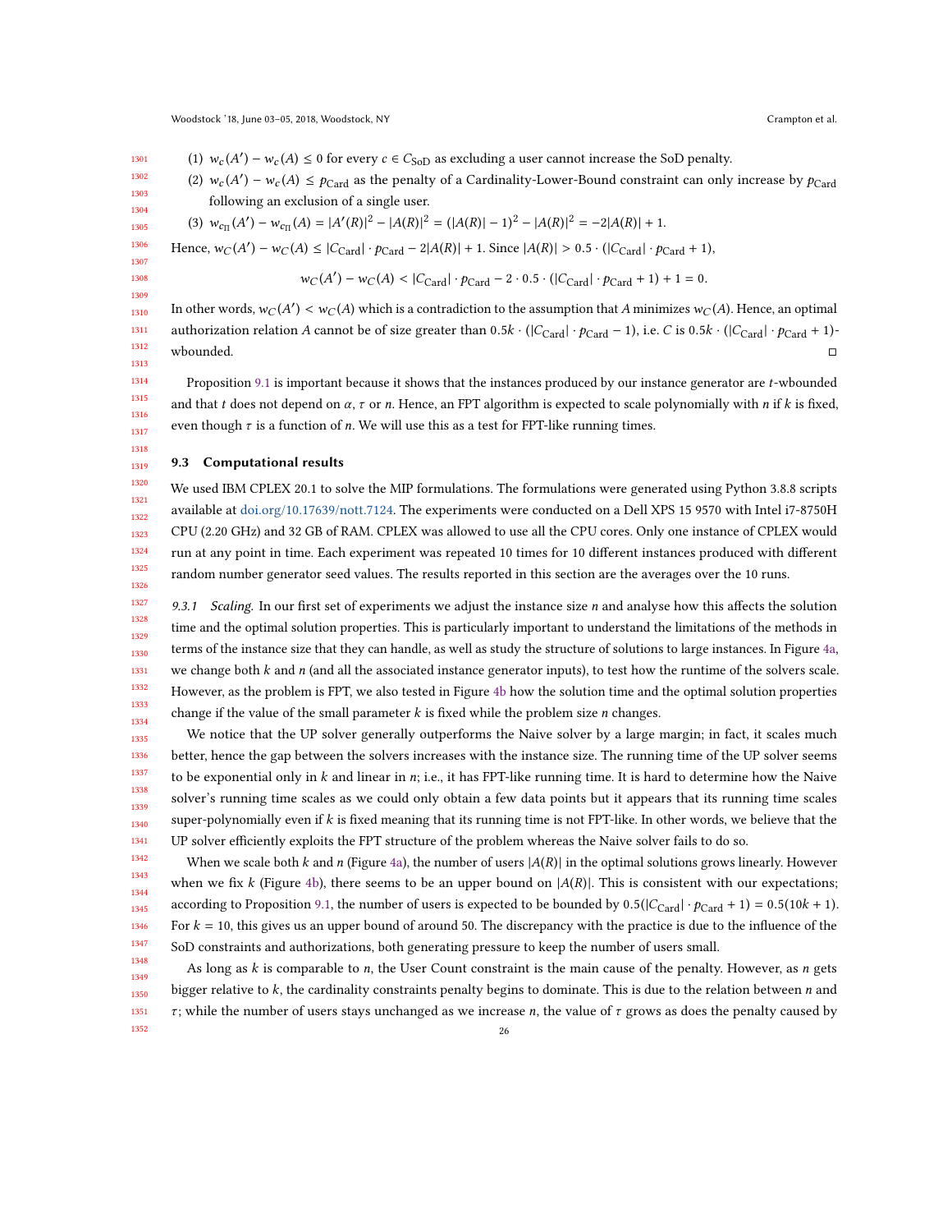1301 1302 1303 1304 1305 1306 1307 1308 1309 1310 1311 1312 (1)  $w_c(A') - w_c(A) \le 0$  for every  $c \in C_{\text{SOD}}$  as excluding a user cannot increase the SoD penalty. (2)  $w_c(A') - w_c(A) \le p_{\text{Card}}$  as the penalty of a Cardinality-Lower-Bound constraint can only increase by  $p_{\text{Card}}$ following an exclusion of a single user. (3)  $w_{c_{\Pi}}(A)$  $\mathcal{L}'$ ) –  $w_{c_{\Pi}}(A) = |A'(R)|^2 - |A(R)|^2 = (|A(R)| - 1)^2 - |A(R)|^2 = -2|A(R)| + 1.$ Hence,  $w_C(A') - w_C(A) \le |C_{\text{Card}}| \cdot p_{\text{Card}} - 2|A(R)| + 1$ . Since  $|A(R)| > 0.5 \cdot (|C_{\text{Card}}| \cdot p_{\text{Card}} + 1)$ ,  $\sim$  ( $\sim$  $\gamma$  –  $w_C(A)$  < |C<sub>Card</sub>| ·  $p_{Card}$  – 2 · 0.5 · (|C<sub>Card</sub>| ·  $p_{Card}$  + 1) + 1 = 0. In other words,  $w_C(A') < w_C(A)$  which is a contradiction to the assumption that A minimizes  $w_C(A)$ . Hence, an optimal authorization relation *A* cannot be of size greater than  $0.5k \cdot (|C_{\text{Card}}| \cdot p_{\text{Card}} - 1)$ , i.e. *C* is  $0.5k \cdot (|C_{\text{Card}}| \cdot p_{\text{Card}} + 1)$ -<br>wbounded. wbounded.  $\Box$ 

Proposition [9.1](#page-24-1) is important because it shows that the instances produced by our instance generator are t-wbounded and that t does not depend on  $\alpha$ ,  $\tau$  or n. Hence, an FPT algorithm is expected to scale polynomially with n if k is fixed, even though  $\tau$  is a function of n. We will use this as a test for FPT-like running times.

#### 1319 9.3 Computational results

1320 1321 1322 1323 1324 1325 1326 We used IBM CPLEX 20.1 to solve the MIP formulations. The formulations were generated using Python 3.8.8 scripts available at [doi.org/10.17639/nott.7124.](doi.org/10.17639/nott.7124) The experiments were conducted on a Dell XPS 15 9570 with Intel i7-8750H CPU (2.20 GHz) and 32 GB of RAM. CPLEX was allowed to use all the CPU cores. Only one instance of CPLEX would run at any point in time. Each experiment was repeated 10 times for 10 different instances produced with different random number generator seed values. The results reported in this section are the averages over the 10 runs.

1327 1328 1329 1330 1331 1332 1333 1334 9.3.1 Scaling. In our first set of experiments we adjust the instance size  $n$  and analyse how this affects the solution time and the optimal solution properties. This is particularly important to understand the limitations of the methods in terms of the instance size that they can handle, as well as study the structure of solutions to large instances. In Figure [4a,](#page-26-0) we change both  $k$  and  $n$  (and all the associated instance generator inputs), to test how the runtime of the solvers scale. However, as the problem is FPT, we also tested in Figure [4b](#page-26-0) how the solution time and the optimal solution properties change if the value of the small parameter  $k$  is fixed while the problem size *n* changes.

1335 1336 1337 1338 1339 1340 1341 We notice that the UP solver generally outperforms the Naive solver by a large margin; in fact, it scales much better, hence the gap between the solvers increases with the instance size. The running time of the UP solver seems to be exponential only in  $k$  and linear in  $n$ ; i.e., it has FPT-like running time. It is hard to determine how the Naive solver's running time scales as we could only obtain a few data points but it appears that its running time scales super-polynomially even if k is fixed meaning that its running time is not FPT-like. In other words, we believe that the UP solver efficiently exploits the FPT structure of the problem whereas the Naive solver fails to do so.

1342 1343 1344 1345 1346 1347 When we scale both k and n (Figure [4a\)](#page-26-0), the number of users  $|A(R)|$  in the optimal solutions grows linearly. However when we fix k (Figure [4b\)](#page-26-0), there seems to be an upper bound on  $|A(R)|$ . This is consistent with our expectations; according to Proposition [9.1,](#page-24-1) the number of users is expected to be bounded by  $0.5(|C_{\text{Card}}| \cdot p_{\text{Card}} + 1) = 0.5(10k + 1)$ . For  $k = 10$ , this gives us an upper bound of around 50. The discrepancy with the practice is due to the influence of the SoD constraints and authorizations, both generating pressure to keep the number of users small.

1348 1349 1350 1351 1352 As long as  $k$  is comparable to  $n$ , the User Count constraint is the main cause of the penalty. However, as  $n$  gets bigger relative to  $k$ , the cardinality constraints penalty begins to dominate. This is due to the relation between  $n$  and  $\tau$ ; while the number of users stays unchanged as we increase *n*, the value of  $\tau$  grows as does the penalty caused by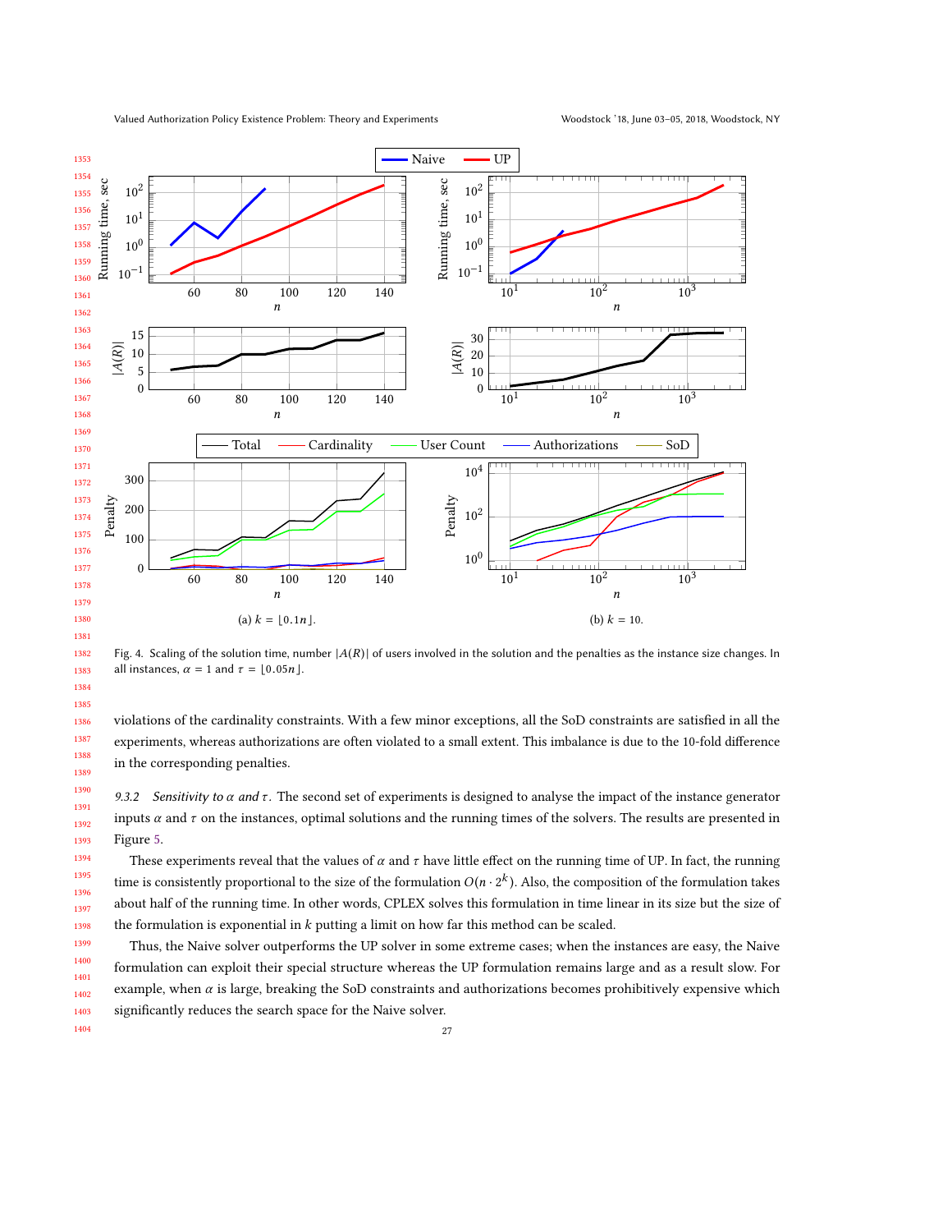<span id="page-26-0"></span>

Fig. 4. Scaling of the solution time, number  $|A(R)|$  of users involved in the solution and the penalties as the instance size changes. In all instances,  $\alpha = 1$  and  $\tau = \lfloor 0.05n \rfloor$ .

violations of the cardinality constraints. With a few minor exceptions, all the SoD constraints are satisfied in all the experiments, whereas authorizations are often violated to a small extent. This imbalance is due to the 10-fold difference in the corresponding penalties.

9.3.2 Sensitivity to  $\alpha$  and  $\tau$ . The second set of experiments is designed to analyse the impact of the instance generator inputs  $\alpha$  and  $\tau$  on the instances, optimal solutions and the running times of the solvers. The results are presented in Figure [5.](#page-27-0)

 These experiments reveal that the values of  $\alpha$  and  $\tau$  have little effect on the running time of UP. In fact, the running time is consistently proportional to the size of the formulation  $O(n \cdot 2^k)$ . Also, the composition of the formulation takes about half of the running time. In other words, CPLEX solves this formulation in time linear in its size but the size of the formulation is exponential in  $k$  putting a limit on how far this method can be scaled.

 Thus, the Naive solver outperforms the UP solver in some extreme cases; when the instances are easy, the Naive formulation can exploit their special structure whereas the UP formulation remains large and as a result slow. For example, when  $\alpha$  is large, breaking the SoD constraints and authorizations becomes prohibitively expensive which significantly reduces the search space for the Naive solver.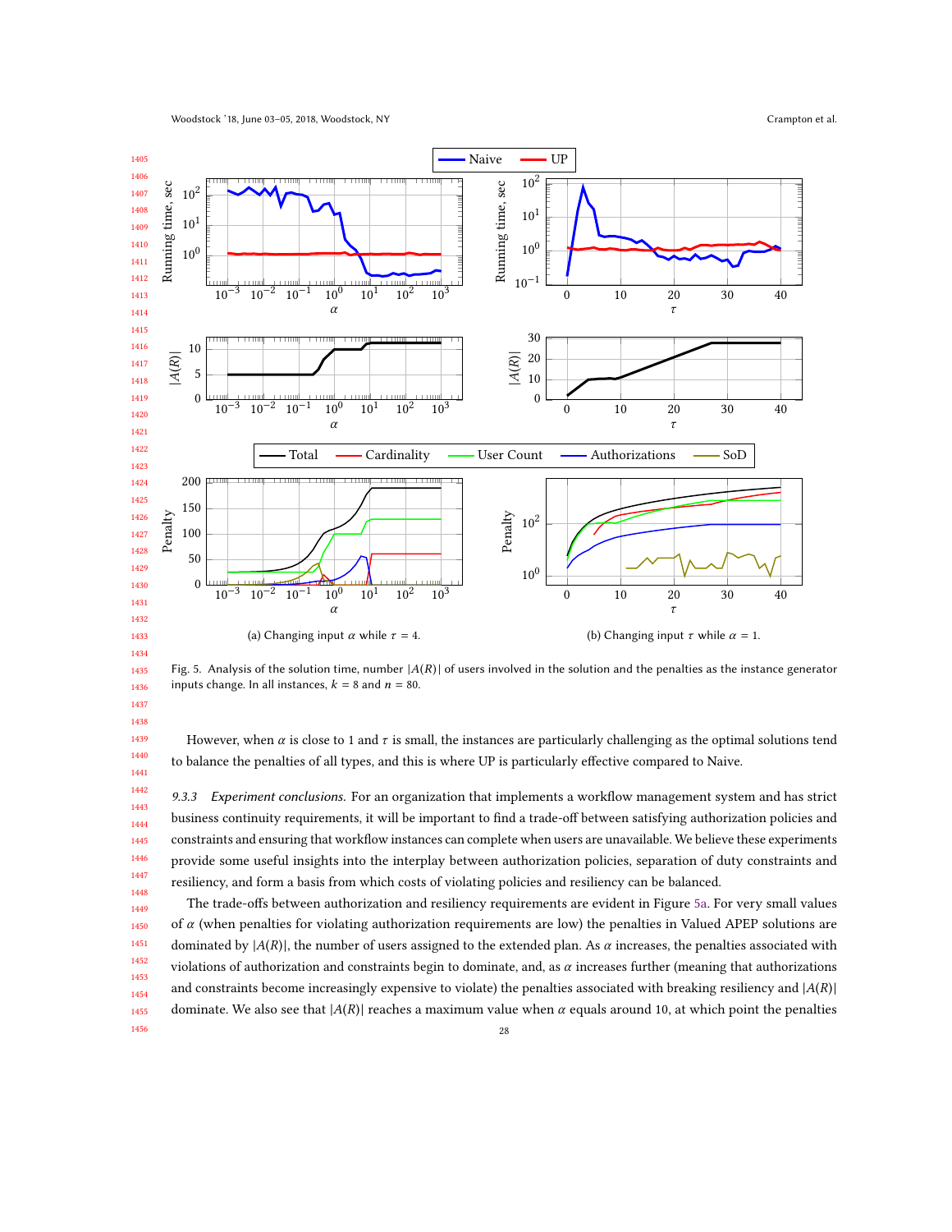<span id="page-27-0"></span>

 Fig. 5. Analysis of the solution time, number  $|A(R)|$  of users involved in the solution and the penalties as the instance generator inputs change. In all instances,  $k = 8$  and  $n = 80$ .

However, when  $\alpha$  is close to 1 and  $\tau$  is small, the instances are particularly challenging as the optimal solutions tend to balance the penalties of all types, and this is where UP is particularly effective compared to Naive.

9.3.3 Experiment conclusions. For an organization that implements a workflow management system and has strict business continuity requirements, it will be important to find a trade-off between satisfying authorization policies and constraints and ensuring that workflow instances can complete when users are unavailable. We believe these experiments provide some useful insights into the interplay between authorization policies, separation of duty constraints and resiliency, and form a basis from which costs of violating policies and resiliency can be balanced.

 The trade-offs between authorization and resiliency requirements are evident in Figure [5a.](#page-27-0) For very small values of  $\alpha$  (when penalties for violating authorization requirements are low) the penalties in Valued APEP solutions are dominated by  $|A(R)|$ , the number of users assigned to the extended plan. As  $\alpha$  increases, the penalties associated with violations of authorization and constraints begin to dominate, and, as  $\alpha$  increases further (meaning that authorizations and constraints become increasingly expensive to violate) the penalties associated with breaking resiliency and  $|A(R)|$ dominate. We also see that  $|A(R)|$  reaches a maximum value when  $\alpha$  equals around 10, at which point the penalties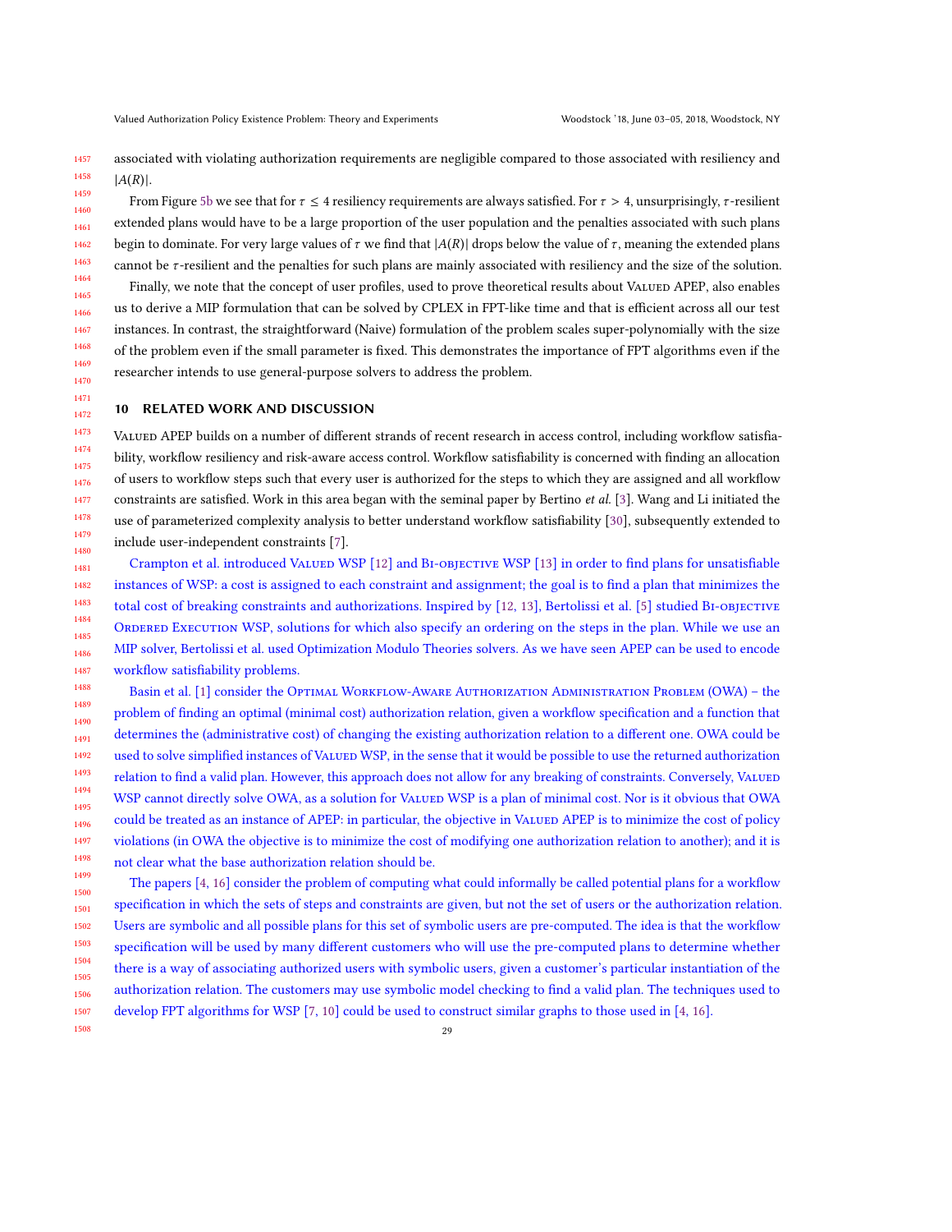1457 1458 associated with violating authorization requirements are negligible compared to those associated with resiliency and  $|A(R)|$ .

1459 1460 1461 1462 1463 1464 1465 1466 1467 1468 1469 1470 From Figure [5b](#page-27-0) we see that for  $\tau \leq 4$  resiliency requirements are always satisfied. For  $\tau > 4$ , unsurprisingly,  $\tau$ -resilient extended plans would have to be a large proportion of the user population and the penalties associated with such plans begin to dominate. For very large values of  $\tau$  we find that  $|A(R)|$  drops below the value of  $\tau$ , meaning the extended plans cannot be *τ*-resilient and the penalties for such plans are mainly associated with resiliency and the size of the solution. Finally, we note that the concept of user profiles, used to prove theoretical results about VALUED APEP, also enables us to derive a MIP formulation that can be solved by CPLEX in FPT-like time and that is efficient across all our test instances. In contrast, the straightforward (Naive) formulation of the problem scales super-polynomially with the size of the problem even if the small parameter is fixed. This demonstrates the importance of FPT algorithms even if the researcher intends to use general-purpose solvers to address the problem.

### <span id="page-28-0"></span>10 RELATED WORK AND DISCUSSION

1471 1472

1508

1473 1474 1475 1476 1477 1478 1479 1480 VALUED APEP builds on a number of different strands of recent research in access control, including workflow satisfiability, workflow resiliency and risk-aware access control. Workflow satisfiability is concerned with finding an allocation of users to workflow steps such that every user is authorized for the steps to which they are assigned and all workflow constraints are satisfied. Work in this area began with the seminal paper by Bertino et al. [\[3\]](#page-30-3). Wang and Li initiated the use of parameterized complexity analysis to better understand workflow satisfiability [\[30\]](#page-31-5), subsequently extended to include user-independent constraints [\[7\]](#page-30-1).

1481 1482 1483 1484 1485 1486 1487 Crampton et al. introduced Valued WSP [\[12\]](#page-31-6) and Bi-objective WSP [\[13\]](#page-31-18) in order to find plans for unsatisfiable instances of WSP: a cost is assigned to each constraint and assignment; the goal is to find a plan that minimizes the total cost of breaking constraints and authorizations. Inspired by [\[12,](#page-31-6) [13\]](#page-31-18), Bertolissi et al. [\[5\]](#page-30-4) studied BI-OBJECTIVE ORDERED EXECUTION WSP, solutions for which also specify an ordering on the steps in the plan. While we use an MIP solver, Bertolissi et al. used Optimization Modulo Theories solvers. As we have seen APEP can be used to encode workflow satisfiability problems.

1488 1489 1490 1491 1492 1493 1494 1495 1496 1497 1498 1499 Basin et al. [\[1\]](#page-30-5) consider the Optimal WORKFLOW-AWARE AUTHORIZATION ADMINISTRATION PROBLEM (OWA) - the problem of finding an optimal (minimal cost) authorization relation, given a workflow specification and a function that determines the (administrative cost) of changing the existing authorization relation to a different one. OWA could be used to solve simplified instances of VALUED WSP, in the sense that it would be possible to use the returned authorization relation to find a valid plan. However, this approach does not allow for any breaking of constraints. Conversely, VALUED WSP cannot directly solve OWA, as a solution for VALUED WSP is a plan of minimal cost. Nor is it obvious that OWA could be treated as an instance of APEP: in particular, the objective in VALUED APEP is to minimize the cost of policy violations (in OWA the objective is to minimize the cost of modifying one authorization relation to another); and it is not clear what the base authorization relation should be.

1500 1501 1502 1503 1504 1505 1506 1507 The papers [\[4,](#page-30-2) [16\]](#page-31-20) consider the problem of computing what could informally be called potential plans for a workflow specification in which the sets of steps and constraints are given, but not the set of users or the authorization relation. Users are symbolic and all possible plans for this set of symbolic users are pre-computed. The idea is that the workflow specification will be used by many different customers who will use the pre-computed plans to determine whether there is a way of associating authorized users with symbolic users, given a customer's particular instantiation of the authorization relation. The customers may use symbolic model checking to find a valid plan. The techniques used to develop FPT algorithms for WSP [\[7,](#page-30-1) [10\]](#page-31-1) could be used to construct similar graphs to those used in [\[4,](#page-30-2) [16\]](#page-31-20).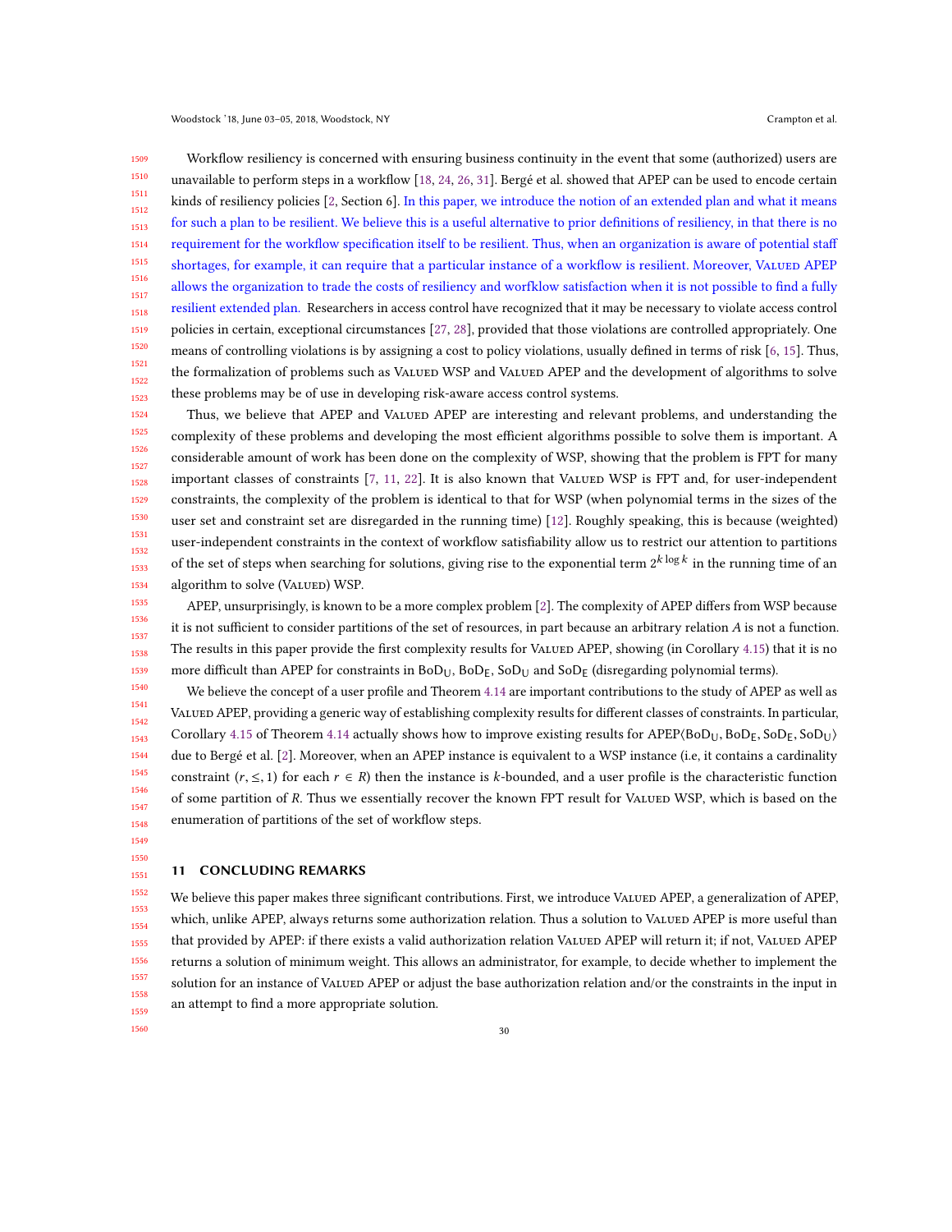1509 1510 1511 1512 1513 1514 1515 1516 1517 1518 1519 1520 1521 1522 1523 Workflow resiliency is concerned with ensuring business continuity in the event that some (authorized) users are unavailable to perform steps in a workflow [\[18,](#page-31-17) [24,](#page-31-3) [26,](#page-31-4) [31\]](#page-31-21). Bergé et al. showed that APEP can be used to encode certain kinds of resiliency policies [\[2,](#page-30-0) Section 6]. In this paper, we introduce the notion of an extended plan and what it means for such a plan to be resilient. We believe this is a useful alternative to prior definitions of resiliency, in that there is no requirement for the workflow specification itself to be resilient. Thus, when an organization is aware of potential staff shortages, for example, it can require that a particular instance of a workflow is resilient. Moreover, VALUED APEP allows the organization to trade the costs of resiliency and worfklow satisfaction when it is not possible to find a fully resilient extended plan. Researchers in access control have recognized that it may be necessary to violate access control policies in certain, exceptional circumstances [\[27,](#page-31-22) [28\]](#page-31-23), provided that those violations are controlled appropriately. One means of controlling violations is by assigning a cost to policy violations, usually defined in terms of risk [\[6,](#page-30-6) [15\]](#page-31-24). Thus, the formalization of problems such as VALUED WSP and VALUED APEP and the development of algorithms to solve these problems may be of use in developing risk-aware access control systems.

1524 1525 1526 1527 1528 1529 1530 1531 1532 1533 1534 Thus, we believe that APEP and VALUED APEP are interesting and relevant problems, and understanding the complexity of these problems and developing the most efficient algorithms possible to solve them is important. A considerable amount of work has been done on the complexity of WSP, showing that the problem is FPT for many important classes of constraints [\[7,](#page-30-1) [11,](#page-31-2) [22\]](#page-31-8). It is also known that VALUED WSP is FPT and, for user-independent constraints, the complexity of the problem is identical to that for WSP (when polynomial terms in the sizes of the user set and constraint set are disregarded in the running time) [\[12\]](#page-31-6). Roughly speaking, this is because (weighted) user-independent constraints in the context of workflow satisfiability allow us to restrict our attention to partitions of the set of steps when searching for solutions, giving rise to the exponential term  $2^{k\log k}$  in the running time of an algorithm to solve (VALUED) WSP.

1535 1536 1537 1538 1539 APEP, unsurprisingly, is known to be a more complex problem [\[2\]](#page-30-0). The complexity of APEP differs from WSP because it is not sufficient to consider partitions of the set of resources, in part because an arbitrary relation A is not a function. The results in this paper provide the first complexity results for VALUED APEP, showing (in Corollary [4.15\)](#page-13-1) that it is no more difficult than APEP for constraints in  $B_0D_{U}$ ,  $B_0D_{E}$ ,  $S_0D_{U}$  and  $S_0D_{E}$  (disregarding polynomial terms).

1540 1541 1542 1543 1544 1545 1546 1547 1548 We believe the concept of a user profile and Theorem [4.14](#page-13-0) are important contributions to the study of APEP as well as Valued APEP, providing a generic way of establishing complexity results for different classes of constraints. In particular, Corollary [4.15](#page-13-1) of Theorem [4.14](#page-13-0) actually shows how to improve existing results for  $APEP(BoD<sub>U</sub>, BoD<sub>E</sub>, SoD<sub>U</sub>)$ due to Bergé et al. [\[2\]](#page-30-0). Moreover, when an APEP instance is equivalent to a WSP instance (i.e, it contains a cardinality constraint ( $r, \leq 1$ ) for each  $r \in R$ ) then the instance is k-bounded, and a user profile is the characteristic function of some partition of R. Thus we essentially recover the known FPT result for VALUED WSP, which is based on the enumeration of partitions of the set of workflow steps.

1549 1550

1551

## <span id="page-29-0"></span>11 CONCLUDING REMARKS

1552 1553 1554 1555 1556 1557 1558 1559 We believe this paper makes three significant contributions. First, we introduce VALUED APEP, a generalization of APEP, which, unlike APEP, always returns some authorization relation. Thus a solution to VALUED APEP is more useful than that provided by APEP: if there exists a valid authorization relation VALUED APEP will return it; if not, VALUED APEP returns a solution of minimum weight. This allows an administrator, for example, to decide whether to implement the solution for an instance of VALUED APEP or adjust the base authorization relation and/or the constraints in the input in an attempt to find a more appropriate solution.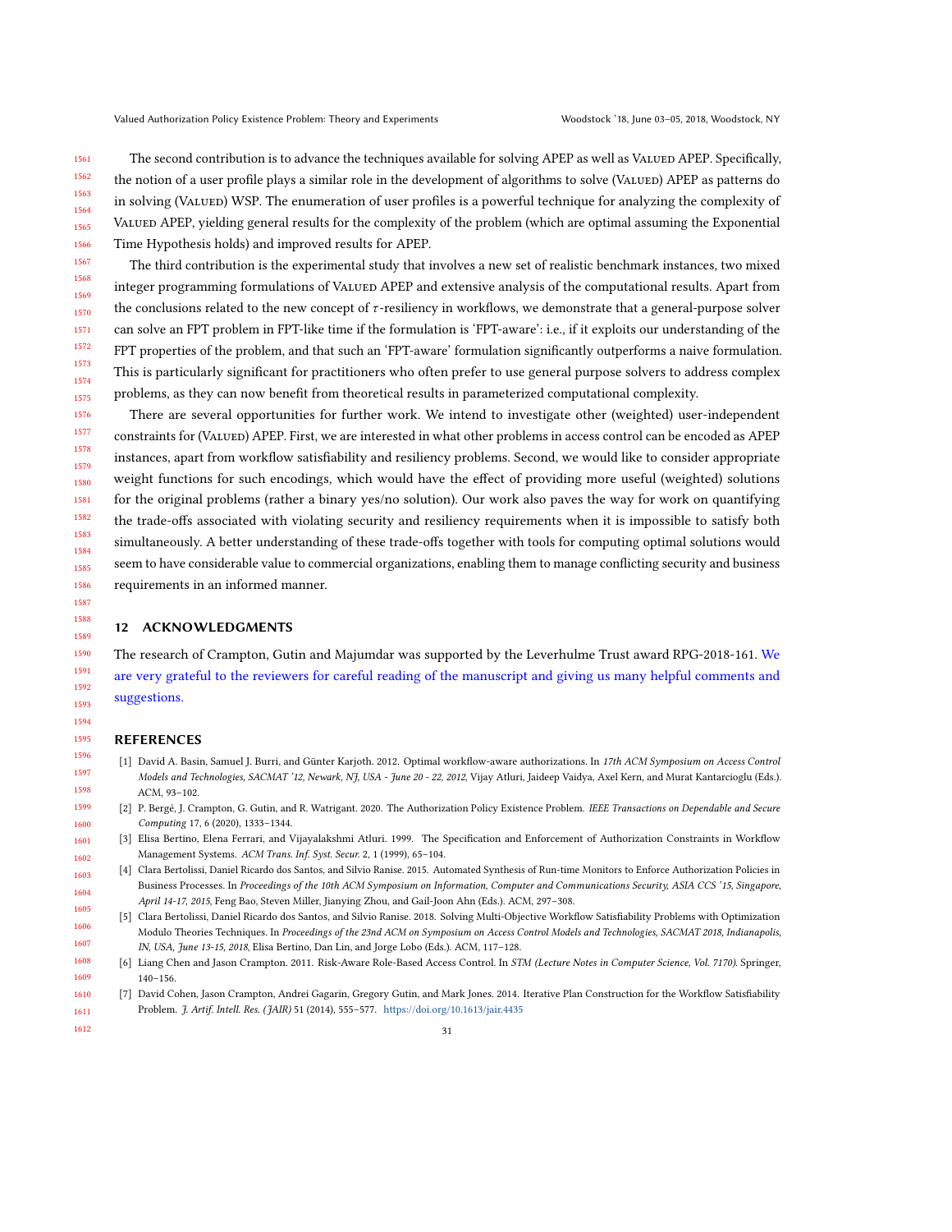1561 1562 1563 1564 1565 1566 The second contribution is to advance the techniques available for solving APEP as well as VALUED APEP. Specifically, the notion of a user profile plays a similar role in the development of algorithms to solve (VALUED) APEP as patterns do in solving (VALUED) WSP. The enumeration of user profiles is a powerful technique for analyzing the complexity of VALUED APEP, yielding general results for the complexity of the problem (which are optimal assuming the Exponential Time Hypothesis holds) and improved results for APEP.

1567 1568 1569 1570 1571 1572 1573 1574 1575 The third contribution is the experimental study that involves a new set of realistic benchmark instances, two mixed integer programming formulations of VALUED APEP and extensive analysis of the computational results. Apart from the conclusions related to the new concept of  $\tau$ -resiliency in workflows, we demonstrate that a general-purpose solver can solve an FPT problem in FPT-like time if the formulation is 'FPT-aware': i.e., if it exploits our understanding of the FPT properties of the problem, and that such an 'FPT-aware' formulation significantly outperforms a naive formulation. This is particularly significant for practitioners who often prefer to use general purpose solvers to address complex problems, as they can now benefit from theoretical results in parameterized computational complexity.

1578 1579 1580 1581 1582 1583 1584 1585 1586 There are several opportunities for further work. We intend to investigate other (weighted) user-independent constraints for (VALUED) APEP. First, we are interested in what other problems in access control can be encoded as APEP instances, apart from workflow satisfiability and resiliency problems. Second, we would like to consider appropriate weight functions for such encodings, which would have the effect of providing more useful (weighted) solutions for the original problems (rather a binary yes/no solution). Our work also paves the way for work on quantifying the trade-offs associated with violating security and resiliency requirements when it is impossible to satisfy both simultaneously. A better understanding of these trade-offs together with tools for computing optimal solutions would seem to have considerable value to commercial organizations, enabling them to manage conflicting security and business requirements in an informed manner.

### 12 ACKNOWLEDGMENTS

The research of Crampton, Gutin and Majumdar was supported by the Leverhulme Trust award RPG-2018-161. We are very grateful to the reviewers for careful reading of the manuscript and giving us many helpful comments and suggestions.

#### 1595 REFERENCES

- <span id="page-30-5"></span>[1] David A. Basin, Samuel J. Burri, and Günter Karjoth. 2012. Optimal workflow-aware authorizations. In 17th ACM Symposium on Access Control Models and Technologies, SACMAT '12, Newark, NJ, USA - June 20 - 22, 2012, Vijay Atluri, Jaideep Vaidya, Axel Kern, and Murat Kantarcioglu (Eds.). ACM, 93–102.
- <span id="page-30-0"></span>[2] P. Bergé, J. Crampton, G. Gutin, and R. Watrigant. 2020. The Authorization Policy Existence Problem. IEEE Transactions on Dependable and Secure Computing 17, 6 (2020), 1333–1344.
- <span id="page-30-3"></span><span id="page-30-2"></span>[3] Elisa Bertino, Elena Ferrari, and Vijayalakshmi Atluri. 1999. The Specification and Enforcement of Authorization Constraints in Workflow Management Systems. ACM Trans. Inf. Syst. Secur. 2, 1 (1999), 65–104.
- 1603 1604 1605 [4] Clara Bertolissi, Daniel Ricardo dos Santos, and Silvio Ranise. 2015. Automated Synthesis of Run-time Monitors to Enforce Authorization Policies in Business Processes. In Proceedings of the 10th ACM Symposium on Information, Computer and Communications Security, ASIA CCS '15, Singapore, April 14-17, 2015, Feng Bao, Steven Miller, Jianying Zhou, and Gail-Joon Ahn (Eds.). ACM, 297–308.
- <span id="page-30-4"></span>1606 1607 [5] Clara Bertolissi, Daniel Ricardo dos Santos, and Silvio Ranise. 2018. Solving Multi-Objective Workflow Satisfiability Problems with Optimization Modulo Theories Techniques. In Proceedings of the 23nd ACM on Symposium on Access Control Models and Technologies, SACMAT 2018, Indianapolis, IN, USA, June 13-15, 2018, Elisa Bertino, Dan Lin, and Jorge Lobo (Eds.). ACM, 117–128.
- <span id="page-30-6"></span>1608 1609 [6] Liang Chen and Jason Crampton. 2011. Risk-Aware Role-Based Access Control. In STM (Lecture Notes in Computer Science, Vol. 7170). Springer, 140–156.
- <span id="page-30-1"></span>1610 1611 [7] David Cohen, Jason Crampton, Andrei Gagarin, Gregory Gutin, and Mark Jones. 2014. Iterative Plan Construction for the Workflow Satisfiability Problem. J. Artif. Intell. Res. (JAIR) 51 (2014), 555–577. <https://doi.org/10.1613/jair.4435>
- 1612

1576 1577